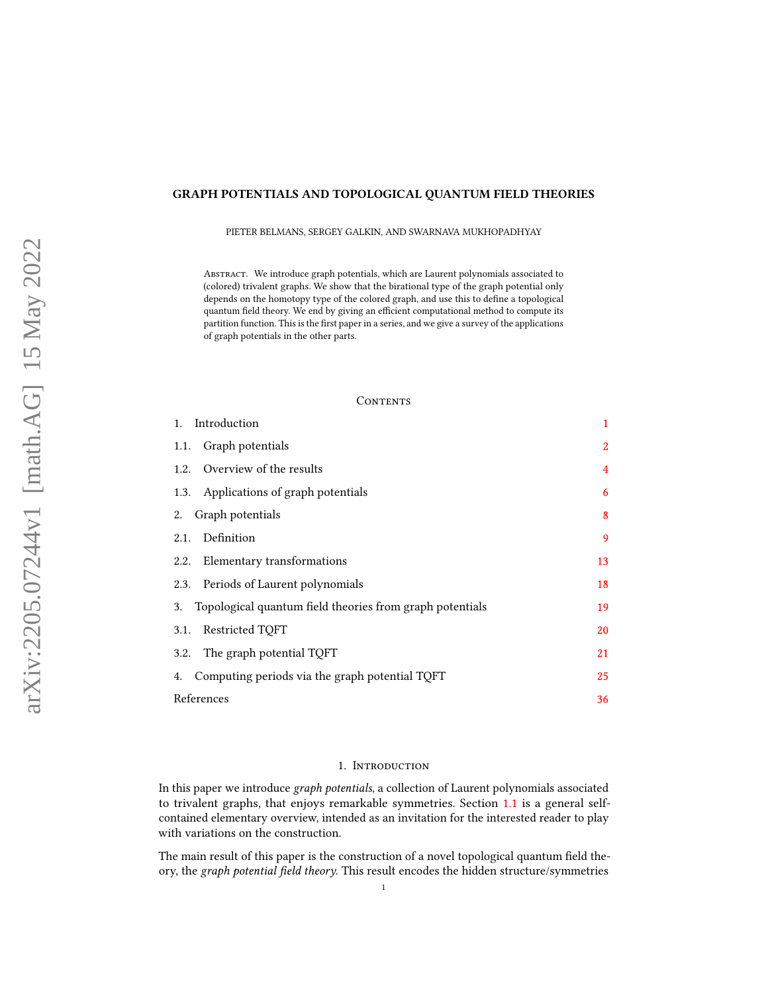# GRAPH POTENTIALS AND TOPOLOGICAL QUANTUM FIELD THEORIES

PIETER BELMANS, SERGEY GALKIN, AND SWARNAVA MUKHOPADHYAY

ABSTRACT. We introduce graph potentials, which are Laurent polynomials associated to (colored) trivalent graphs. We show that the birational type of the graph potential only depends on the homotopy type of the colored graph, and use this to define a topological quantum field theory. We end by giving an efficient computational method to compute its partition function. This is the first paper in a series, and we give a survey of the applications of graph potentials in the other parts.

### CONTENTS

| Introduction<br>1.                                             | $\mathbf{1}$   |
|----------------------------------------------------------------|----------------|
| Graph potentials<br>1.1.                                       | 2              |
| 1.2. Overview of the results                                   | $\overline{4}$ |
| Applications of graph potentials<br>1.3.                       | 6              |
| Graph potentials<br>2.                                         | 8              |
| Definition<br>2.1.                                             | 9              |
| Elementary transformations<br>2.2.                             | 13             |
| 2.3. Periods of Laurent polynomials                            | 18             |
| Topological quantum field theories from graph potentials<br>3. | 19             |
| Restricted TQFT<br>3.1.                                        | 20             |
| The graph potential TQFT<br>3.2.                               | 21             |
| Computing periods via the graph potential TQFT<br>4.           | 25             |
| References                                                     | 36             |

## 1. INTRODUCTION

<span id="page-0-0"></span>In this paper we introduce graph potentials, a collection of Laurent polynomials associated to trivalent graphs, that enjoys remarkable symmetries. Section [1.1](#page-1-0) is a general selfcontained elementary overview, intended as an invitation for the interested reader to play with variations on the construction.

The main result of this paper is the construction of a novel topological quantum field theory, the graph potential field theory. This result encodes the hidden structure/symmetries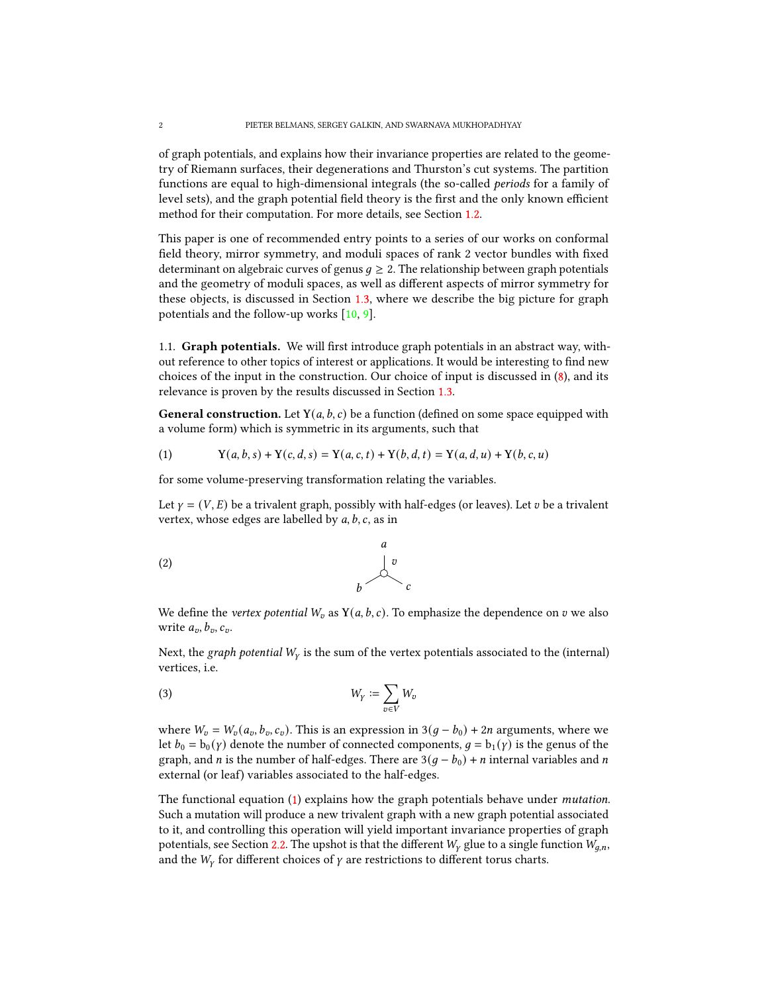of graph potentials, and explains how their invariance properties are related to the geometry of Riemann surfaces, their degenerations and Thurston's cut systems. The partition functions are equal to high-dimensional integrals (the so-called periods for a family of level sets), and the graph potential field theory is the first and the only known efficient method for their computation. For more details, see Section [1.2.](#page-3-0)

This paper is one of recommended entry points to a series of our works on conformal field theory, mirror symmetry, and moduli spaces of rank 2 vector bundles with fixed determinant on algebraic curves of genus  $q \geq 2$ . The relationship between graph potentials and the geometry of moduli spaces, as well as different aspects of mirror symmetry for these objects, is discussed in Section [1.3,](#page-5-0) where we describe the big picture for graph potentials and the follow-up works [\[10,](#page-35-1) [9\]](#page-35-2).

<span id="page-1-0"></span>1.1. **Graph potentials.** We will first introduce graph potentials in an abstract way, without reference to other topics of interest or applications. It would be interesting to find new choices of the input in the construction. Our choice of input is discussed in [\(8\)](#page-2-0), and its relevance is proven by the results discussed in Section [1.3.](#page-5-0)

**General construction.** Let  $Y(a, b, c)$  be a function (defined on some space equipped with a volume form) which is symmetric in its arguments, such that

<span id="page-1-1"></span>(1) 
$$
Y(a, b, s) + Y(c, d, s) = Y(a, c, t) + Y(b, d, t) = Y(a, d, u) + Y(b, c, u)
$$

for some volume-preserving transformation relating the variables.

Let  $\gamma = (V, E)$  be a trivalent graph, possibly with half-edges (or leaves). Let  $v$  be a trivalent vertex, whose edges are labelled by  $a, b, c$ , as in

$$
\begin{array}{c}\n a \\
 b\n \end{array}
$$
\n
$$
\begin{array}{c}\n a \\
 b\n \end{array}
$$

We define the vertex potential  $W_v$  as  $Y(a, b, c)$ . To emphasize the dependence on  $v$  we also write  $a_v, b_v, c_v$ .

Next, the graph potential  $W_Y$  is the sum of the vertex potentials associated to the (internal) vertices, i.e.

$$
(3) \t W_Y := \sum_{v \in V} W_v
$$

where  $W_v = W_v(a_v, b_v, c_v)$ . This is an expression in 3( $g - b_0$ ) + 2*n* arguments, where we let  $b_0 = b_0(y)$  denote the number of connected components,  $g = b_1(y)$  is the genus of the graph, and *n* is the number of half-edges. There are  $3(g - b_0) + n$  internal variables and *n* external (or leaf) variables associated to the half-edges.

The functional equation [\(1\)](#page-1-1) explains how the graph potentials behave under mutation. Such a mutation will produce a new trivalent graph with a new graph potential associated to it, and controlling this operation will yield important invariance properties of graph potentials, see Section [2.2.](#page-12-0) The upshot is that the different  $W<sub>Y</sub>$  glue to a single function  $W<sub>q,n</sub>$ , and the  $W_Y$  for different choices of  $\gamma$  are restrictions to different torus charts.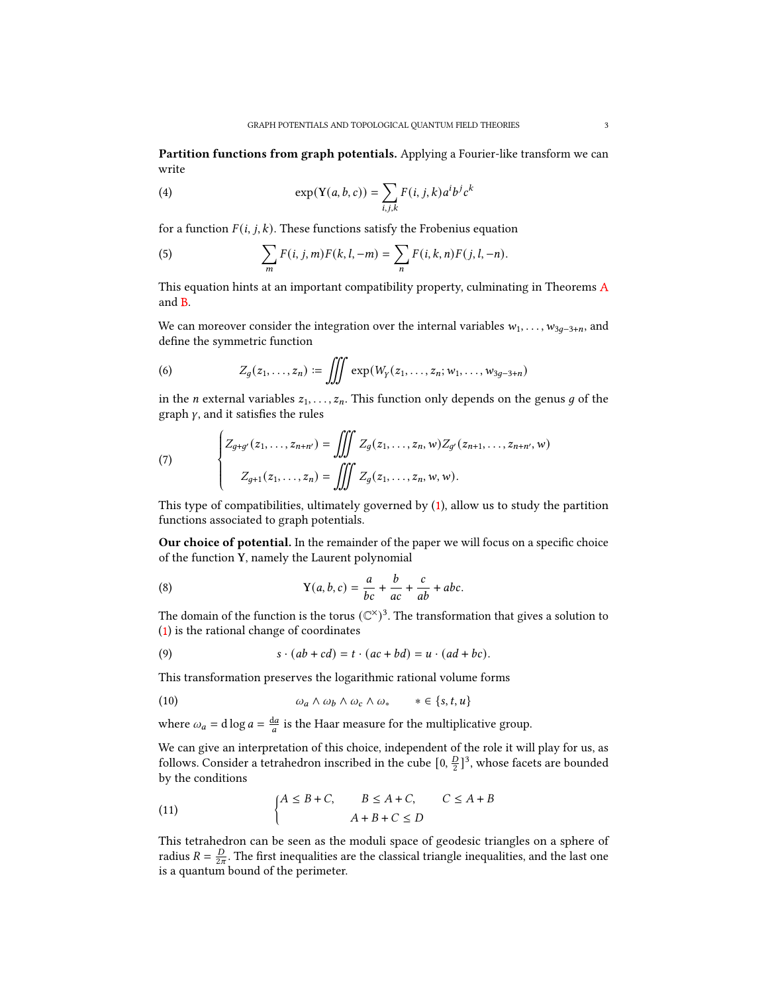Partition functions from graph potentials. Applying a Fourier-like transform we can write

(4) 
$$
\exp(Y(a,b,c)) = \sum_{i,j,k} F(i,j,k) a^i b^j c^k
$$

for a function  $F(i, j, k)$ . These functions satisfy the Frobenius equation

(5) 
$$
\sum_{m} F(i, j, m) F(k, l, -m) = \sum_{n} F(i, k, n) F(j, l, -n).
$$

This equation hints at an important compatibility property, culminating in Theorems [A](#page-4-0) and [B.](#page-4-1)

We can moreover consider the integration over the internal variables  $w_1, \ldots, w_{3q-3+n}$ , and define the symmetric function

(6) 
$$
Z_g(z_1,...,z_n) := \iiint \exp(W_Y(z_1,...,z_n; w_1,...,w_{3g-3+n})
$$

in the *n* external variables  $z_1, \ldots, z_n$ . This function only depends on the genus g of the graph  $\gamma$ , and it satisfies the rules

(7) 
$$
\begin{cases} Z_{g+g'}(z_1,\ldots,z_{n+n'}) = \iiint Z_g(z_1,\ldots,z_n,w) Z_{g'}(z_{n+1},\ldots,z_{n+n'},w) \\ Z_{g+1}(z_1,\ldots,z_n) = \iiint Z_g(z_1,\ldots,z_n,w,w). \end{cases}
$$

 This type of compatibilities, ultimately governed by [\(1\)](#page-1-1), allow us to study the partition functions associated to graph potentials.

Our choice of potential. In the remainder of the paper we will focus on a specific choice of the function Y, namely the Laurent polynomial

<span id="page-2-0"></span>(8) 
$$
Y(a, b, c) = \frac{a}{bc} + \frac{b}{ac} + \frac{c}{ab} + abc.
$$

The domain of the function is the torus  $(\mathbb{C}^{\times})^3$ . The transformation that gives a solution to [\(1\)](#page-1-1) is the rational change of coordinates

(9) 
$$
s \cdot (ab + cd) = t \cdot (ac + bd) = u \cdot (ad + bc).
$$

This transformation preserves the logarithmic rational volume forms

(10) 
$$
\omega_a \wedge \omega_b \wedge \omega_c \wedge \omega_* \qquad * \in \{s, t, u\}
$$

where  $\omega_a = d \log a = \frac{da}{a}$  is the Haar measure for the multiplicative group.

We can give an interpretation of this choice, independent of the role it will play for us, as follows. Consider a tetrahedron inscribed in the cube  $[0, \frac{D}{2}]$  $\frac{D}{2}$ ]<sup>3</sup>, whose facets are bounded by the conditions

<span id="page-2-1"></span>(11) 
$$
\begin{cases} A \leq B + C, & B \leq A + C, & C \leq A + B \\ A + B + C \leq D \end{cases}
$$

This tetrahedron can be seen as the moduli space of geodesic triangles on a sphere of radius  $R = \frac{D}{2\pi}$ . The first inequalities are the classical triangle inequalities, and the last one is a quantum bound of the perimeter.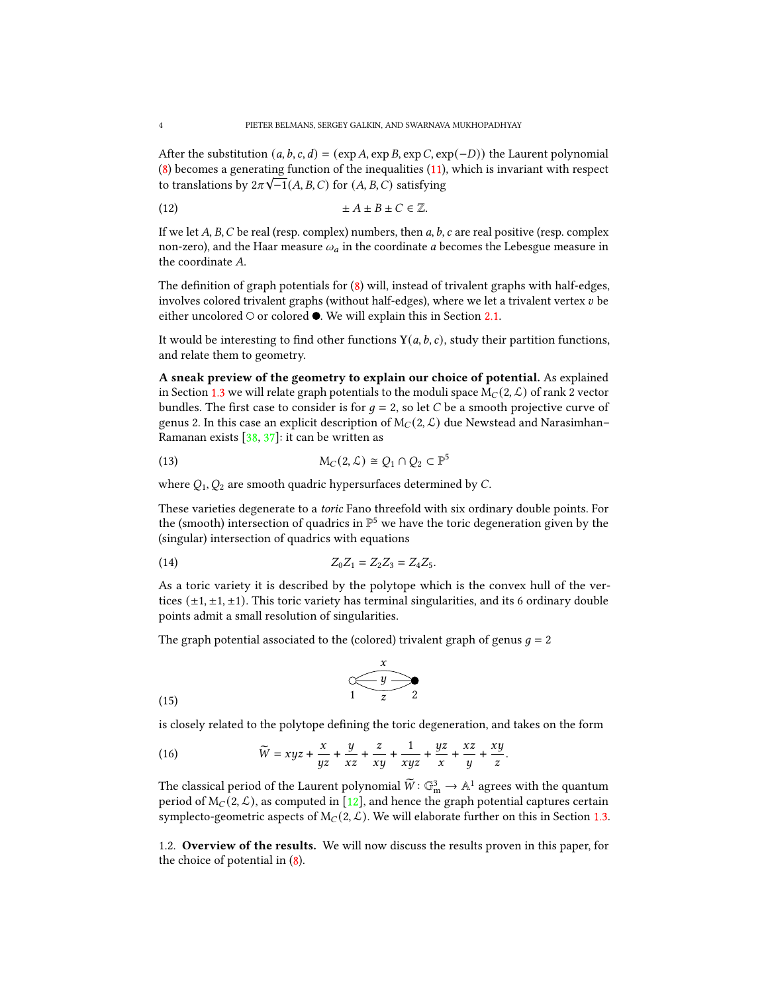After the substitution  $(a, b, c, d) = (\exp A, \exp B, \exp C, \exp(-D))$  the Laurent polynomial [\(8\)](#page-2-0) becomes a generating function of the inequalities  $(11)$ , which is invariant with respect to translations by  $2\pi\sqrt{-1}(A, B, C)$  for  $(A, B, C)$  satisfying

(12) ± ± ± ∈ Z.

If we let A, B, C be real (resp. complex) numbers, then  $a, b, c$  are real positive (resp. complex non-zero), and the Haar measure  $\omega_a$  in the coordinate *a* becomes the Lebesgue measure in the coordinate  $A$ .

The definition of graph potentials for  $(8)$  will, instead of trivalent graphs with half-edges, involves colored trivalent graphs (without half-edges), where we let a trivalent vertex  $v$  be either uncolored  $\circ$  or colored  $\bullet$ . We will explain this in Section [2.1.](#page-8-0)

It would be interesting to find other functions  $Y(a, b, c)$ , study their partition functions, and relate them to geometry.

A sneak preview of the geometry to explain our choice of potential. As explained in Section [1.3](#page-5-0) we will relate graph potentials to the moduli space  $M_C(2, \mathcal{L})$  of rank 2 vector bundles. The first case to consider is for  $q = 2$ , so let C be a smooth projective curve of genus 2. In this case an explicit description of  $M_C(2, \mathcal{L})$  due Newstead and Narasimhan– Ramanan exists [\[38,](#page-36-0) [37\]](#page-36-1): it can be written as

(13) 
$$
M_C(2, \mathcal{L}) \cong Q_1 \cap Q_2 \subset \mathbb{P}^5
$$

where  $Q_1$ ,  $Q_2$  are smooth quadric hypersurfaces determined by C.

These varieties degenerate to a toric Fano threefold with six ordinary double points. For the (smooth) intersection of quadrics in  $\mathbb{P}^5$  we have the toric degeneration given by the (singular) intersection of quadrics with equations

(14) 
$$
Z_0 Z_1 = Z_2 Z_3 = Z_4 Z_5.
$$

As a toric variety it is described by the polytope which is the convex hull of the vertices  $(\pm 1, \pm 1, \pm 1)$ . This toric variety has terminal singularities, and its 6 ordinary double points admit a small resolution of singularities.

The graph potential associated to the (colored) trivalent graph of genus  $g = 2$ 

$$
\begin{array}{c}\n x \\
 \hline\n 1 \overline{z} \\
 2\n \end{array}
$$
\n(15)

is closely related to the polytope defining the toric degeneration, and takes on the form

(16) 
$$
\widetilde{W} = xyz + \frac{x}{yz} + \frac{y}{xz} + \frac{z}{xy} + \frac{1}{xyz} + \frac{yz}{x} + \frac{xz}{y} + \frac{xy}{z}.
$$

The classical period of the Laurent polynomial  $\widetilde{W} : \mathbb{G}_{m}^{3} \to \mathbb{A}^{1}$  agrees with the quantum period of  $M_C(2, \mathcal{L})$ , as computed in [\[12\]](#page-35-3), and hence the graph potential captures certain symplecto-geometric aspects of  $M_C(2, \mathcal{L})$ . We will elaborate further on this in Section [1.3.](#page-5-0)

<span id="page-3-0"></span>1.2. Overview of the results. We will now discuss the results proven in this paper, for the choice of potential in [\(8\)](#page-2-0).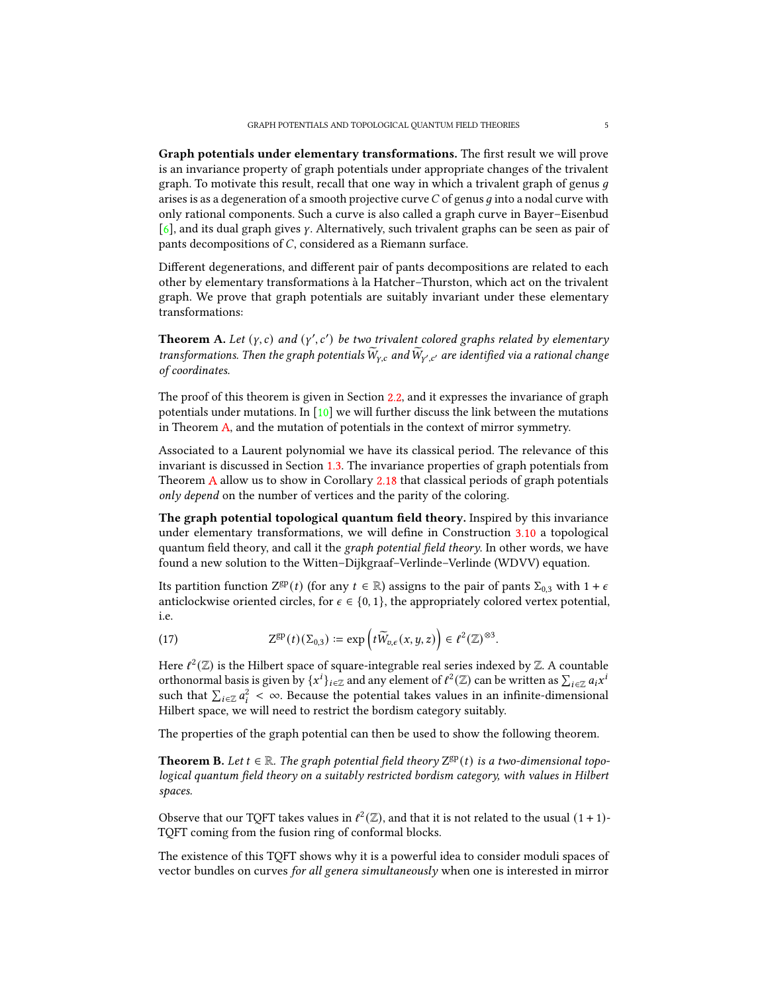Graph potentials under elementary transformations. The first result we will prove is an invariance property of graph potentials under appropriate changes of the trivalent graph. To motivate this result, recall that one way in which a trivalent graph of genus  $q$ arises is as a degeneration of a smooth projective curve  $C$  of genus  $q$  into a nodal curve with only rational components. Such a curve is also called a graph curve in Bayer–Eisenbud  $[6]$ , and its dual graph gives y. Alternatively, such trivalent graphs can be seen as pair of pants decompositions of  $C$ , considered as a Riemann surface.

Different degenerations, and different pair of pants decompositions are related to each other by elementary transformations à la Hatcher–Thurston, which act on the trivalent graph. We prove that graph potentials are suitably invariant under these elementary transformations:

<span id="page-4-0"></span>**Theorem** A. Let  $(y, c)$  and  $(y', c')$  be two trivalent colored graphs related by elementary transformations. Then the graph potentials  $\widetilde{W}_{Y,c}$  and  $\widetilde{W}_{Y',c'}$  are identified via a rational change of coordinates.

The proof of this theorem is given in Section [2.2,](#page-12-0) and it expresses the invariance of graph potentials under mutations. In  $[10]$  we will further discuss the link between the mutations in Theorem [A,](#page-4-0) and the mutation of potentials in the context of mirror symmetry.

Associated to a Laurent polynomial we have its classical period. The relevance of this invariant is discussed in Section [1.3.](#page-5-0) The invariance properties of graph potentials from Theorem [A](#page-4-0) allow us to show in Corollary [2.18](#page-18-1) that classical periods of graph potentials only depend on the number of vertices and the parity of the coloring.

The graph potential topological quantum field theory. Inspired by this invariance under elementary transformations, we will define in Construction [3.10](#page-22-0) a topological quantum field theory, and call it the graph potential field theory. In other words, we have found a new solution to the Witten–Dijkgraaf–Verlinde–Verlinde (WDVV) equation.

Its partition function  $Z^{gp}(t)$  (for any  $t \in \mathbb{R}$ ) assigns to the pair of pants  $\Sigma_{0,3}$  with  $1 + \epsilon$ anticlockwise oriented circles, for  $\epsilon \in \{0, 1\}$ , the appropriately colored vertex potential, i.e.

(17) 
$$
Z^{\rm gp}(t)(\Sigma_{0,3}) \coloneqq \exp\left(t\widetilde{W}_{v,\epsilon}(x,y,z)\right) \in \ell^2(\mathbb{Z})^{\otimes 3}.
$$

Here  $\ell^2(\mathbb{Z})$  is the Hilbert space of square-integrable real series indexed by  $\mathbb{Z}$ . A countable orthonormal basis is given by  $\{x^i\}_{i\in\mathbb{Z}}$  and any element of  $\ell^2(\mathbb{Z})$  can be written as  $\sum_{i\in\mathbb{Z}}a_ix^i$ such that  $\sum_{i\in\mathbb{Z}} a_i^2 < \infty$ . Because the potential takes values in an infinite-dimensional Hilbert space, we will need to restrict the bordism category suitably.

The properties of the graph potential can then be used to show the following theorem.

<span id="page-4-1"></span>**Theorem B.** Let  $t \in \mathbb{R}$ . The graph potential field theory  $Z^{gp}(t)$  is a two-dimensional topological quantum field theory on a suitably restricted bordism category, with values in Hilbert spaces.

Observe that our TQFT takes values in  $\ell^2(\mathbb{Z})$ , and that it is not related to the usual  $(1 + 1)$ -TQFT coming from the fusion ring of conformal blocks.

The existence of this TQFT shows why it is a powerful idea to consider moduli spaces of vector bundles on curves for all genera simultaneously when one is interested in mirror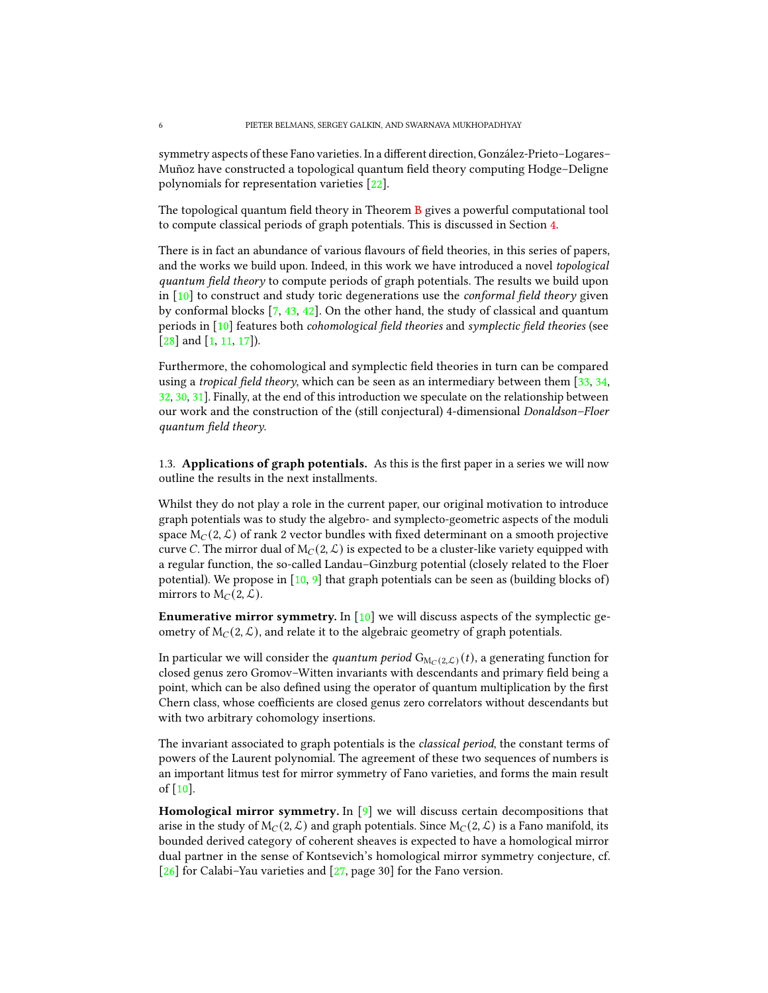symmetry aspects of these Fano varieties. In a different direction, González-Prieto–Logares– Muñoz have constructed a topological quantum field theory computing Hodge–Deligne polynomials for representation varieties [\[22\]](#page-36-2).

The topological quantum field theory in Theorem  $\overline{B}$  $\overline{B}$  $\overline{B}$  gives a powerful computational tool to compute classical periods of graph potentials. This is discussed in Section [4.](#page-24-0)

There is in fact an abundance of various flavours of field theories, in this series of papers, and the works we build upon. Indeed, in this work we have introduced a novel topological quantum field theory to compute periods of graph potentials. The results we build upon in  $[10]$  to construct and study toric degenerations use the *conformal field theory* given by conformal blocks  $[7, 43, 42]$  $[7, 43, 42]$  $[7, 43, 42]$  $[7, 43, 42]$  $[7, 43, 42]$ . On the other hand, the study of classical and quantum periods in  $[10]$  features both *cohomological field theories* and *symplectic field theories* (see [\[28\]](#page-36-4) and [\[1,](#page-35-6) [11,](#page-35-7) [17\]](#page-35-8)).

Furthermore, the cohomological and symplectic field theories in turn can be compared using a *tropical field theory*, which can be seen as an intermediary between them  $[33, 34, ]$  $[33, 34, ]$  $[33, 34, ]$  $[33, 34, ]$ [32,](#page-36-7) [30,](#page-36-8) [31\]](#page-36-9). Finally, at the end of this introduction we speculate on the relationship between our work and the construction of the (still conjectural) 4-dimensional Donaldson–Floer  $quantum$  field theory.

<span id="page-5-0"></span>1.3. Applications of graph potentials. As this is the first paper in a series we will now outline the results in the next installments.

Whilst they do not play a role in the current paper, our original motivation to introduce graph potentials was to study the algebro- and symplecto-geometric aspects of the moduli space  $M_C(2, \mathcal{L})$  of rank 2 vector bundles with fixed determinant on a smooth projective curve C. The mirror dual of  $M_C(2, \mathcal{L})$  is expected to be a cluster-like variety equipped with a regular function, the so-called Landau–Ginzburg potential (closely related to the Floer potential). We propose in  $[10, 9]$  $[10, 9]$  $[10, 9]$  that graph potentials can be seen as (building blocks of) mirrors to  $M_C(2, \mathcal{L})$ .

**Enumerative mirror symmetry.** In  $[10]$  we will discuss aspects of the symplectic geometry of  $M_C(2, \mathcal{L})$ , and relate it to the algebraic geometry of graph potentials.

In particular we will consider the *quantum period*  $G_{M_C(2,\mathcal{L})}(t)$ , a generating function for closed genus zero Gromov-Witten invariants with descendants and primary field being a point, which can be also defined using the operator of quantum multiplication by the first Chern class, whose coefficients are closed genus zero correlators without descendants but with two arbitrary cohomology insertions.

The invariant associated to graph potentials is the classical period, the constant terms of powers of the Laurent polynomial. The agreement of these two sequences of numbers is an important litmus test for mirror symmetry of Fano varieties, and forms the main result of [\[10\]](#page-35-1).

**Homological mirror symmetry.** In  $[9]$  we will discuss certain decompositions that arise in the study of  $M_C(2, \mathcal{L})$  and graph potentials. Since  $M_C(2, \mathcal{L})$  is a Fano manifold, its bounded derived category of coherent sheaves is expected to have a homological mirror dual partner in the sense of Kontsevich's homological mirror symmetry conjecture, cf. [\[26\]](#page-36-10) for Calabi–Yau varieties and [\[27,](#page-36-11) page 30] for the Fano version.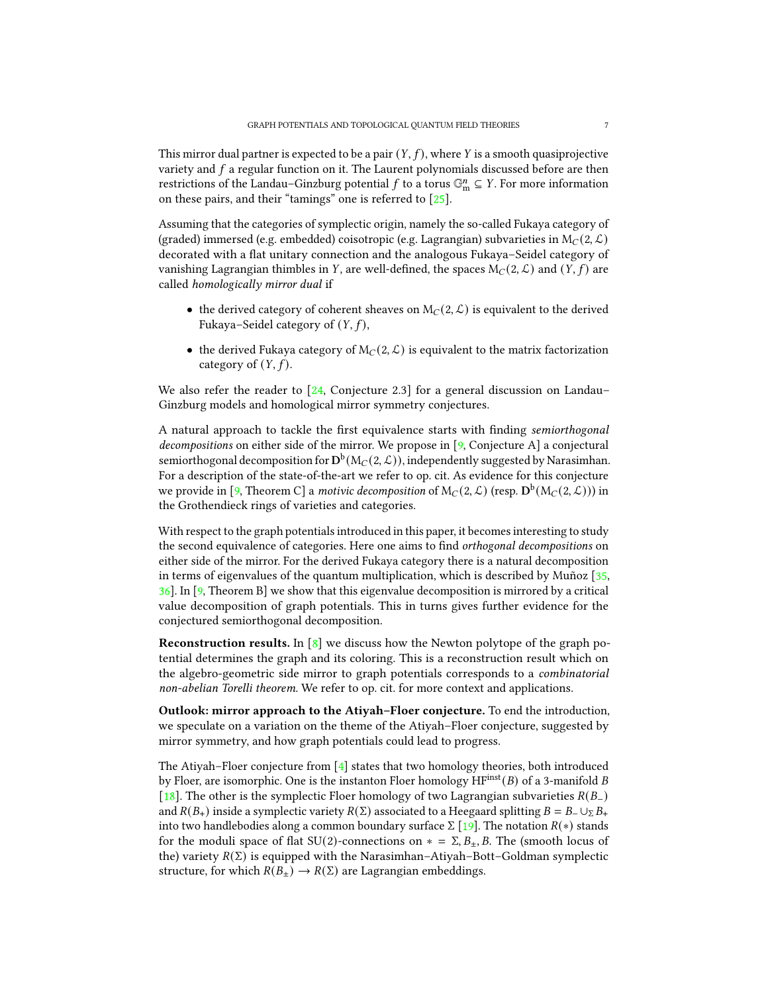This mirror dual partner is expected to be a pair  $(Y, f)$ , where Y is a smooth quasiprojective variety and  $f$  a regular function on it. The Laurent polynomials discussed before are then restrictions of the Landau–Ginzburg potential  $f$  to a torus  $\mathbb{G}_{\text{m}}^n \subseteq Y$ . For more information on these pairs, and their "tamings" one is referred to [\[25\]](#page-36-12).

Assuming that the categories of symplectic origin, namely the so-called Fukaya category of (graded) immersed (e.g. embedded) coisotropic (e.g. Lagrangian) subvarieties in  $M_C(2, \mathcal{L})$ decorated with a flat unitary connection and the analogous Fukaya–Seidel category of vanishing Lagrangian thimbles in Y, are well-defined, the spaces  $M_C(2, \mathcal{L})$  and  $(Y, f)$  are called homologically mirror dual if

- the derived category of coherent sheaves on  $M_C(2, \mathcal{L})$  is equivalent to the derived Fukaya–Seidel category of  $(Y, f)$ ,
- the derived Fukaya category of  $M_C(2, \mathcal{L})$  is equivalent to the matrix factorization category of  $(Y, f)$ .

We also refer the reader to  $[24, \text{Conjecture } 2.3]$  $[24, \text{Conjecture } 2.3]$  for a general discussion on Landau– Ginzburg models and homological mirror symmetry conjectures.

A natural approach to tackle the first equivalence starts with finding semiorthogonal decompositions on either side of the mirror. We propose in [\[9,](#page-35-2) Conjecture A] a conjectural semiorthogonal decomposition for  ${\rm D}^{\rm b}( {\rm M}_C(2,\mathcal{L}))$ , independently suggested by Narasimhan. For a description of the state-of-the-art we refer to op. cit. As evidence for this conjecture we provide in [\[9,](#page-35-2) Theorem C] a *motivic decomposition* of  $M_C(2, \mathcal{L})$  (resp.  $\mathbf{D}^b(M_C(2, \mathcal{L})))$  in the Grothendieck rings of varieties and categories.

With respect to the graph potentials introduced in this paper, it becomes interesting to study the second equivalence of categories. Here one aims to find *orthogonal decompositions* on either side of the mirror. For the derived Fukaya category there is a natural decomposition in terms of eigenvalues of the quantum multiplication, which is described by Muñoz [\[35,](#page-36-14) [36\]](#page-36-15). In [\[9,](#page-35-2) Theorem B] we show that this eigenvalue decomposition is mirrored by a critical value decomposition of graph potentials. This in turns gives further evidence for the conjectured semiorthogonal decomposition.

**Reconstruction results.** In  $[8]$  we discuss how the Newton polytope of the graph potential determines the graph and its coloring. This is a reconstruction result which on the algebro-geometric side mirror to graph potentials corresponds to a combinatorial non-abelian Torelli theorem. We refer to op. cit. for more context and applications.

Outlook: mirror approach to the Atiyah–Floer conjecture. To end the introduction, we speculate on a variation on the theme of the Atiyah–Floer conjecture, suggested by mirror symmetry, and how graph potentials could lead to progress.

The Atiyah–Floer conjecture from  $[4]$  states that two homology theories, both introduced by Floer, are isomorphic. One is the instanton Floer homology  $HF<sup>inst</sup>(B)$  of a 3-manifold B [\[18\]](#page-35-11). The other is the symplectic Floer homology of two Lagrangian subvarieties  $R(B_-)$ and  $R(B_+)$  inside a symplectic variety  $R(\Sigma)$  associated to a Heegaard splitting  $B = B_-\cup_{\Sigma} B_+$ into two handlebodies along a common boundary surface  $\Sigma$  [\[19\]](#page-35-12). The notation  $R(*)$  stands for the moduli space of flat SU(2)-connections on  $* = \Sigma, B_{\pm}, B$ . The (smooth locus of the) variety  $R(\Sigma)$  is equipped with the Narasimhan–Atiyah–Bott–Goldman symplectic structure, for which  $R(B_+) \to R(\Sigma)$  are Lagrangian embeddings.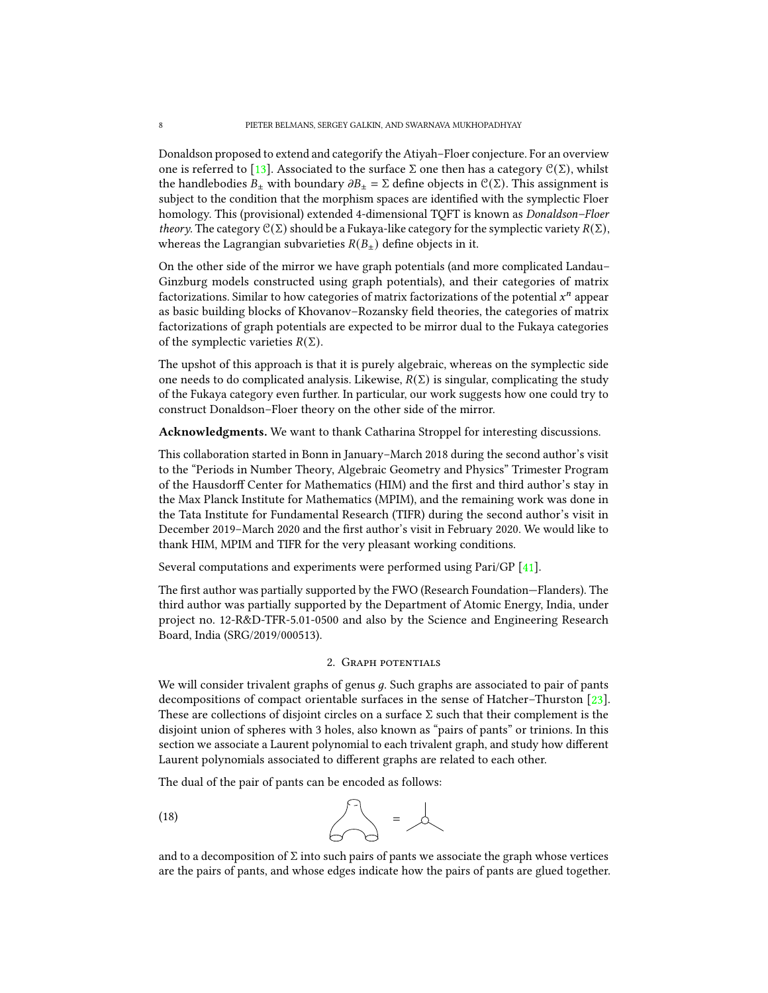Donaldson proposed to extend and categorify the Atiyah–Floer conjecture. For an overview one is referred to [\[13\]](#page-35-13). Associated to the surface Σ one then has a category  $\mathcal{C}(\Sigma)$ , whilst the handlebodies  $B_{\pm}$  with boundary  $\partial B_{\pm} = \Sigma$  define objects in  $\mathcal{C}(\Sigma)$ . This assignment is subject to the condition that the morphism spaces are identified with the symplectic Floer homology. This (provisional) extended 4-dimensional TQFT is known as Donaldson–Floer theory. The category  $\mathcal{C}(\Sigma)$  should be a Fukaya-like category for the symplectic variety  $R(\Sigma)$ , whereas the Lagrangian subvarieties  $R(B_+)$  define objects in it.

On the other side of the mirror we have graph potentials (and more complicated Landau– Ginzburg models constructed using graph potentials), and their categories of matrix factorizations. Similar to how categories of matrix factorizations of the potential  $x^n$  appear as basic building blocks of Khovanov–Rozansky field theories, the categories of matrix factorizations of graph potentials are expected to be mirror dual to the Fukaya categories of the symplectic varieties  $R(\Sigma)$ .

The upshot of this approach is that it is purely algebraic, whereas on the symplectic side one needs to do complicated analysis. Likewise,  $R(\Sigma)$  is singular, complicating the study of the Fukaya category even further. In particular, our work suggests how one could try to construct Donaldson–Floer theory on the other side of the mirror.

Acknowledgments. We want to thank Catharina Stroppel for interesting discussions.

This collaboration started in Bonn in January–March 2018 during the second author's visit to the "Periods in Number Theory, Algebraic Geometry and Physics" Trimester Program of the Hausdorff Center for Mathematics (HIM) and the first and third author's stay in the Max Planck Institute for Mathematics (MPIM), and the remaining work was done in the Tata Institute for Fundamental Research (TIFR) during the second author's visit in December 2019–March 2020 and the first author's visit in February 2020. We would like to thank HIM, MPIM and TIFR for the very pleasant working conditions.

Several computations and experiments were performed using Pari/GP [\[41\]](#page-36-16).

The first author was partially supported by the FWO (Research Foundation–Flanders). The third author was partially supported by the Department of Atomic Energy, India, under project no. 12-R&D-TFR-5.01-0500 and also by the Science and Engineering Research Board, India (SRG/2019/000513).

## 2. Graph potentials

<span id="page-7-0"></span>We will consider trivalent graphs of genus  $q$ . Such graphs are associated to pair of pants decompositions of compact orientable surfaces in the sense of Hatcher–Thurston [\[23\]](#page-36-17). These are collections of disjoint circles on a surface  $\Sigma$  such that their complement is the disjoint union of spheres with 3 holes, also known as "pairs of pants" or trinions. In this section we associate a Laurent polynomial to each trivalent graph, and study how different Laurent polynomials associated to different graphs are related to each other.

The dual of the pair of pants can be encoded as follows:

$$
\begin{array}{c}\n\text{(18)} \\
\hline\n\end{array}
$$

and to a decomposition of  $\Sigma$  into such pairs of pants we associate the graph whose vertices are the pairs of pants, and whose edges indicate how the pairs of pants are glued together.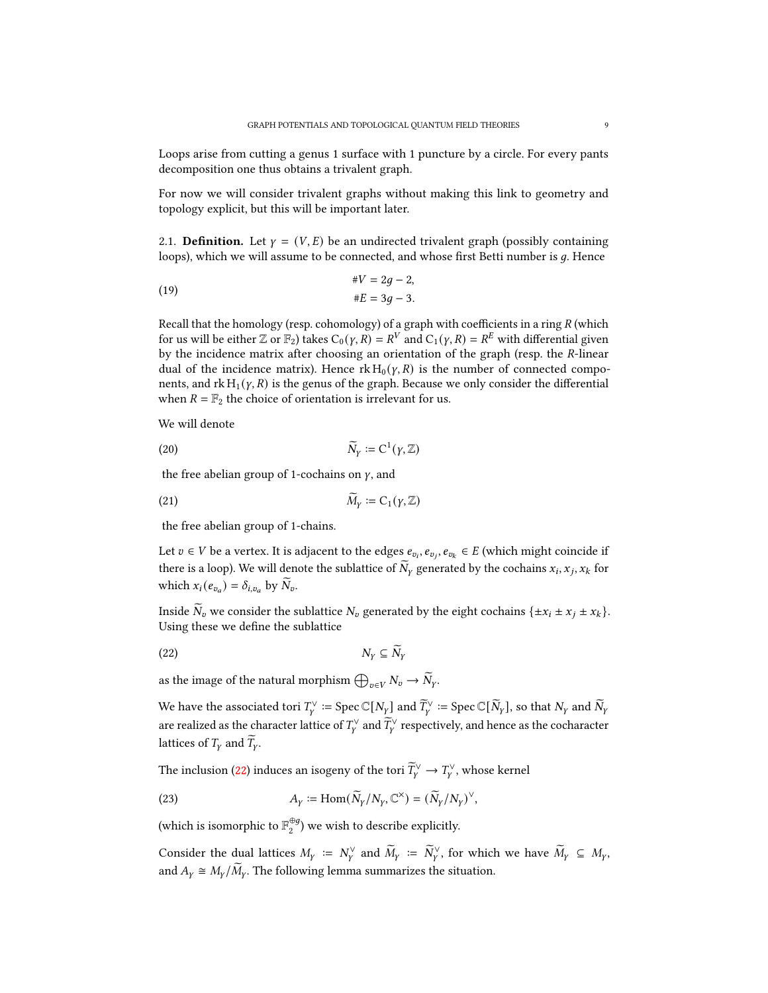Loops arise from cutting a genus 1 surface with 1 puncture by a circle. For every pants decomposition one thus obtains a trivalent graph.

For now we will consider trivalent graphs without making this link to geometry and topology explicit, but this will be important later.

<span id="page-8-0"></span>2.1. **Definition.** Let  $y = (V, E)$  be an undirected trivalent graph (possibly containing loops), which we will assume to be connected, and whose first Betti number is  $q$ . Hence

$$
W = 2g - 2,
$$
  

$$
*E = 3g - 3.
$$

Recall that the homology (resp. cohomology) of a graph with coefficients in a ring  $R$  (which for us will be either  $\mathbb{Z}$  or  $\mathbb{F}_2$ ) takes  $C_0(\gamma, R) = R^V$  and  $C_1(\gamma, R) = R^E$  with differential given by the incidence matrix after choosing an orientation of the graph (resp. the  $R$ -linear dual of the incidence matrix). Hence  $rk H_0(\gamma, R)$  is the number of connected components, and  $rk H_1(\gamma, R)$  is the genus of the graph. Because we only consider the differential when  $R = \mathbb{F}_2$  the choice of orientation is irrelevant for us.

We will denote

(20) 
$$
\widetilde{N}_Y := C^1(\gamma, \mathbb{Z})
$$

the free abelian group of 1-cochains on  $\gamma$ , and

$$
\widetilde{M}_Y := C_1(\gamma, \mathbb{Z})
$$

the free abelian group of 1-chains.

Let  $v \in V$  be a vertex. It is adjacent to the edges  $e_{v_i}, e_{v_i}, e_{v_k} \in E$  (which might coincide if there is a loop). We will denote the sublattice of  $\widetilde{N}_Y$  generated by the cochains  $x_i, x_j, x_k$  for which  $x_i(e_{v_a}) = \delta_{i,v_a}$  by  $\widetilde{N}_v$ .

Inside  $\tilde{N}_v$  we consider the sublattice  $N_v$  generated by the eight cochains  $\{\pm x_i \pm x_j \pm x_k\}$ . Using these we define the sublattice

<span id="page-8-1"></span>
$$
(22) \t\t N_Y \subseteq \widetilde{N}_Y
$$

as the image of the natural morphism  $\bigoplus_{v\in V} N_v \to \widetilde{N}_{\gamma}$ .

We have the associated tori  $T_\gamma^\vee\coloneqq\mathrm{Spec}\,\mathbb{C}[N_\gamma]$  and  $\widetilde{T}_\gamma^\vee\coloneqq\mathrm{Spec}\,\mathbb{C}[\widetilde{N}_\gamma]$ , so that  $N_\gamma$  and  $\widetilde{N}_\gamma$ are realized as the character lattice of  $T^\vee_\gamma$  and  $\widetilde T^\vee_\gamma$  respectively, and hence as the cocharacter lattices of  $T_Y$  and  $\overline{T}_Y$ .

The inclusion [\(22\)](#page-8-1) induces an isogeny of the tori  $\widetilde{T}_\gamma^\vee \to T_\gamma^\vee$ , whose kernel

(23) 
$$
A_Y := \text{Hom}(\widetilde{N}_Y/N_Y, \mathbb{C}^\times) = (\widetilde{N}_Y/N_Y)^\vee,
$$

(which is isomorphic to  $\mathbb{F}_2^{\oplus g}$  $2^{\text{eg}}$ ) we wish to describe explicitly.

Consider the dual lattices  $M_{\gamma} := N_{\gamma}^{\vee}$  and  $\widetilde{M}_{\gamma} := \widetilde{N}_{\gamma}^{\vee}$ , for which we have  $\widetilde{M}_{\gamma} \subseteq M_{\gamma}$ , and  $A_y \cong M_y/\widetilde{M}_y$ . The following lemma summarizes the situation.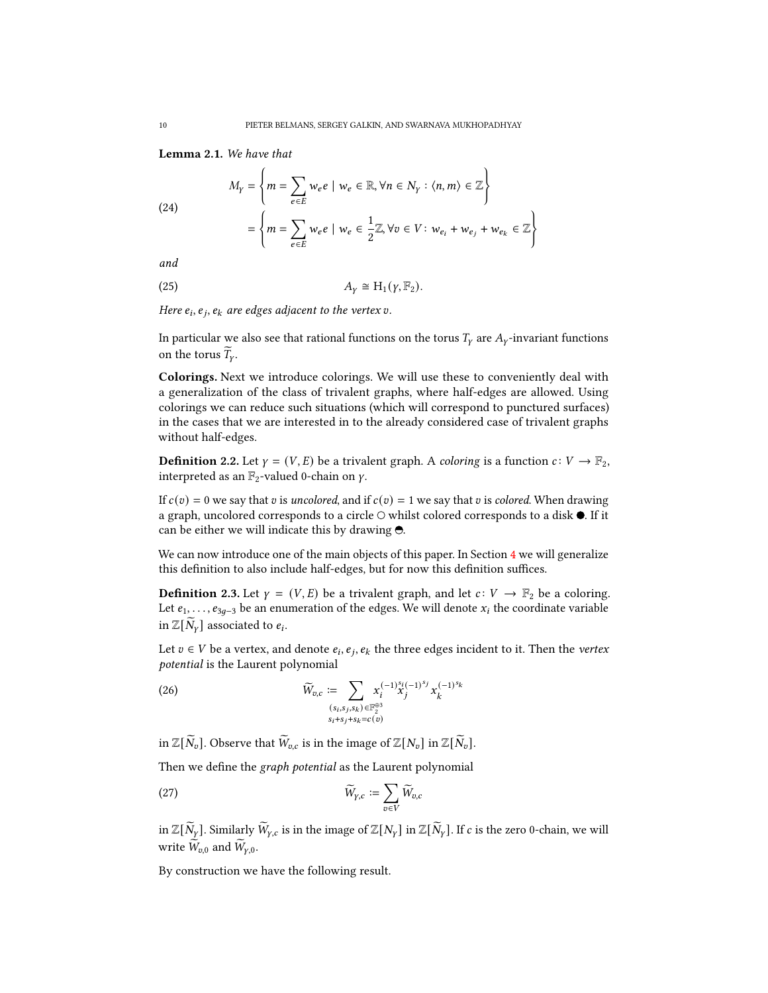Lemma 2.1. We have that

(24)  
\n
$$
M_{Y} = \left\{ m = \sum_{e \in E} w_{e} e \mid w_{e} \in \mathbb{R}, \forall n \in N_{Y} : \langle n, m \rangle \in \mathbb{Z} \right\}
$$
\n
$$
= \left\{ m = \sum_{e \in E} w_{e} e \mid w_{e} \in \frac{1}{2} \mathbb{Z}, \forall v \in V : w_{e_{i}} + w_{e_{j}} + w_{e_{k}} \in \mathbb{Z} \right\}
$$

and

$$
A_{\gamma} \cong H_1(\gamma, \mathbb{F}_2).
$$

Here  $e_i, e_j, e_k$  are edges adjacent to the vertex  $v$ .

In particular we also see that rational functions on the torus  $T_v$  are  $A_v$ -invariant functions on the torus  $\overline{T}_{v}$ .

Colorings. Next we introduce colorings. We will use these to conveniently deal with a generalization of the class of trivalent graphs, where half-edges are allowed. Using colorings we can reduce such situations (which will correspond to punctured surfaces) in the cases that we are interested in to the already considered case of trivalent graphs without half-edges.

**Definition 2.2.** Let  $\gamma = (V, E)$  be a trivalent graph. A *coloring* is a function  $c: V \to \mathbb{F}_2$ , interpreted as an  $\mathbb{F}_2$ -valued 0-chain on  $\gamma$ .

If  $c(v) = 0$  we say that v is uncolored, and if  $c(v) = 1$  we say that v is colored. When drawing a graph, uncolored corresponds to a circle  $\bigcirc$  whilst colored corresponds to a disk  $\bullet$ . If it can be either we will indicate this by drawing  $\Theta$ .

We can now introduce one of the main objects of this paper. In Section  $4$  we will generalize this definition to also include half-edges, but for now this definition suffices.

<span id="page-9-1"></span>**Definition 2.3.** Let  $\gamma = (V, E)$  be a trivalent graph, and let  $c: V \rightarrow \mathbb{F}_2$  be a coloring. Let  $e_1, \ldots, e_{3g-3}$  be an enumeration of the edges. We will denote  $x_i$  the coordinate variable in  $\mathbb{Z}[\widetilde{N}_\gamma]$  associated to  $e_i$ .

Let  $v \in V$  be a vertex, and denote  $e_i, e_j, e_k$  the three edges incident to it. Then the *vertex* potential is the Laurent polynomial

<span id="page-9-0"></span>(26) 
$$
\widetilde{W}_{v,c} := \sum_{\substack{(s_i, s_j, s_k) \in \mathbb{F}_2^{\oplus 3} \\ s_i + s_j + s_k = c(v)}} x_i^{(-1)\substack{s_i(-1)^{s_j} \\ s_j}} x_k^{(-1)^{s_k}}
$$

in  $\mathbb{Z}[\widetilde{N}_v]$ . Observe that  $\widetilde{W}_{v,c}$  is in the image of  $\mathbb{Z}[N_v]$  in  $\mathbb{Z}[\widetilde{N}_v]$ .

Then we define the graph potential as the Laurent polynomial

$$
\widetilde{W}_{\gamma,c} := \sum_{v \in V} \widetilde{W}_{v,c}
$$

in  $\mathbb{Z}[\widetilde{N}_Y]$ . Similarly  $\widetilde{W}_{Y,C}$  is in the image of  $\mathbb{Z}[N_Y]$  in  $\mathbb{Z}[\widetilde{N}_Y]$ . If c is the zero 0-chain, we will write  $\widetilde{W}_{v,0}$  and  $\widetilde{W}_{v,0}$ .

By construction we have the following result.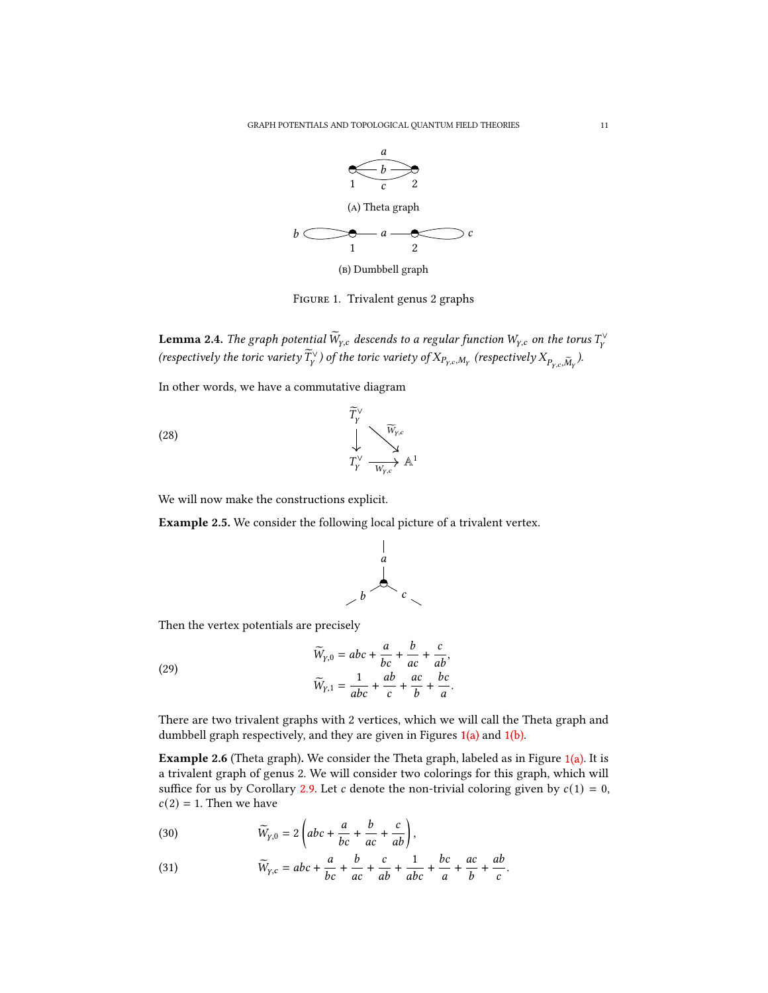<span id="page-10-0"></span>

Figure 1. Trivalent genus 2 graphs

**Lemma 2.4.** The graph potential  $\widetilde{W}_{\gamma,c}$  descends to a regular function  $W_{\gamma,c}$  on the torus  $T^\vee_\gamma$ (respectively the toric variety  $\widetilde{T}_Y^\vee$  ) of the toric variety of  $X_{P_{Y,c},M_Y}$  (respectively  $X_{P_{Y,c},\widetilde{M}_Y}$  ).

In other words, we have a commutative diagram

(28)

$$
\widetilde{T}_Y^{\vee}
$$
\n
$$
\downarrow
$$
\n
$$
T_Y^{\vee}
$$
\n
$$
\overline{W}_{Y,c}
$$
\n
$$
\downarrow
$$
\n
$$
T_Y^{\vee}
$$
\n
$$
\overline{W}_{Y,c}
$$
\n
$$
\uparrow
$$

We will now make the constructions explicit.

Example 2.5. We consider the following local picture of a trivalent vertex.



 $\boldsymbol{b}$ 

Then the vertex potentials are precisely

(29)

 $\widetilde{W}_{\gamma,0} = abc + \frac{a}{b}$  $\frac{a}{bc}$  +  $\frac{c}{ac}$  +  $rac{c}{ab}$  $\widetilde{W}_{\gamma,1} = \frac{1}{abc} +$ ab  $\frac{iv}{c}$  + ac  $\frac{ac}{b}$  +  $b$ c  $\frac{\pi}{a}$ .

There are two trivalent graphs with 2 vertices, which we will call the Theta graph and dumbbell graph respectively, and they are given in Figures [1\(a\)](#page-10-0) and [1\(b\).](#page-10-0)

<span id="page-10-1"></span>**Example 2.6** (Theta graph). We consider the Theta graph, labeled as in Figure  $1(a)$ . It is a trivalent graph of genus 2. We will consider two colorings for this graph, which will suffice for us by Corollary [2.9.](#page-11-0) Let c denote the non-trivial coloring given by  $c(1) = 0$ ,  $c(2) = 1$ . Then we have

(30) 
$$
\widetilde{W}_{\gamma,0} = 2 \left( abc + \frac{a}{bc} + \frac{b}{ac} + \frac{c}{ab} \right),
$$

(31) 
$$
\widetilde{W}_{y,c} = abc + \frac{a}{bc} + \frac{b}{ac} + \frac{c}{ab} + \frac{1}{abc} + \frac{bc}{a} + \frac{ac}{b} + \frac{ab}{c}.
$$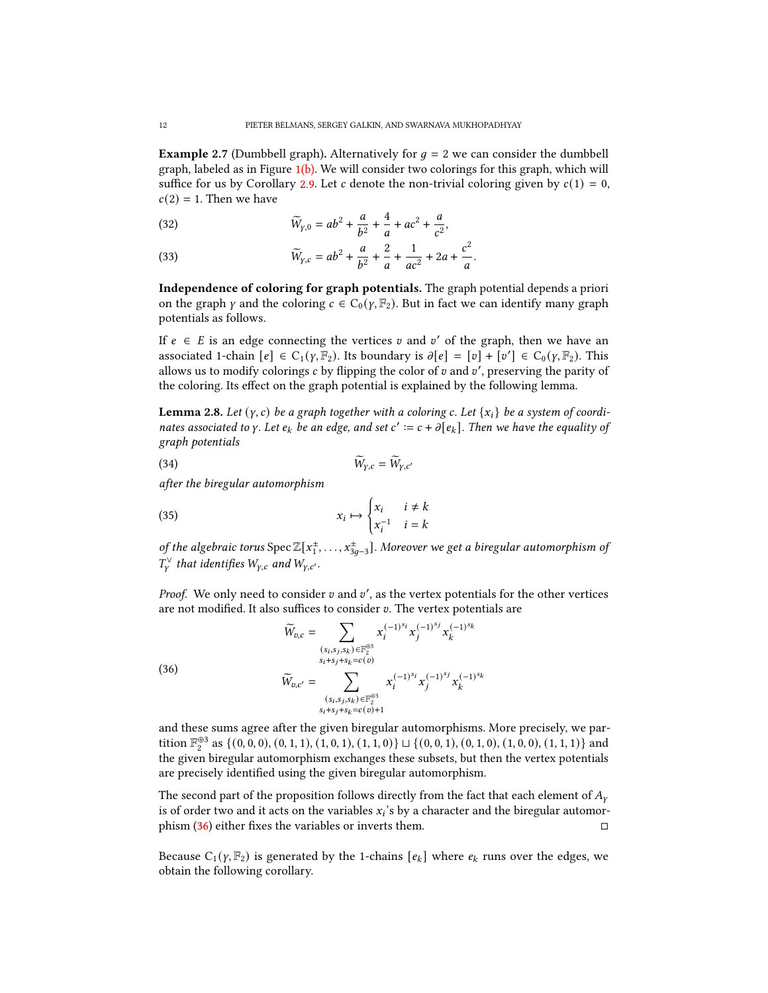**Example 2.7** (Dumbbell graph). Alternatively for  $q = 2$  we can consider the dumbbell graph, labeled as in Figure  $1(b)$ . We will consider two colorings for this graph, which will suffice for us by Corollary [2.9.](#page-11-0) Let c denote the non-trivial coloring given by  $c(1) = 0$ ,  $c(2) = 1$ . Then we have

(32) 
$$
\widetilde{W}_{y,0} = ab^2 + \frac{a}{b^2} + \frac{4}{a} + ac^2 + \frac{a}{c^2},
$$

(33) 
$$
\widetilde{W}_{y,c} = ab^2 + \frac{a}{b^2} + \frac{2}{a} + \frac{1}{ac^2} + 2a + \frac{c^2}{a}.
$$

Independence of coloring for graph potentials. The graph potential depends a priori on the graph  $\gamma$  and the coloring  $c \in C_0(\gamma, \mathbb{F}_2)$ . But in fact we can identify many graph potentials as follows.

If  $e \in E$  is an edge connecting the vertices v and v' of the graph, then we have an associated 1-chain  $[e] \in C_1(\gamma, \mathbb{F}_2)$ . Its boundary is  $\partial [e] = [v] + [v'] \in C_0(\gamma, \mathbb{F}_2)$ . This allows us to modify colorings  $c$  by flipping the color of  $v$  and  $v'$ , preserving the parity of the coloring. Its effect on the graph potential is explained by the following lemma.

**Lemma 2.8.** Let  $(y, c)$  be a graph together with a coloring c. Let  $\{x_i\}$  be a system of coordinates associated to y. Let  $e_k$  be an edge, and set  $c' := c + \partial [e_k]$ . Then we have the equality of graph potentials

$$
\widetilde{W}_{\gamma,c} = \widetilde{W}_{\gamma,c'}
$$

after the biregular automorphism

(35) 
$$
x_i \mapsto \begin{cases} x_i & i \neq k \\ x_i^{-1} & i = k \end{cases}
$$

of the algebraic torus  $\text{Spec }\mathbb{Z}[x_1^{\pm},\dots,x_{3g-3}^{\pm}].$  Moreover we get a biregular automorphism of  $T_{\scriptscriptstyle V}^{\scriptscriptstyle \vee}$  that identifies  $W_{\scriptscriptstyle Y,c}$  and  $W_{\scriptscriptstyle Y,c'}$ .

Proof. We only need to consider  $v$  and  $v'$ , as the vertex potentials for the other vertices are not modified. It also suffices to consider  $v$ . The vertex potentials are

<span id="page-11-1"></span>(36)  
\n
$$
\widetilde{W}_{v,c} = \sum_{\substack{(s_i, s_j, s_k) \in \mathbb{F}_2^{\oplus 3} \\ s_i + s_j + s_k = c(v)}} x_i^{(-1)^{s_i}} x_j^{(-1)^{s_j}} x_k^{(-1)^{s_k}}
$$
\n
$$
\widetilde{W}_{v,c'} = \sum_{\substack{(s_i, s_j, s_k) \in \mathbb{F}_2^{\oplus 3} \\ s_i + s_j + s_k = c(v) + 1}} x_i^{(-1)^{s_i}} x_j^{(-1)^{s_j}} x_k^{(-1)^{s_k}}
$$

and these sums agree after the given biregular automorphisms. More precisely, we partition  $\mathbb{F}_2^{\oplus 3}$  as  $\{(0,0,0), (0,1,1), (1,0,1), (1,1,0)\} \sqcup \{(0,0,1), (0,1,0), (1,0,0), (1,1,1)\}$  and the given biregular automorphism exchanges these subsets, but then the vertex potentials are precisely identified using the given biregular automorphism.

The second part of the proposition follows directly from the fact that each element of  $A<sub>v</sub>$ is of order two and it acts on the variables  $x_i$ 's by a character and the biregular automorphism  $(36)$  either fixes the variables or inverts them.

<span id="page-11-0"></span>Because  $C_1(\gamma, \mathbb{F}_2)$  is generated by the 1-chains  $[e_k]$  where  $e_k$  runs over the edges, we obtain the following corollary.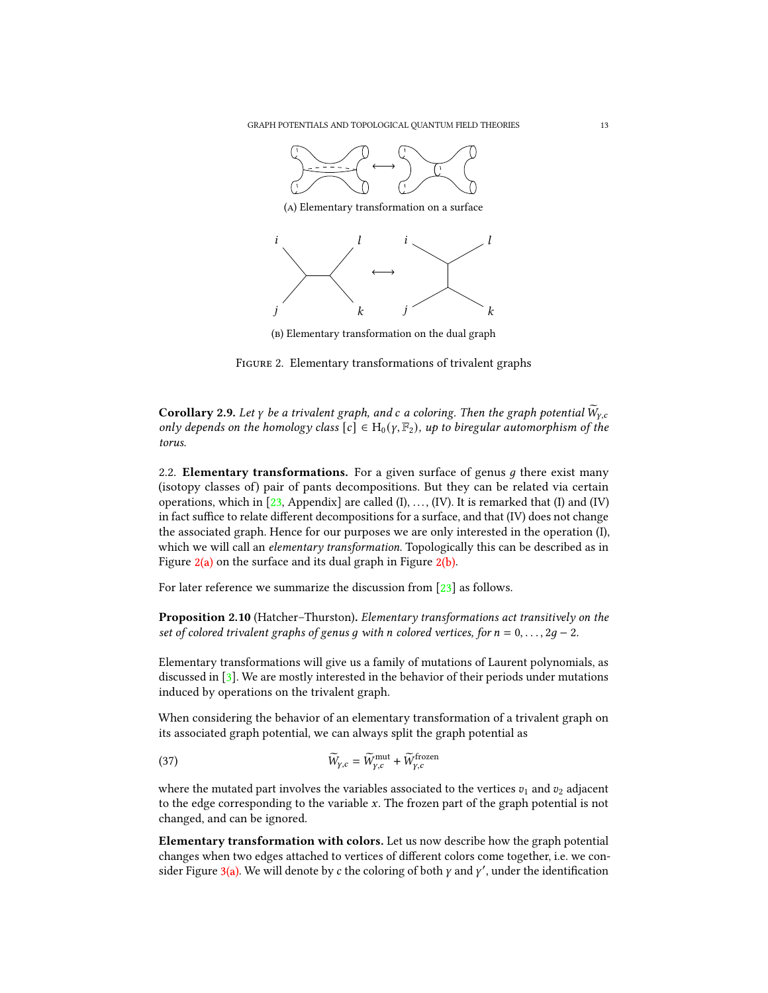<span id="page-12-1"></span>



(b) Elementary transformation on the dual graph

Figure 2. Elementary transformations of trivalent graphs

**Corollary 2.9.** Let  $\gamma$  be a trivalent graph, and c a coloring. Then the graph potential  $\widetilde{W}_{\gamma,c}$ only depends on the homology class  $[c] \in H_0(\gamma, \mathbb{F}_2)$ , up to biregular automorphism of the torus.

<span id="page-12-0"></span>2.2. Elementary transformations. For a given surface of genus  $q$  there exist many (isotopy classes of) pair of pants decompositions. But they can be related via certain operations, which in  $[23,$  Appendix] are called  $(I), \ldots, (IV)$ . It is remarked that  $(I)$  and  $(IV)$ in fact suffice to relate different decompositions for a surface, and that (IV) does not change the associated graph. Hence for our purposes we are only interested in the operation (I), which we will call an *elementary transformation*. Topologically this can be described as in Figure  $2(a)$  on the surface and its dual graph in Figure  $2(b)$ .

<span id="page-12-2"></span>For later reference we summarize the discussion from [\[23\]](#page-36-17) as follows.

Proposition 2.10 (Hatcher–Thurston). Elementary transformations act transitively on the set of colored trivalent graphs of genus g with n colored vertices, for  $n = 0, \ldots, 2g - 2$ .

Elementary transformations will give us a family of mutations of Laurent polynomials, as discussed in [\[3\]](#page-35-14). We are mostly interested in the behavior of their periods under mutations induced by operations on the trivalent graph.

When considering the behavior of an elementary transformation of a trivalent graph on its associated graph potential, we can always split the graph potential as

(37) 
$$
\widetilde{W}_{\gamma,c} = \widetilde{W}_{\gamma,c}^{\text{mut}} + \widetilde{W}_{\gamma,c}^{\text{frozen}}
$$

where the mutated part involves the variables associated to the vertices  $v_1$  and  $v_2$  adjacent to the edge corresponding to the variable  $x$ . The frozen part of the graph potential is not changed, and can be ignored.

Elementary transformation with colors. Let us now describe how the graph potential changes when two edges attached to vertices of different colors come together, i.e. we con-sider Figure [3\(a\).](#page-13-0) We will denote by  $c$  the coloring of both  $\gamma$  and  $\gamma'$ , under the identification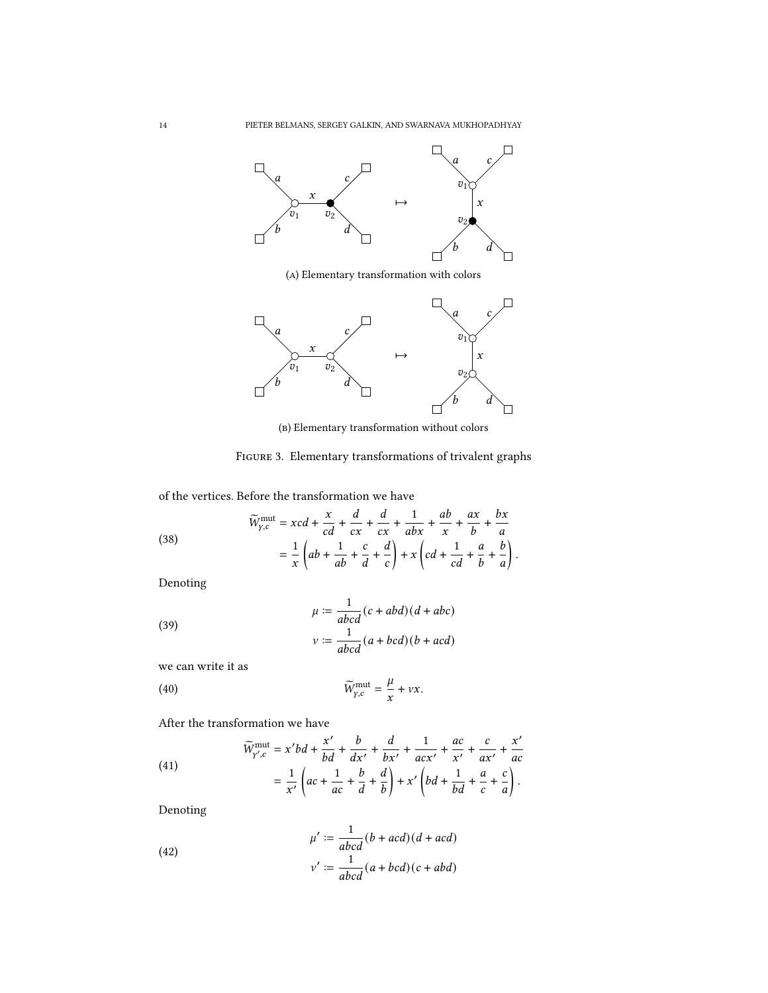<span id="page-13-0"></span>

(a) Elementary transformation with colors



(b) Elementary transformation without colors

FIGURE 3. Elementary transformations of trivalent graphs

of the vertices. Before the transformation we have

(38)  

$$
\widetilde{W}_{y,c}^{\text{mut}} = xcd + \frac{x}{cd} + \frac{d}{cx} + \frac{d}{cx} + \frac{1}{abx} + \frac{ab}{x} + \frac{ax}{b} + \frac{bx}{a}
$$

$$
= \frac{1}{x} \left( ab + \frac{1}{ab} + \frac{c}{d} + \frac{d}{c} \right) + x \left( cd + \frac{1}{cd} + \frac{a}{b} + \frac{b}{a} \right).
$$

Denoting

(39)  
\n
$$
\mu := \frac{1}{abcd}(c + abd)(d + abc)
$$
\n
$$
v := \frac{1}{abcd}(a + bcd)(b + acd)
$$

we can write it as

(40) 
$$
\widetilde{W}_{\gamma,c}^{\text{mut}} = \frac{\mu}{x} + \nu x.
$$

After the transformation we have

(41)  

$$
\widetilde{W}^{\text{mut}}_{Y',c} = x'bd + \frac{x'}{bd} + \frac{b}{dx'} + \frac{d}{bx'} + \frac{1}{acx'} + \frac{ac}{x'} + \frac{c}{ax'} + \frac{x'}{ac} + \frac{a}{ac} + \frac{1}{b'} + \frac{b}{dc} + \frac{d}{d} + \frac{b}{b'} + x'\left(bd + \frac{1}{bd} + \frac{a}{c} + \frac{c}{a}\right).
$$

Denoting

(42)  

$$
\mu' := \frac{1}{abcd}(b+acd)(d+acd)
$$

$$
\nu' := \frac{1}{abcd}(a+bcd)(c+abd)
$$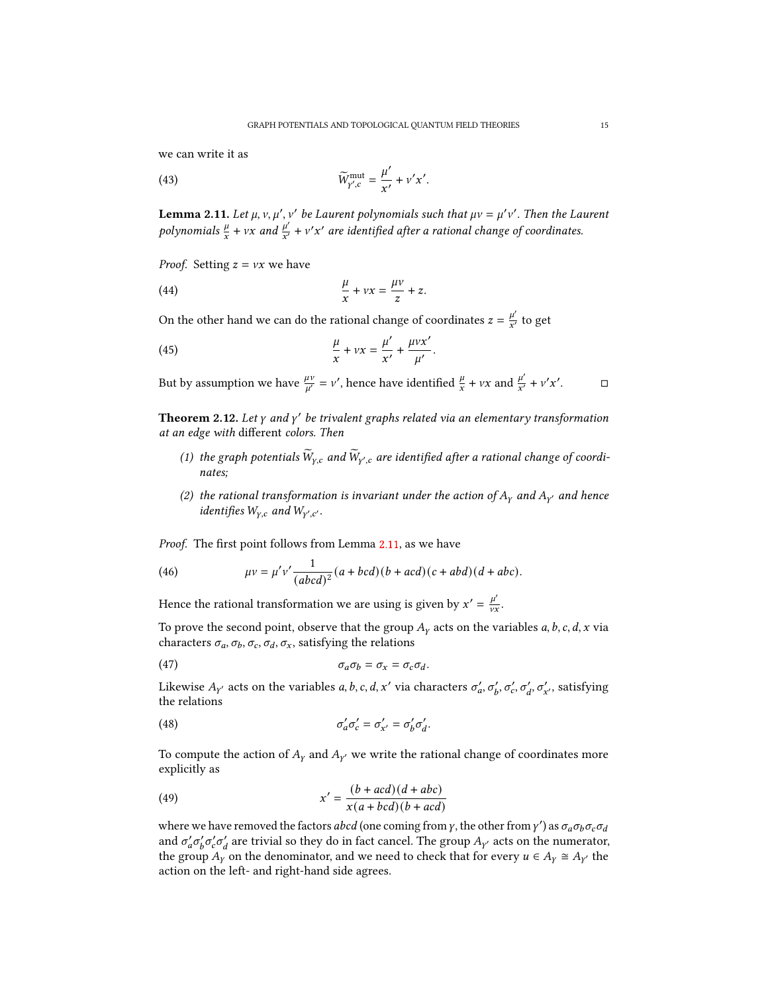we can write it as

(43) 
$$
\widetilde{W}^{\text{mut}}_{Y',c} = \frac{\mu'}{x'} + \nu' x'
$$

<span id="page-14-0"></span>**Lemma 2.11.** Let  $\mu$ ,  $\nu$ ,  $\mu'$ ,  $\nu'$  be Laurent polynomials such that  $\mu\nu = \mu'\nu'$ . Then the Laurent polynomials  $\frac{\mu}{x} + vx$  and  $\frac{\mu'}{x'}$  $\frac{\mu'}{x'} + v'x'$  are identified after a rational change of coordinates.

.

*Proof.* Setting  $z = vx$  we have

(44) 
$$
\frac{\mu}{x} + vx = \frac{\mu v}{z} + z.
$$

On the other hand we can do the rational change of coordinates  $z = \frac{\mu'}{r'}$  $\frac{\mu}{x'}$  to get

(45) 
$$
\frac{\mu}{x} + vx = \frac{\mu'}{x'} + \frac{\mu vx'}{\mu'}.
$$

But by assumption we have  $\frac{\mu\nu}{\mu'} = \nu'$ , hence have identified  $\frac{\mu}{x} + \nu x$  and  $\frac{\mu'}{x'}$  $\frac{\mu'}{x'} + v'x'$ 

 $\Box$ 

<span id="page-14-3"></span>**Theorem 2.12.** Let  $\gamma$  and  $\gamma'$  be trivalent graphs related via an elementary transformation at an edge with different colors. Then

- (1) the graph potentials  $\widetilde{W}_{\gamma,c}$  and  $\widetilde{W}_{\gamma',c}$  are identified after a rational change of coordinates;
- (2) the rational transformation is invariant under the action of  $A<sub>Y</sub>$  and  $A<sub>Y'</sub>$  and hence identifies  $W_{Y,c}$  and  $W_{Y',c'}$ .

Proof. The first point follows from Lemma [2.11,](#page-14-0) as we have

(46) 
$$
\mu v = \mu' v' \frac{1}{(abcd)^2} (a + bcd)(b + acd)(c + abd)(d + abc).
$$

Hence the rational transformation we are using is given by  $x' = \frac{\mu'}{v}$  $\frac{\mu}{\nu x}$ .

To prove the second point, observe that the group  $A<sub>y</sub>$  acts on the variables a, b, c, d, x via characters  $\sigma_a$ ,  $\sigma_b$ ,  $\sigma_c$ ,  $\sigma_d$ ,  $\sigma_x$ , satisfying the relations

<span id="page-14-1"></span>
$$
\sigma_a \sigma_b = \sigma_x = \sigma_c \sigma_d.
$$

Likewise  $A_{\gamma'}$  acts on the variables a, b, c, d, x' via characters  $\sigma'_a$ ,  $\sigma'_b$ ,  $\sigma'_c$ ,  $\sigma'_d$ ,  $\sigma'_{x'}$ , satisfying the relations

<span id="page-14-2"></span>(48) 
$$
\sigma'_a \sigma'_c = \sigma'_{x'} = \sigma'_b \sigma'_d.
$$

To compute the action of  $A_Y$  and  $A_{Y'}$  we write the rational change of coordinates more explicitly as

(49) 
$$
x' = \frac{(b+acd)(d+abc)}{x(a+bcd)(b+acd)}
$$

where we have removed the factors abcd (one coming from  $\gamma$ , the other from  $\gamma'$ ) as  $\sigma_a\sigma_b\sigma_c\sigma_d$ and  $\sigma'_a \sigma'_b \sigma'_c \sigma'_d$  are trivial so they do in fact cancel. The group  $A_{\gamma'}$  acts on the numerator, the group  $A_Y$  on the denominator, and we need to check that for every  $u \in A_Y \cong A_{Y}$  the action on the left- and right-hand side agrees.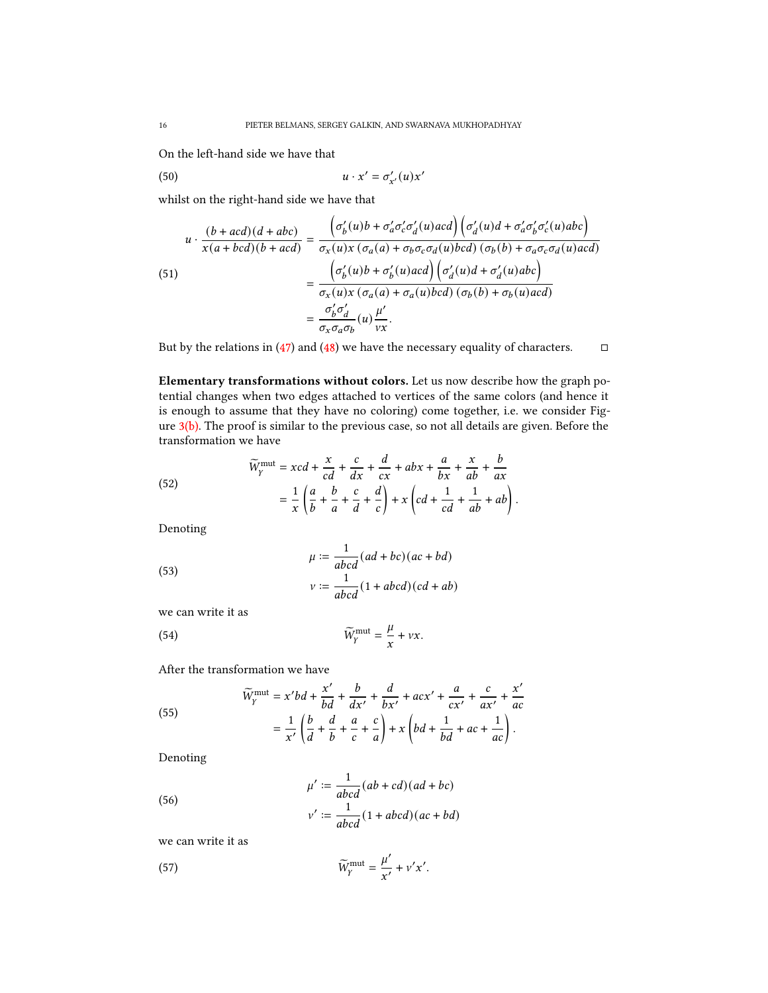On the left-hand side we have that

$$
(50) \t\t u \cdot x' = \sigma'_{x'}(u)x'
$$

whilst on the right-hand side we have that

(51)  
\n
$$
u \cdot \frac{(b+acd)(d+abc)}{x(a+bcd)(b+acd)} = \frac{\left(\sigma'_b(u)b + \sigma'_a\sigma'_c\sigma'_d(u)acd\right)\left(\sigma'_d(u)d + \sigma'_a\sigma'_b\sigma'_c(u)abc\right)}{\sigma_x(u)x\left(\sigma_a(a) + \sigma_b\sigma_c\sigma_d(u)bcd\right)\left(\sigma_b(b) + \sigma_a\sigma_c\sigma_d(u)acd\right)}
$$
\n
$$
= \frac{\left(\sigma'_b(u)b + \sigma'_b(u)acd\right)\left(\sigma'_d(u)d + \sigma'_d(u)abc\right)}{\sigma_x(u)x\left(\sigma_a(a) + \sigma_a(u)bcd\right)\left(\sigma_b(b) + \sigma_b(u)acd\right)}
$$
\n
$$
= \frac{\sigma'_b\sigma'_d}{\sigma_x\sigma_a\sigma_b}(u)\frac{\mu'}{\nu x}.
$$

But by the relations in [\(47\)](#page-14-1) and [\(48\)](#page-14-2) we have the necessary equality of characters.  $\Box$ 

Elementary transformations without colors. Let us now describe how the graph potential changes when two edges attached to vertices of the same colors (and hence it is enough to assume that they have no coloring) come together, i.e. we consider Figure [3\(b\).](#page-13-0) The proof is similar to the previous case, so not all details are given. Before the transformation we have

.

(52)  

$$
\widetilde{W}_Y^{\text{mut}} = xcd + \frac{x}{cd} + \frac{c}{dx} + \frac{d}{cx} + abx + \frac{a}{bx} + \frac{x}{ab} + \frac{b}{ax}
$$

$$
= \frac{1}{x} \left( \frac{a}{b} + \frac{b}{a} + \frac{c}{d} + \frac{d}{c} \right) + x \left( cd + \frac{1}{cd} + \frac{1}{ab} + ab \right)
$$

Denoting

(53)  

$$
\mu := \frac{1}{abcd}(ad + bc)(ac + bd)
$$

$$
\nu := \frac{1}{abcd}(1 + abcd)(cd + ab)
$$

we can write it as

(54) 
$$
\widetilde{W}_Y^{\text{mut}} = \frac{\mu}{x} + \nu x.
$$

After the transformation we have

(55) 
$$
\widetilde{W}_Y^{\text{mut}} = x'bd + \frac{x'}{bd} + \frac{b}{dx'} + \frac{d}{bx'} + acx' + \frac{a}{cx'} + \frac{c}{ax'} + \frac{x'}{ac} \n= \frac{1}{x'} \left( \frac{b}{d} + \frac{d}{b} + \frac{a}{c} + \frac{c}{a} \right) + x \left( bd + \frac{1}{bd} + ac + \frac{1}{ac} \right).
$$

 $\lambda$ 

Denoting

(56)  

$$
\mu' := \frac{1}{abcd}(ab+cd)(ad+bc)
$$

$$
v' := \frac{1}{abcd}(1+abcd)(ac+bd)
$$

we can write it as

(57) 
$$
\widetilde{W}_Y^{\text{mut}} = \frac{\mu'}{x'} + \nu' x'.
$$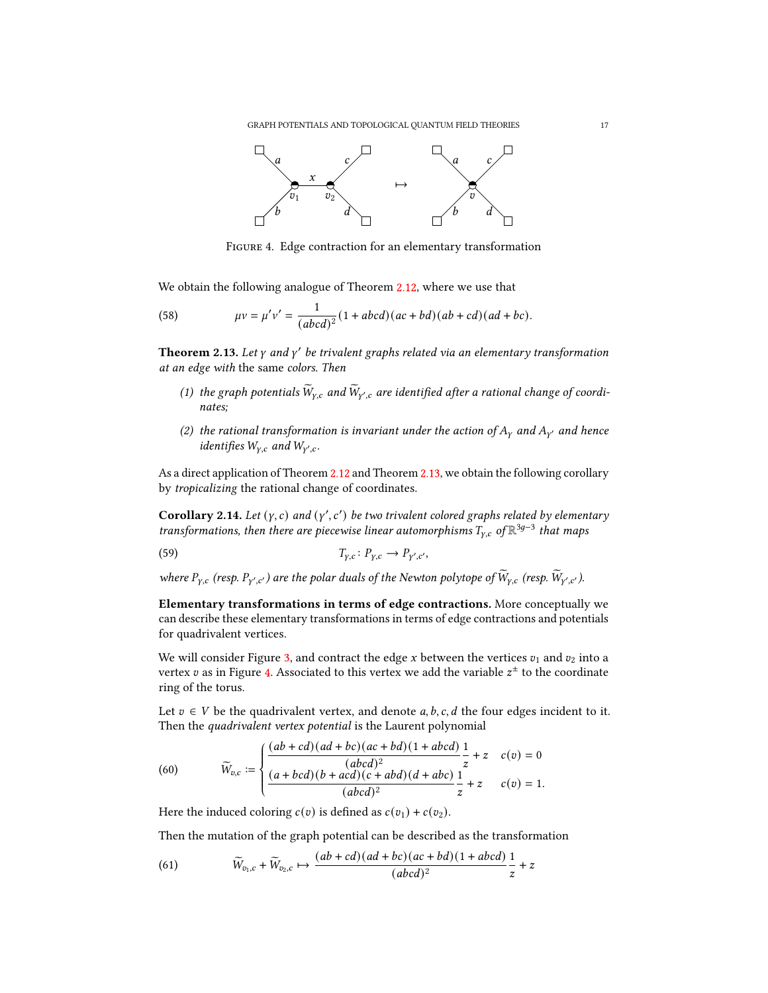GRAPH POTENTIALS AND TOPOLOGICAL QUANTUM FIELD THEORIES 17

<span id="page-16-1"></span>

Figure 4. Edge contraction for an elementary transformation

We obtain the following analogue of Theorem [2.12,](#page-14-3) where we use that

(58) 
$$
\mu v = \mu' v' = \frac{1}{(abcd)^2} (1 + abcd)(ac + bd)(ab + cd)(ad + bc).
$$

<span id="page-16-0"></span>**Theorem 2.13.** Let  $\gamma$  and  $\gamma'$  be trivalent graphs related via an elementary transformation at an edge with the same colors. Then

- (1) the graph potentials  $\widetilde{W}_{\gamma,c}$  and  $\widetilde{W}_{\gamma',c}$  are identified after a rational change of coordinates;
- (2) the rational transformation is invariant under the action of  $A<sub>y</sub>$  and  $A<sub>y'</sub>$  and hence identifies  $W_{\gamma,c}$  and  $W_{\gamma',c}$ .

As a direct application of Theorem [2.12](#page-14-3) and Theorem [2.13,](#page-16-0) we obtain the following corollary by tropicalizing the rational change of coordinates.

Corollary 2.14. Let  $(y, c)$  and  $(y', c')$  be two trivalent colored graphs related by elementary transformations, then there are piecewise linear automorphisms  $T_{\text{y,c}}$  of  $\mathbb{R}^{3g-3}$  that maps

$$
(59) \t\t T_{\gamma,c}: P_{\gamma,c} \to P_{\gamma',c'},
$$

where  $P_{\gamma,c}$  (resp.  $P_{\gamma',c'}$ ) are the polar duals of the Newton polytope of  $\widetilde{W}_{\gamma,c}$  (resp.  $\widetilde{W}_{\gamma',c'}$ ).

Elementary transformations in terms of edge contractions. More conceptually we can describe these elementary transformations in terms of edge contractions and potentials for quadrivalent vertices.

We will consider Figure [3,](#page-13-0) and contract the edge x between the vertices  $v_1$  and  $v_2$  into a vertex  $v$  as in Figure [4.](#page-16-1) Associated to this vertex we add the variable  $z^{\pm}$  to the coordinate ring of the torus.

Let  $v \in V$  be the quadrivalent vertex, and denote a, b, c, d the four edges incident to it. Then the quadrivalent vertex potential is the Laurent polynomial

(60) 
$$
\widetilde{W}_{v,c} := \begin{cases} \dfrac{(ab+cd)(ad+bc)(ac+bd)(1+abcd)}{(abcd)^2} \dfrac{1}{z} + z & c(v) = 0 \\ \dfrac{(a+bcd)(b+acd)(c+abd)(d+abc)}{(abcd)^2} \dfrac{1}{z} + z & c(v) = 1. \end{cases}
$$

Here the induced coloring  $c(v)$  is defined as  $c(v_1) + c(v_2)$ .

Then the mutation of the graph potential can be described as the transformation

(61) 
$$
\widetilde{W}_{v_1,c} + \widetilde{W}_{v_2,c} \mapsto \frac{(ab+cd)(ad+bc)(ac+bd)(1+abcd)}{(abcd)^2} \frac{1}{z} + z
$$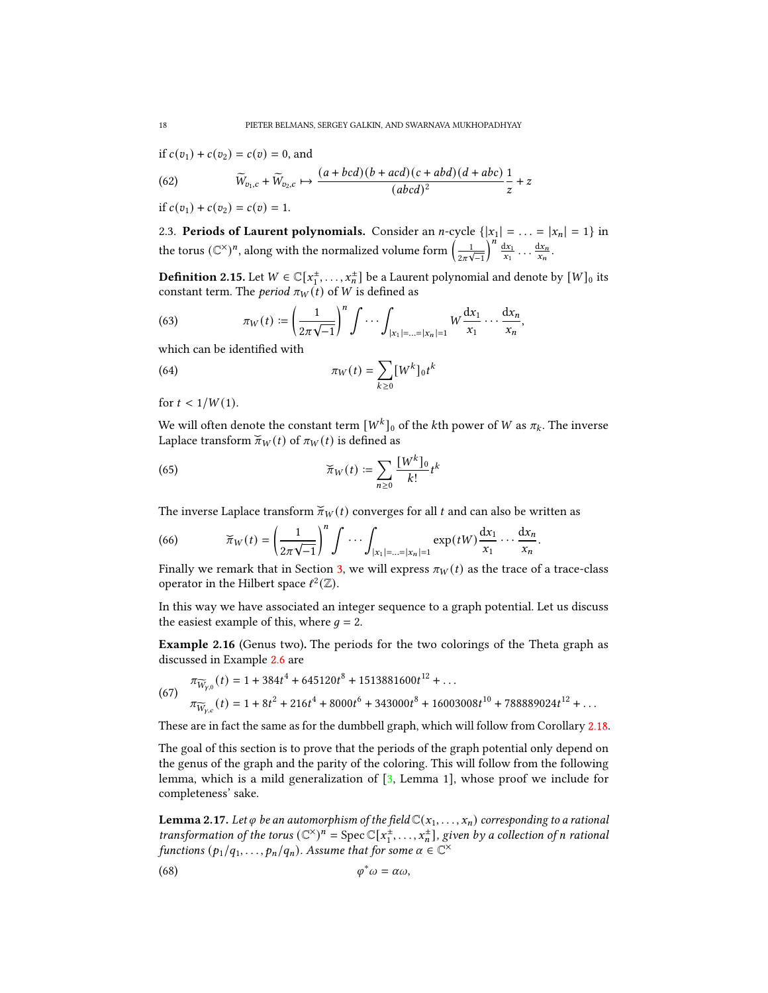if  $c(v_1) + c(v_2) = c(v) = 0$ , and

(62) 
$$
\widetilde{W}_{v_1,c} + \widetilde{W}_{v_2,c} \mapsto \frac{(a + bcd)(b + acd)(c + abd)(d + abc)}{(abcd)^2} \frac{1}{z} + z
$$

if  $c(v_1) + c(v_2) = c(v) = 1$ .

<span id="page-17-0"></span>2.3. Periods of Laurent polynomials. Consider an *n*-cycle  $\{|x_1| = \ldots = |x_n| = 1\}$  in the torus (C $^{\times})^n$ , along with the normalized volume form  $\left( \frac{1}{2\pi\sqrt{-1}}\right)$  $\int_{0}^{n} \frac{dx_1}{x_1} \ldots \frac{dx_n}{x_n}.$ 

**Definition 2.15.** Let  $W \in \mathbb{C}[x_1^{\pm}, \ldots, x_n^{\pm}]$  be a Laurent polynomial and denote by  $[W]_0$  its constant term. The *period*  $\pi_W(t)$  of W is defined as

(63) 
$$
\pi_W(t) := \left(\frac{1}{2\pi\sqrt{-1}}\right)^n \int \cdots \int_{|x_1| = ... = |x_n| = 1} W \frac{dx_1}{x_1} \cdots \frac{dx_n}{x_n},
$$

which can be identified with

(64) 
$$
\pi_W(t) = \sum_{k \ge 0} [W^k]_0 t^k
$$

for  $t < 1/W(1)$ .

We will often denote the constant term  $[W^k]_0$  of the kth power of W as  $\pi_k$ . The inverse Laplace transform  $\breve{\pi}_W(t)$  of  $\pi_W(t)$  is defined as

(65) 
$$
\widetilde{\pi}_W(t) \coloneqq \sum_{n\geq 0} \frac{[W^k]_0}{k!} t^k
$$

The inverse Laplace transform  $\widecheck{\pi}_W(t)$  converges for all  $t$  and can also be written as

(66) 
$$
\widetilde{\pi}_W(t) = \left(\frac{1}{2\pi\sqrt{-1}}\right)^n \int \cdots \int_{|x_1| = ... = |x_n| = 1} \exp(tW) \frac{dx_1}{x_1} \cdots \frac{dx_n}{x_n}
$$

Finally we remark that in Section [3,](#page-18-0) we will express  $\pi_W(t)$  as the trace of a trace-class operator in the Hilbert space  $\ell^2(\mathbb{Z})$ .

.

In this way we have associated an integer sequence to a graph potential. Let us discuss the easiest example of this, where  $q = 2$ .

<span id="page-17-1"></span>Example 2.16 (Genus two). The periods for the two colorings of the Theta graph as discussed in Example [2.6](#page-10-1) are

(67) 
$$
\pi_{\widetilde{W}_{y,0}}(t) = 1 + 384t^4 + 645120t^8 + 1513881600t^{12} + \dots
$$

$$
\pi_{\widetilde{W}_{y,c}}(t) = 1 + 8t^2 + 216t^4 + 8000t^6 + 343000t^8 + 16003008t^{10} + 788889024t^{12} + \dots
$$

These are in fact the same as for the dumbbell graph, which will follow from Corollary [2.18.](#page-18-1)

The goal of this section is to prove that the periods of the graph potential only depend on the genus of the graph and the parity of the coloring. This will follow from the following lemma, which is a mild generalization of [\[3,](#page-35-14) Lemma 1], whose proof we include for completeness' sake.

**Lemma 2.17.** Let  $\varphi$  be an automorphism of the field  $\mathbb{C}(x_1, \ldots, x_n)$  corresponding to a rational transformation of the torus  $(\mathbb{C}^{\times})^n = \text{Spec } \mathbb{C}[x_1^{\pm}, \ldots, x_n^{\pm}],$  given by a collection of n rational functions  $(p_1/q_1, \ldots, p_n/q_n)$ . Assume that for some  $\alpha \in \mathbb{C}^\times$ 

$$
\varphi^*\omega=\alpha\omega,
$$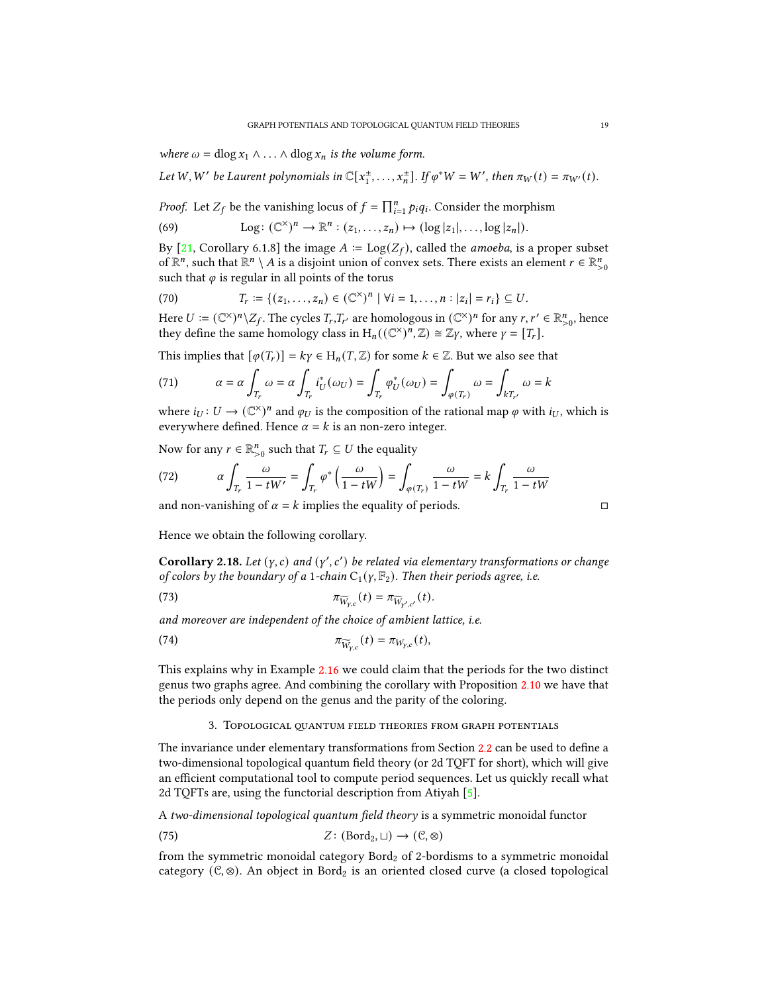where  $\omega = \text{dlog } x_1 \wedge \ldots \wedge \text{dlog } x_n$  is the volume form.

Let W, W' be Laurent polynomials in  $\mathbb{C}[x_1^{\pm},...,x_n^{\pm}]$ . If  $\varphi^*W = W'$ , then  $\pi_W(t) = \pi_{W'}(t)$ .

*Proof.* Let  $Z_f$  be the vanishing locus of  $f = \prod_{i=1}^n p_i q_i$ . Consider the morphism

(69) 
$$
\text{Log}: (\mathbb{C}^{\times})^n \to \mathbb{R}^n: (z_1,\ldots,z_n) \mapsto (\log |z_1|,\ldots,\log |z_n|).
$$

By [\[21,](#page-36-18) Corollary 6.1.8] the image  $A := \text{Log}(Z_f)$ , called the *amoeba*, is a proper subset of  $\mathbb{R}^n$ , such that  $\mathbb{R}^n \setminus A$  is a disjoint union of convex sets. There exists an element  $r \in \mathbb{R}^n_{>0}$ such that  $\varphi$  is regular in all points of the torus

(70) 
$$
T_r := \{ (z_1, ..., z_n) \in (\mathbb{C}^{\times})^n \mid \forall i = 1, ..., n : |z_i| = r_i \} \subseteq U.
$$

Here  $U := (\mathbb{C}^{\times})^n \setminus Z_f$ . The cycles  $T_r, T_{r'}$  are homologous in  $(\mathbb{C}^{\times})^n$  for any  $r, r' \in \mathbb{R}^n_{>0}$ , hence they define the same homology class in  $H_n((\mathbb{C}^\times)^n, \mathbb{Z}) \cong \mathbb{Z}\gamma$ , where  $\gamma = [T_r]$ .

This implies that  $[\varphi(T_r)] = k\gamma \in H_n(T, \mathbb{Z})$  for some  $k \in \mathbb{Z}$ . But we also see that

(71) 
$$
\alpha = \alpha \int_{T_r} \omega = \alpha \int_{T_r} i_U^*(\omega_U) = \int_{T_r} \varphi_U^*(\omega_U) = \int_{\varphi(T_r)} \omega = \int_{kT_{r'}} \omega = k
$$

where  $i_U: U \to (\mathbb{C}^{\times})^n$  and  $\varphi_U$  is the composition of the rational map  $\varphi$  with  $i_U$ , which is everywhere defined. Hence  $\alpha = k$  is an non-zero integer.

Now for any  $r \in \mathbb{R}_{>0}^n$  such that  $T_r \subseteq U$  the equality

(72) 
$$
\alpha \int_{T_r} \frac{\omega}{1 - tW'} = \int_{T_r} \varphi^* \left( \frac{\omega}{1 - tW} \right) = \int_{\varphi(T_r)} \frac{\omega}{1 - tW} = k \int_{T_r} \frac{\omega}{1 - tW}
$$

and non-vanishing of  $\alpha = k$  implies the equality of periods.

<span id="page-18-1"></span>Hence we obtain the following corollary.

Corollary 2.18. Let  $(y, c)$  and  $(y', c')$  be related via elementary transformations or change of colors by the boundary of a 1-chain  $C_1(y, \mathbb{F}_2)$ . Then their periods agree, i.e.

(73) 
$$
\pi_{\widetilde{W}_{\gamma,c}}(t) = \pi_{\widetilde{W}_{\gamma',c'}}(t).
$$

and moreover are independent of the choice of ambient lattice, i.e.

(74) 
$$
\pi_{\widetilde{W}_{Y,c}}(t) = \pi_{W_{Y,c}}(t),
$$

This explains why in Example [2.16](#page-17-1) we could claim that the periods for the two distinct genus two graphs agree. And combining the corollary with Proposition [2.10](#page-12-2) we have that the periods only depend on the genus and the parity of the coloring.

## 3. TOPOLOGICAL QUANTUM FIELD THEORIES FROM GRAPH POTENTIALS

<span id="page-18-0"></span>The invariance under elementary transformations from Section [2.2](#page-12-0) can be used to define a two-dimensional topological quantum field theory (or 2d TQFT for short), which will give an efficient computational tool to compute period sequences. Let us quickly recall what 2d TQFTs are, using the functorial description from Atiyah [\[5\]](#page-35-15).

A two-dimensional topological quantum field theory is a symmetric monoidal functor

(75) 
$$
Z: (\text{Bord}_2, \sqcup) \to (\mathcal{C}, \otimes)
$$

from the symmetric monoidal category  $Bord<sub>2</sub>$  of 2-bordisms to a symmetric monoidal category ( $\mathcal{C}, \otimes$ ). An object in Bord<sub>2</sub> is an oriented closed curve (a closed topological

$$
\Box
$$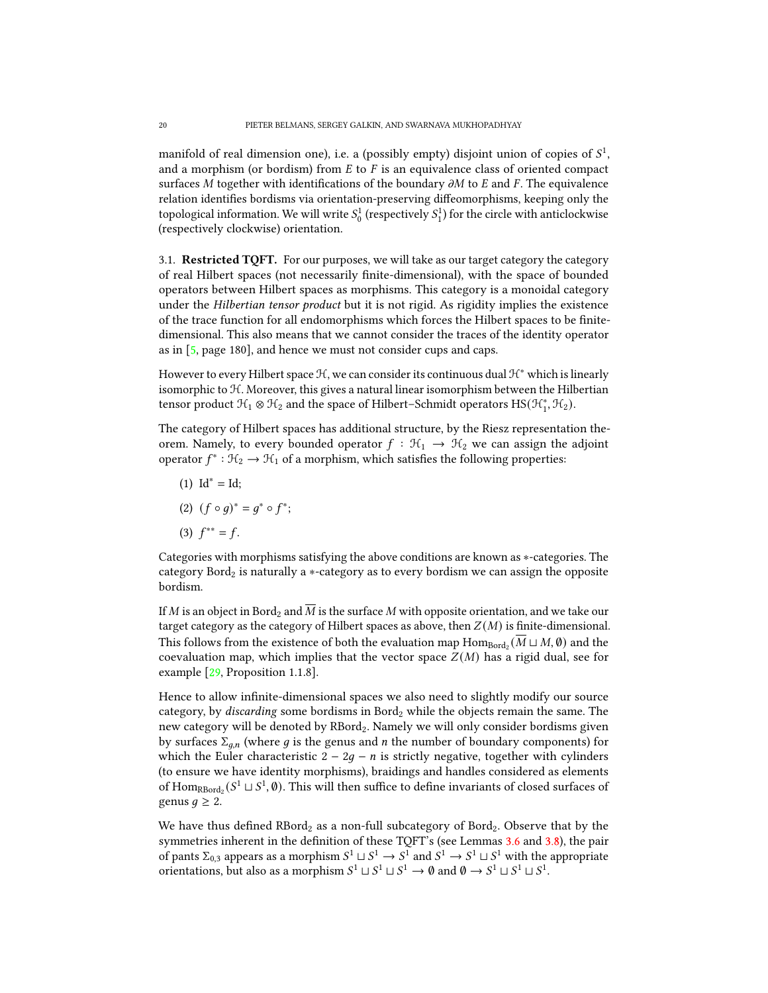manifold of real dimension one), i.e. a (possibly empty) disjoint union of copies of  $S^1$ , and a morphism (or bordism) from  $E$  to  $F$  is an equivalence class of oriented compact surfaces  $M$  together with identifications of the boundary  $\partial M$  to  $E$  and  $F$ . The equivalence relation identifies bordisms via orientation-preserving diffeomorphisms, keeping only the topological information. We will write  $S^1_0$  (respectively  $S^1_1$ ) for the circle with anticlockwise (respectively clockwise) orientation.

<span id="page-19-0"></span>3.1. Restricted TQFT. For our purposes, we will take as our target category the category of real Hilbert spaces (not necessarily finite-dimensional), with the space of bounded operators between Hilbert spaces as morphisms. This category is a monoidal category under the Hilbertian tensor product but it is not rigid. As rigidity implies the existence of the trace function for all endomorphisms which forces the Hilbert spaces to be finitedimensional. This also means that we cannot consider the traces of the identity operator as in [\[5,](#page-35-15) page 180], and hence we must not consider cups and caps.

However to every Hilbert space  $\mathcal{H}$ , we can consider its continuous dual  $\mathcal{H}^*$  which is linearly isomorphic to H. Moreover, this gives a natural linear isomorphism between the Hilbertian tensor product  $\mathcal{H}_1 \otimes \mathcal{H}_2$  and the space of Hilbert–Schmidt operators  $\text{HS}(\mathcal{H}_1^*, \mathcal{H}_2)$ .

The category of Hilbert spaces has additional structure, by the Riesz representation theorem. Namely, to every bounded operator  $f : \mathcal{H}_1 \to \mathcal{H}_2$  we can assign the adjoint operator  $f^* : \mathcal{H}_2 \to \mathcal{H}_1$  of a morphism, which satisfies the following properties:

- $(1)$  Id<sup>\*</sup> = Id;
- (2)  $(f \circ g)^* = g^* \circ f^*$ ;
- (3)  $f^{**} = f$ .

Categories with morphisms satisfying the above conditions are known as ∗-categories. The category Bord<sub>2</sub> is naturally a  $*$ -category as to every bordism we can assign the opposite bordism.

If M is an object in Bord<sub>2</sub> and  $\overline{M}$  is the surface M with opposite orientation, and we take our target category as the category of Hilbert spaces as above, then  $Z(M)$  is finite-dimensional. This follows from the existence of both the evaluation map  $\mathrm{Hom}_{\mathrm{Bord}_2}(\overline{M}\sqcup M,\emptyset)$  and the coevaluation map, which implies that the vector space  $Z(M)$  has a rigid dual, see for example [\[29,](#page-36-19) Proposition 1.1.8].

Hence to allow infinite-dimensional spaces we also need to slightly modify our source category, by *discarding* some bordisms in Bord<sub>2</sub> while the objects remain the same. The new category will be denoted by RBord2. Namely we will only consider bordisms given by surfaces  $\Sigma_{q,n}$  (where g is the genus and n the number of boundary components) for which the Euler characteristic  $2 - 2q - n$  is strictly negative, together with cylinders (to ensure we have identity morphisms), braidings and handles considered as elements of  $\text{Hom}_{\text{RBord}_2}(S^1 \sqcup S^1, \emptyset)$ . This will then suffice to define invariants of closed surfaces of genus  $q \geq 2$ .

We have thus defined  $RBord<sub>2</sub>$  as a non-full subcategory of Bord<sub>2</sub>. Observe that by the symmetries inherent in the definition of these TQFT's (see Lemmas [3.6](#page-22-1) and [3.8\)](#page-22-2), the pair of pants  $\Sigma_{0,3}$  appears as a morphism  $S^1 \sqcup S^1 \to S^1$  and  $S^1 \to S^1 \sqcup S^1$  with the appropriate orientations, but also as a morphism  $S^1 \sqcup S^1 \sqcup S^1 \rightarrow \emptyset$  and  $\emptyset \rightarrow S^1 \sqcup S^1 \sqcup S^1$ .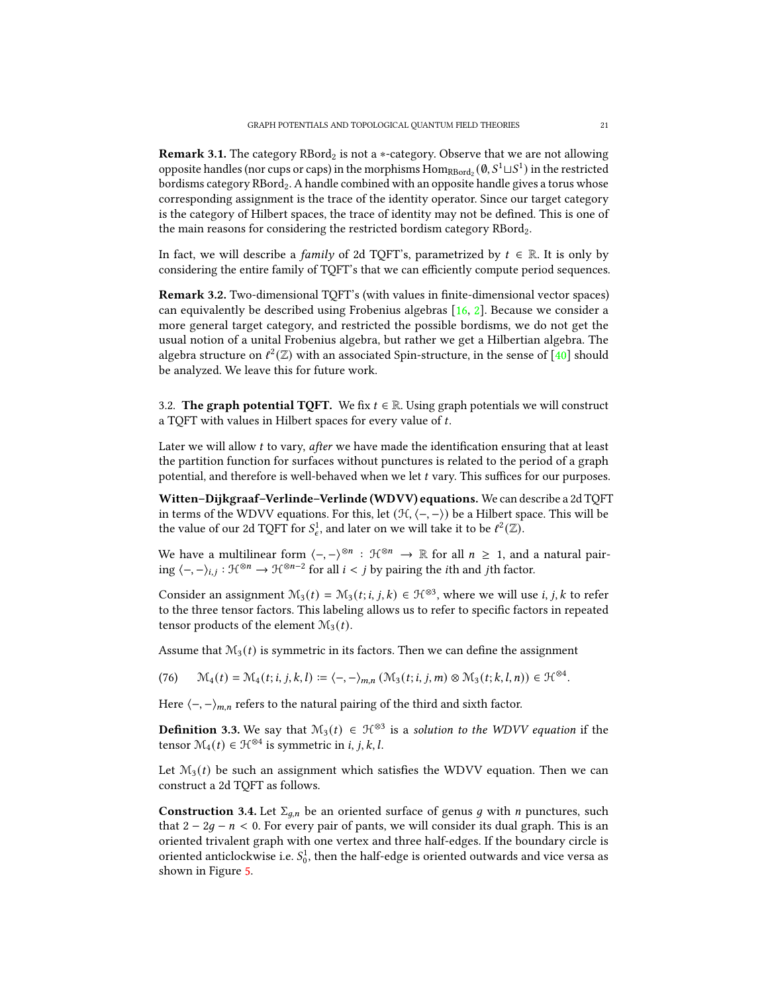Remark 3.1. The category  $RBord<sub>2</sub>$  is not a  $*$ -category. Observe that we are not allowing opposite handles (nor cups or caps) in the morphisms  $\rm{Hom}_{\rm RBord}_2(\mathbf{0}, S^1\sqcup S^1)$  in the restricted bordisms category RBord<sub>2</sub>. A handle combined with an opposite handle gives a torus whose corresponding assignment is the trace of the identity operator. Since our target category is the category of Hilbert spaces, the trace of identity may not be defined. This is one of the main reasons for considering the restricted bordism category RBord<sub>2</sub>.

In fact, we will describe a *family* of 2d TQFT's, parametrized by  $t \in \mathbb{R}$ . It is only by considering the entire family of TQFT's that we can efficiently compute period sequences.

Remark 3.2. Two-dimensional TQFT's (with values in finite-dimensional vector spaces) can equivalently be described using Frobenius algebras [\[16,](#page-35-16) [2\]](#page-35-17). Because we consider a more general target category, and restricted the possible bordisms, we do not get the usual notion of a unital Frobenius algebra, but rather we get a Hilbertian algebra. The algebra structure on  $\ell^2(\mathbb{Z})$  with an associated Spin-structure, in the sense of [\[40\]](#page-36-20) should be analyzed. We leave this for future work.

<span id="page-20-0"></span>3.2. The graph potential TQFT. We fix  $t \in \mathbb{R}$ . Using graph potentials we will construct a TQFT with values in Hilbert spaces for every value of t.

Later we will allow  $t$  to vary, *after* we have made the identification ensuring that at least the partition function for surfaces without punctures is related to the period of a graph potential, and therefore is well-behaved when we let t vary. This suffices for our purposes.

Witten–Dijkgraaf–Verlinde–Verlinde (WDVV) equations. We can describe a 2d TQFT in terms of the WDVV equations. For this, let  $(\mathcal{H}, \langle -, -\rangle)$  be a Hilbert space. This will be the value of our 2d TQFT for  $S^1_{\epsilon}$ , and later on we will take it to be  $\ell^2(\mathbb{Z})$ .

We have a multilinear form  $\langle -, -\rangle^{\otimes n} : \mathcal{H}^{\otimes n} \to \mathbb{R}$  for all  $n \geq 1$ , and a natural pairing  $\langle -, -\rangle_{i,j} : \mathfrak{H}^{\otimes n} \to \mathfrak{H}^{\otimes n-2}$  for all  $i < j$  by pairing the *i*th and *j*th factor.

Consider an assignment  $\mathcal{M}_3(t) = \mathcal{M}_3(t; i, j, k) \in \mathcal{H}^{\otimes 3}$ , where we will use *i*, *j*, *k* to refer to the three tensor factors. This labeling allows us to refer to specific factors in repeated tensor products of the element  $\mathcal{M}_3(t)$ .

Assume that  $\mathcal{M}_3(t)$  is symmetric in its factors. Then we can define the assignment

 $(M_4(t) = M_4(t; i, j, k, l) := \langle -, - \rangle_{m,n} (M_3(t; i, j, m) \otimes M_3(t; k, l, n)) \in \mathcal{H}^{\otimes 4}.$ 

Here  $\langle -, - \rangle_{m,n}$  refers to the natural pairing of the third and sixth factor.

**Definition 3.3.** We say that  $M_3(t) \in \mathcal{H}^{\otimes 3}$  is a solution to the WDVV equation if the tensor  $\mathcal{M}_4(t) \in \mathcal{H}^{\otimes 4}$  is symmetric in *i*, *j*, *k*, *l*.

Let  $\mathcal{M}_3(t)$  be such an assignment which satisfies the WDVV equation. Then we can construct a 2d TQFT as follows.

<span id="page-20-1"></span>**Construction 3.4.** Let  $\Sigma_{q,n}$  be an oriented surface of genus g with *n* punctures, such that  $2 - 2g - n < 0$ . For every pair of pants, we will consider its dual graph. This is an oriented trivalent graph with one vertex and three half-edges. If the boundary circle is oriented anticlockwise i.e.  $S_0^1$ , then the half-edge is oriented outwards and vice versa as shown in Figure [5.](#page-21-0)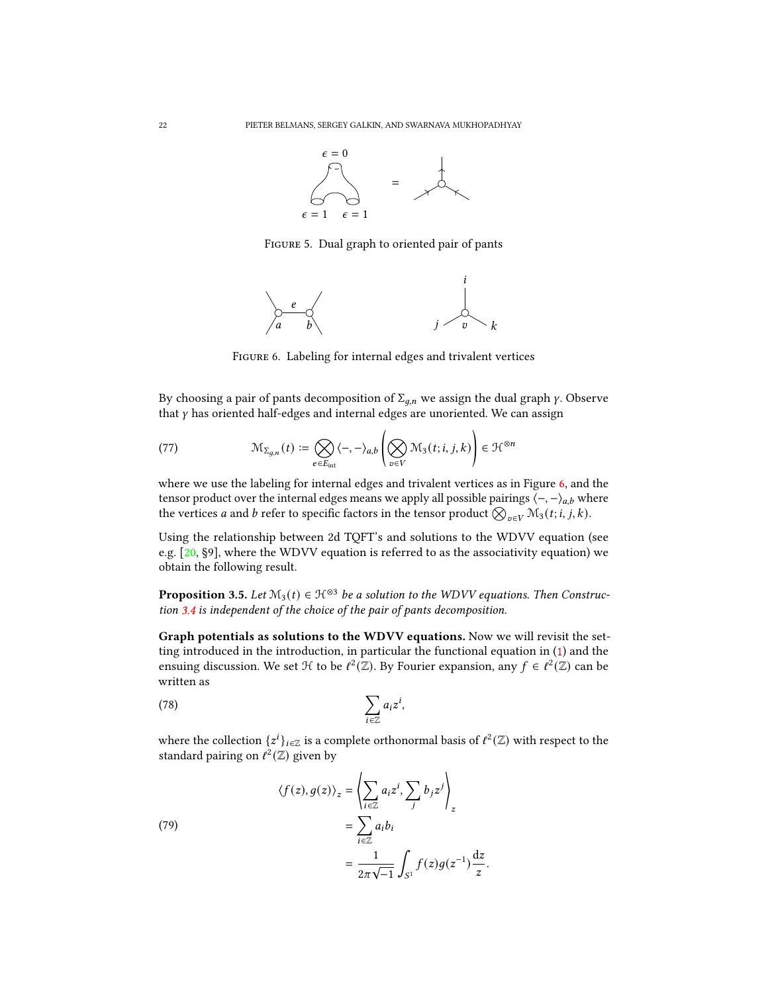<span id="page-21-0"></span>

Figure 5. Dual graph to oriented pair of pants

<span id="page-21-1"></span>

<span id="page-21-2"></span>FIGURE 6. Labeling for internal edges and trivalent vertices

By choosing a pair of pants decomposition of  $\Sigma_{q,n}$  we assign the dual graph  $\gamma$ . Observe that  $\gamma$  has oriented half-edges and internal edges are unoriented. We can assign

(77) 
$$
\mathcal{M}_{\Sigma_{g,n}}(t) := \bigotimes_{e \in E_{\text{int}}} \langle -, -\rangle_{a,b} \left( \bigotimes_{v \in V} \mathcal{M}_3(t; i, j, k) \right) \in \mathcal{H}^{\otimes n}
$$

where we use the labeling for internal edges and trivalent vertices as in Figure [6,](#page-21-1) and the tensor product over the internal edges means we apply all possible pairings  $\langle -,-\rangle_{a,b}$  where the vertices  $a$  and  $b$  refer to specific factors in the tensor product  $\bigotimes_{v\in V}\mathcal{M}_3(t;i,j,k).$ 

Using the relationship between 2d TQFT's and solutions to the WDVV equation (see e.g.  $[20, §9]$  $[20, §9]$ , where the WDVV equation is referred to as the associativity equation) we obtain the following result.

<span id="page-21-3"></span>**Proposition 3.5.** Let  $M_3(t) \in \mathcal{H}^{\otimes 3}$  be a solution to the WDVV equations. Then Construction [3.4](#page-20-1) is independent of the choice of the pair of pants decomposition.

Graph potentials as solutions to the WDVV equations. Now we will revisit the setting introduced in the introduction, in particular the functional equation in [\(1\)](#page-1-1) and the ensuing discussion. We set  $\mathcal H$  to be  $\ell^2(\mathbb Z)$ . By Fourier expansion, any  $f \in \ell^2(\mathbb Z)$  can be written as

,

$$
(78)\qquad \qquad \sum_{i\in\mathbb{Z}}a_iz^i
$$

where the collection  $\{z^i\}_{i\in\mathbb{Z}}$  is a complete orthonormal basis of  $\ell^2(\mathbb{Z})$  with respect to the standard pairing on  $\ell^2(\mathbb{Z})$  given by

(79)  
\n
$$
\langle f(z), g(z) \rangle_z = \left\langle \sum_{i \in \mathbb{Z}} a_i z^i, \sum_j b_j z^j \right\rangle_z
$$
\n
$$
= \sum_{i \in \mathbb{Z}} a_i b_i
$$
\n
$$
= \frac{1}{2\pi \sqrt{-1}} \int_{S^1} f(z) g(z^{-1}) \frac{dz}{z}.
$$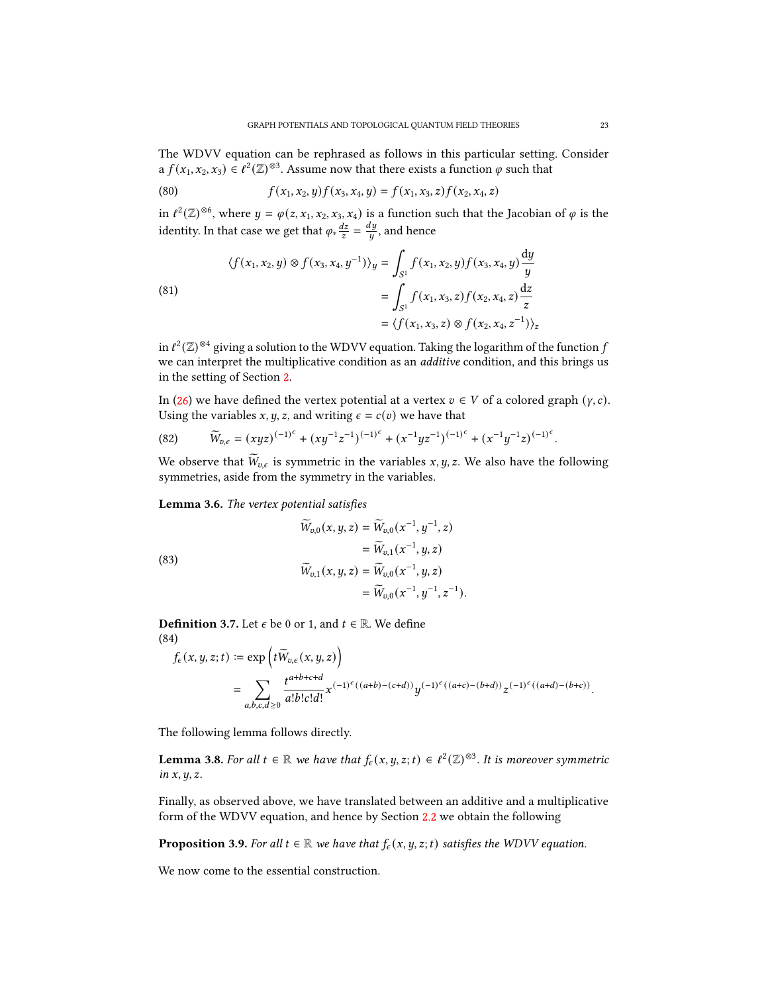The WDVV equation can be rephrased as follows in this particular setting. Consider a  $f(x_1, x_2, x_3) \in \ell^2(\mathbb{Z})^{\otimes 3}$ . Assume now that there exists a function  $\varphi$  such that

(80) 
$$
f(x_1, x_2, y) f(x_3, x_4, y) = f(x_1, x_3, z) f(x_2, x_4, z)
$$

in  $\ell^2(\mathbb{Z})^{\otimes 6}$ , where  $y = \varphi(z, x_1, x_2, x_3, x_4)$  is a function such that the Jacobian of  $\varphi$  is the identity. In that case we get that  $\varphi_* \frac{dz}{z} = \frac{dy}{u}$  $\frac{dy}{y}$ , and hence

(81)  
\n
$$
\langle f(x_1, x_2, y) \otimes f(x_3, x_4, y^{-1}) \rangle_y = \int_{S^1} f(x_1, x_2, y) f(x_3, x_4, y) \frac{dy}{y}
$$
\n
$$
= \int_{S^1} f(x_1, x_3, z) f(x_2, x_4, z) \frac{dz}{z}
$$
\n
$$
= \langle f(x_1, x_3, z) \otimes f(x_2, x_4, z^{-1}) \rangle_z
$$

in  $\ell^2(\mathbb{Z})^{\otimes 4}$  giving a solution to the WDVV equation. Taking the logarithm of the function  $f$ we can interpret the multiplicative condition as an additive condition, and this brings us in the setting of Section [2.](#page-7-0)

In [\(26\)](#page-9-0) we have defined the vertex potential at a vertex  $v \in V$  of a colored graph  $(y, c)$ . Using the variables  $x, y, z$ , and writing  $\epsilon = c(v)$  we have that

(82) 
$$
\widetilde{W}_{v,\epsilon} = (xyz)^{(-1)^{\epsilon}} + (xy^{-1}z^{-1})^{(-1)^{\epsilon}} + (x^{-1}yz^{-1})^{(-1)^{\epsilon}} + (x^{-1}y^{-1}z)^{(-1)^{\epsilon}}
$$

We observe that  $\widetilde{W}_{v,\epsilon}$  is symmetric in the variables x, y, z. We also have the following symmetries, aside from the symmetry in the variables.

<span id="page-22-1"></span>Lemma 3.6. The vertex potential satisfies

(83)  
\n
$$
\widetilde{W}_{v,0}(x, y, z) = \widetilde{W}_{v,0}(x^{-1}, y^{-1}, z)
$$
\n
$$
= \widetilde{W}_{v,1}(x^{-1}, y, z)
$$
\n
$$
\widetilde{W}_{v,1}(x, y, z) = \widetilde{W}_{v,0}(x^{-1}, y, z)
$$
\n
$$
= \widetilde{W}_{v,0}(x^{-1}, y^{-1}, z^{-1}).
$$

**Definition 3.7.** Let  $\epsilon$  be 0 or 1, and  $t \in \mathbb{R}$ . We define (84)

$$
f_{\epsilon}(x, y, z; t) \coloneqq \exp\left(t\widetilde{W}_{v,\epsilon}(x, y, z)\right)
$$
  
= 
$$
\sum_{a,b,c,d \geq 0} \frac{t^{a+b+c+d}}{a!b!c!d!} x^{(-1)^{\epsilon}((a+b)-(c+d))} y^{(-1)^{\epsilon}((a+c)-(b+d))} z^{(-1)^{\epsilon}((a+d)-(b+c))}.
$$

The following lemma follows directly.

<span id="page-22-2"></span>**Lemma 3.8.** For all  $t \in \mathbb{R}$  we have that  $f_{\epsilon}(x, y, z; t) \in \ell^2(\mathbb{Z})^{\otimes 3}$ . It is moreover symmetric in  $x, y, z$ .

Finally, as observed above, we have translated between an additive and a multiplicative form of the WDVV equation, and hence by Section [2.2](#page-12-0) we obtain the following

**Proposition 3.9.** For all  $t \in \mathbb{R}$  we have that  $f_{\epsilon}(x, y, z; t)$  satisfies the WDVV equation.

<span id="page-22-0"></span>We now come to the essential construction.

.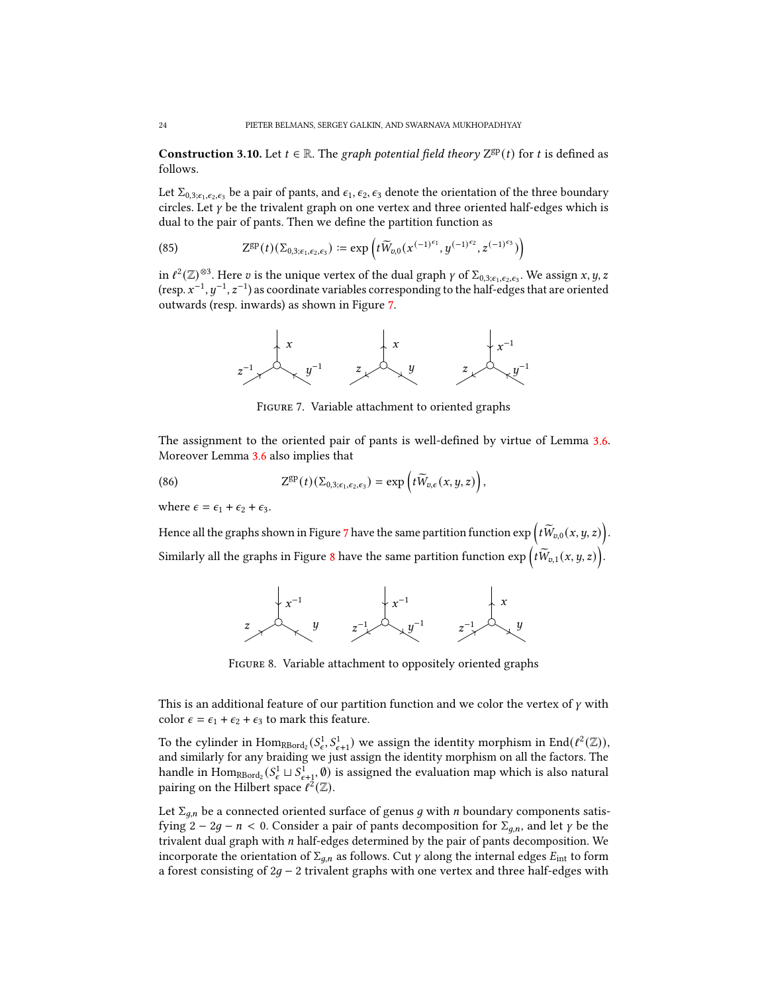**Construction 3.10.** Let  $t \in \mathbb{R}$ . The graph potential field theory  $Z^{gp}(t)$  for t is defined as follows.

Let  $\Sigma_{0,3;\epsilon_1,\epsilon_2,\epsilon_3}$  be a pair of pants, and  $\epsilon_1,\epsilon_2,\epsilon_3$  denote the orientation of the three boundary circles. Let  $\gamma$  be the trivalent graph on one vertex and three oriented half-edges which is dual to the pair of pants. Then we define the partition function as

<span id="page-23-2"></span>(85) 
$$
Z^{\rm gp}(t)(\Sigma_{0,3;\epsilon_1,\epsilon_2,\epsilon_3}) \coloneqq \exp\left(t\widetilde{W}_{v,0}(x^{(-1)^{\epsilon_1}},y^{(-1)^{\epsilon_2}},z^{(-1)^{\epsilon_3}})\right)
$$

<span id="page-23-0"></span>in  $\ell^2(\mathbb{Z})^{\otimes 3}$ . Here  $v$  is the unique vertex of the dual graph  $\gamma$  of  $\Sigma_{0,3;\epsilon_1,\epsilon_2,\epsilon_3}$ . We assign  $x, y, z$ (resp.  $x^{-1}$ ,  $y^{-1}$ ,  $z^{-1}$ ) as coordinate variables corresponding to the half-edges that are oriented outwards (resp. inwards) as shown in Figure [7.](#page-23-0)



<span id="page-23-3"></span>Figure 7. Variable attachment to oriented graphs

The assignment to the oriented pair of pants is well-defined by virtue of Lemma [3.6.](#page-22-1) Moreover Lemma [3.6](#page-22-1) also implies that

(86) 
$$
Z^{\rm gp}(t)(\Sigma_{0,3;\epsilon_1,\epsilon_2,\epsilon_3}) = \exp\left(t\widetilde{W}_{v,\epsilon}(x,y,z)\right),
$$

where  $\epsilon = \epsilon_1 + \epsilon_2 + \epsilon_3$ .

<span id="page-23-1"></span>Hence all the graphs shown in Figure [7](#page-23-0) have the same partition function  $\exp\Big(t\widetilde{W}_{v,0}(x,y,z)\Big).$ Similarly all the graphs in Figure [8](#page-23-1) have the same partition function  $\exp\Big(t\widetilde{W}_{v,1}(x,y,z)\Big).$ 



Figure 8. Variable attachment to oppositely oriented graphs

This is an additional feature of our partition function and we color the vertex of  $\gamma$  with color  $\epsilon = \epsilon_1 + \epsilon_2 + \epsilon_3$  to mark this feature.

To the cylinder in  $\text{Hom}_{\text{RBord}_2}(S^1_{\epsilon}, S^1_{\epsilon+1})$  we assign the identity morphism in  $\text{End}(\ell^2(\mathbb{Z}))$ , and similarly for any braiding we just assign the identity morphism on all the factors. The handle in  $\text{Hom}_{\text{RBord}_2}(S^1_\epsilon \sqcup S^1_{\epsilon+1}, \emptyset)$  is assigned the evaluation map which is also natural pairing on the Hilbert space  $\ell^2(\mathbb{Z})$ .

Let  $\Sigma_{q,n}$  be a connected oriented surface of genus g with n boundary components satisfying  $2 - 2g - n < 0$ . Consider a pair of pants decomposition for  $\Sigma_{g,n}$ , and let  $\gamma$  be the trivalent dual graph with  $n$  half-edges determined by the pair of pants decomposition. We incorporate the orientation of  $\Sigma_{q,n}$  as follows. Cut  $\gamma$  along the internal edges  $E_{\text{int}}$  to form a forest consisting of  $2g - 2$  trivalent graphs with one vertex and three half-edges with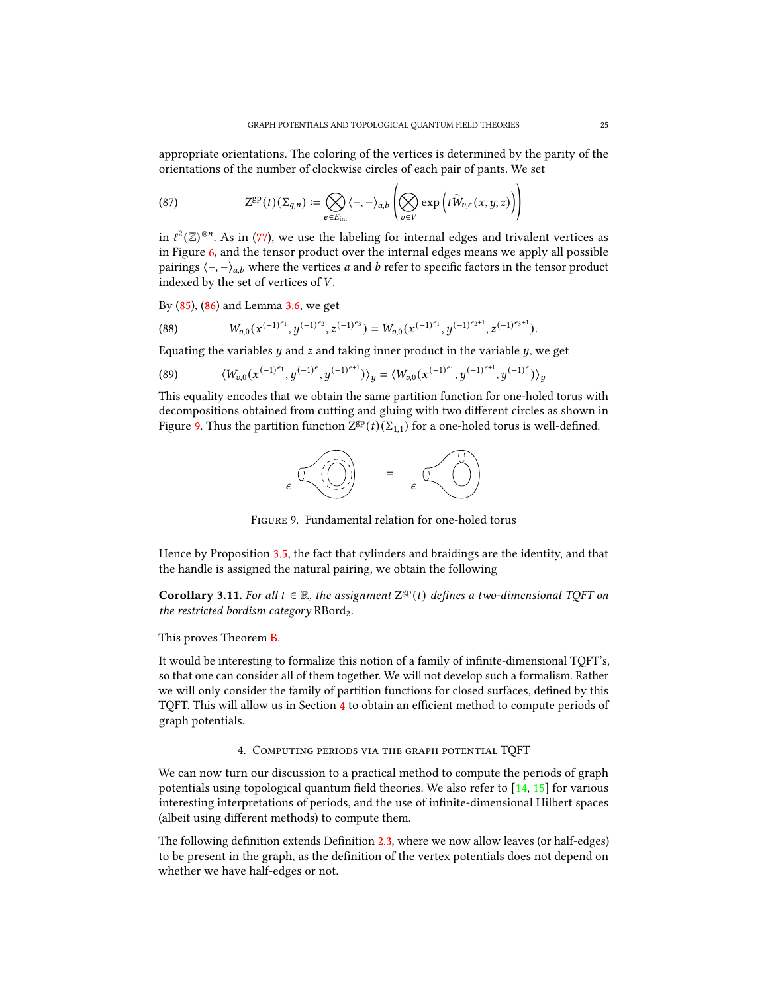appropriate orientations. The coloring of the vertices is determined by the parity of the orientations of the number of clockwise circles of each pair of pants. We set

(87) 
$$
Z^{\rm gp}(t)(\Sigma_{g,n}) \coloneqq \bigotimes_{e \in E_{\rm int}} \langle -, -\rangle_{a,b} \left( \bigotimes_{v \in V} \exp \left( t \widetilde{W}_{v,\epsilon}(x,y,z) \right) \right)
$$

in  $\ell^2(\mathbb{Z})^{\otimes n}$ . As in [\(77\)](#page-21-2), we use the labeling for internal edges and trivalent vertices as in Figure [6,](#page-21-1) and the tensor product over the internal edges means we apply all possible pairings  $\langle -, -\rangle_{a,b}$  where the vertices a and b refer to specific factors in the tensor product indexed by the set of vertices of  $V$ .

By [\(85\)](#page-23-2), [\(86\)](#page-23-3) and Lemma [3.6,](#page-22-1) we get

(88) 
$$
W_{v,0}(x^{(-1)^{\epsilon_1}},y^{(-1)^{\epsilon_2}},z^{(-1)^{\epsilon_3}})=W_{v,0}(x^{(-1)^{\epsilon_1}},y^{(-1)^{\epsilon_2+1}},z^{(-1)^{\epsilon_3+1}}).
$$

Equating the variables  $y$  and  $z$  and taking inner product in the variable  $y$ , we get

(89) 
$$
\langle W_{v,0}(x^{(-1)^{\epsilon_1}},y^{(-1)^{\epsilon}},y^{(-1)^{\epsilon+1}})\rangle_y = \langle W_{v,0}(x^{(-1)^{\epsilon_1}},y^{(-1)^{\epsilon+1}},y^{(-1)^{\epsilon}})\rangle_y
$$

<span id="page-24-1"></span>This equality encodes that we obtain the same partition function for one-holed torus with decompositions obtained from cutting and gluing with two different circles as shown in Figure [9.](#page-24-1) Thus the partition function  $Z^{gp}(t)(\Sigma_{1,1})$  for a one-holed torus is well-defined.



Figure 9. Fundamental relation for one-holed torus

Hence by Proposition [3.5,](#page-21-3) the fact that cylinders and braidings are the identity, and that the handle is assigned the natural pairing, we obtain the following

Corollary 3.11. For all  $t \in \mathbb{R}$ , the assignment  $Z^{gp}(t)$  defines a two-dimensional TQFT on the restricted bordism category RBord<sub>2</sub>.

This proves Theorem [B.](#page-4-1)

It would be interesting to formalize this notion of a family of infinite-dimensional TQFT's, so that one can consider all of them together. We will not develop such a formalism. Rather we will only consider the family of partition functions for closed surfaces, defined by this TQFT. This will allow us in Section  $4$  to obtain an efficient method to compute periods of graph potentials.

4. Computing periods via the graph potential TQFT

<span id="page-24-0"></span>We can now turn our discussion to a practical method to compute the periods of graph potentials using topological quantum field theories. We also refer to  $[14, 15]$  $[14, 15]$  $[14, 15]$  for various interesting interpretations of periods, and the use of infinite-dimensional Hilbert spaces (albeit using different methods) to compute them.

The following definition extends Definition [2.3,](#page-9-1) where we now allow leaves (or half-edges) to be present in the graph, as the definition of the vertex potentials does not depend on whether we have half-edges or not.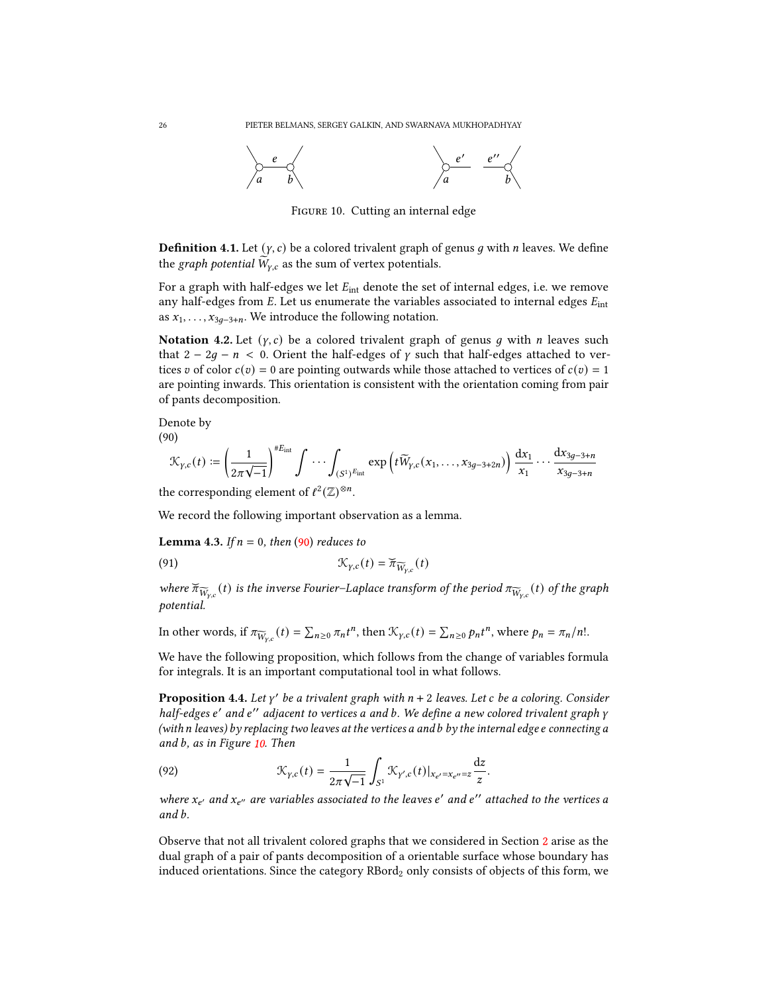<span id="page-25-1"></span>

FIGURE 10. Cutting an internal edge

**Definition 4.1.** Let  $(y, c)$  be a colored trivalent graph of genus g with n leaves. We define the graph potential  $\widetilde{W}_{v,c}$  as the sum of vertex potentials.

For a graph with half-edges we let  $E_{int}$  denote the set of internal edges, i.e. we remove any half-edges from  $E$ . Let us enumerate the variables associated to internal edges  $E_{int}$ as  $x_1, \ldots, x_{3q-3+n}$ . We introduce the following notation.

Notation 4.2. Let  $(y, c)$  be a colored trivalent graph of genus q with n leaves such that  $2 - 2q - n < 0$ . Orient the half-edges of y such that half-edges attached to vertices v of color  $c(v) = 0$  are pointing outwards while those attached to vertices of  $c(v) = 1$ are pointing inwards. This orientation is consistent with the orientation coming from pair of pants decomposition.

Denote by (90)

<span id="page-25-0"></span>
$$
\mathcal{K}_{\gamma,c}(t) := \left(\frac{1}{2\pi\sqrt{-1}}\right)^{\#E_{\text{int}}} \int \cdots \int_{(S^1)^{E_{\text{int}}}} \exp\left(t\widetilde{W}_{\gamma,c}(x_1,\ldots,x_{3g-3+2n})\right) \frac{dx_1}{x_1}\cdots \frac{dx_{3g-3+n}}{x_{3g-3+n}}
$$

the corresponding element of  $\ell^2(\mathbb{Z})^{\otimes n}$ .

<span id="page-25-3"></span>We record the following important observation as a lemma.

**Lemma 4.3.** If  $n = 0$ , then [\(90\)](#page-25-0) reduces to

(91) 
$$
\mathcal{K}_{\gamma,c}(t) = \widetilde{\pi}_{\widetilde{W}_{\gamma,c}}(t)
$$

where  $\widetilde{\pi}_{\widetilde{W}_{y,c}}(t)$  is the inverse Fourier–Laplace transform of the period  $\pi_{\widetilde{W}_{y,c}}(t)$  of the graph potential.

In other words, if  $\pi_{\widetilde{W}_{y,c}}(t) = \sum_{n\geq 0} \pi_n t^n$ , then  $\mathcal{K}_{y,c}(t) = \sum_{n\geq 0} p_n t^n$ , where  $p_n = \pi_n/n!$ .

We have the following proposition, which follows from the change of variables formula for integrals. It is an important computational tool in what follows.

<span id="page-25-2"></span>**Proposition 4.4.** Let  $\gamma'$  be a trivalent graph with  $n + 2$  leaves. Let c be a coloring. Consider half-edges e' and e'' adjacent to vertices a and b. We define a new colored trivalent graph y (with  $n$  leaves) by replacing two leaves at the vertices a and b by the internal edge  $e$  connecting  $a$ and  $b$ , as in Figure  $10$ . Then

(92) 
$$
\mathcal{K}_{\gamma,c}(t) = \frac{1}{2\pi\sqrt{-1}} \int_{S^1} \mathcal{K}_{\gamma',c}(t)|_{x_{e'}=x_{e''}=z} \frac{dz}{z}.
$$

where  $x_{e'}$  and  $x_{e''}$  are variables associated to the leaves e' and e'' attached to the vertices a and  $b$ .

Observe that not all trivalent colored graphs that we considered in Section [2](#page-7-0) arise as the dual graph of a pair of pants decomposition of a orientable surface whose boundary has induced orientations. Since the category  $RBord<sub>2</sub>$  only consists of objects of this form, we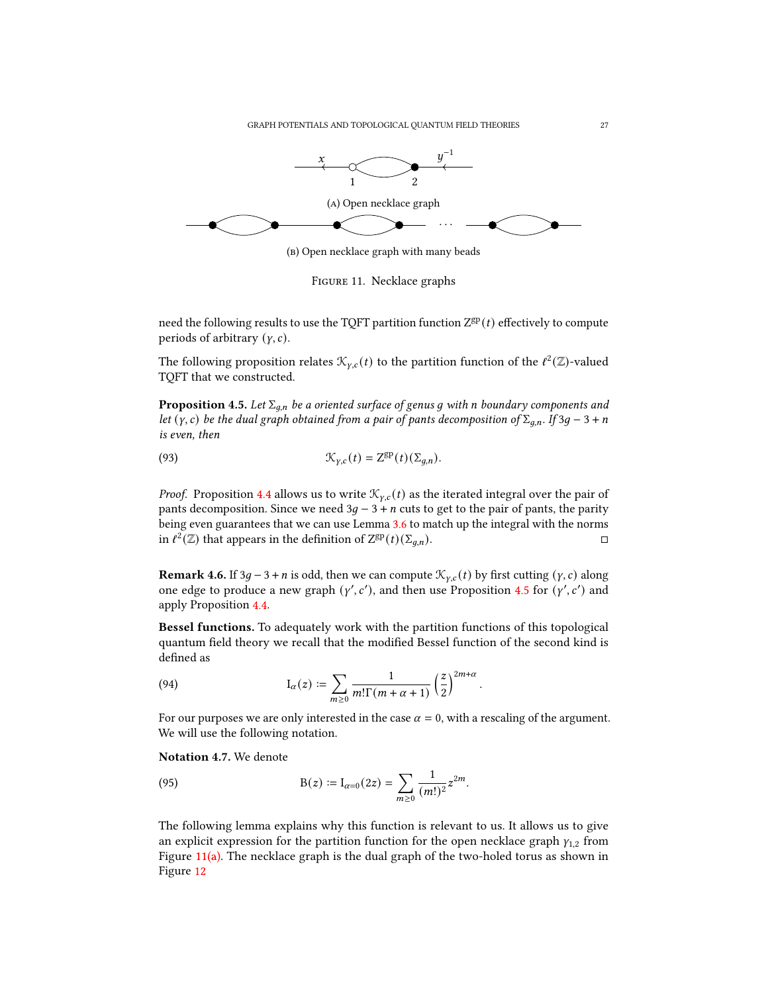<span id="page-26-1"></span>

(b) Open necklace graph with many beads



need the following results to use the TQFT partition function  $Z^{gp}(t)$  effectively to compute periods of arbitrary  $(y, c)$ .

The following proposition relates  $\mathcal{K}_{\gamma,c}(t)$  to the partition function of the  $\ell^2(\mathbb{Z})$ -valued TQFT that we constructed.

<span id="page-26-0"></span>**Proposition 4.5.** Let  $\Sigma_{q,n}$  be a oriented surface of genus g with n boundary components and let (y, c) be the dual graph obtained from a pair of pants decomposition of  $\Sigma_{q,n}$ . If 3g – 3 + n is even, then

(93) 
$$
\mathcal{K}_{\gamma,c}(t) = Z^{\rm gp}(t)(\Sigma_{q,n}).
$$

*Proof.* Proposition [4.4](#page-25-2) allows us to write  $\mathcal{K}_{\gamma,c}(t)$  as the iterated integral over the pair of pants decomposition. Since we need  $3g - 3 + n$  cuts to get to the pair of pants, the parity being even guarantees that we can use Lemma [3.6](#page-22-1) to match up the integral with the norms in  $\ell^2(\mathbb{Z})$  that appears in the definition of  $Z^{gp}(t)(\Sigma_{q,n})$ .

<span id="page-26-2"></span>**Remark 4.6.** If 3g – 3 + *n* is odd, then we can compute  $\mathcal{K}_{\gamma,c}(t)$  by first cutting  $(\gamma, c)$  along one edge to produce a new graph  $(y', c')$ , and then use Proposition [4.5](#page-26-0) for  $(y', c')$  and apply Proposition [4.4.](#page-25-2)

Bessel functions. To adequately work with the partition functions of this topological quantum field theory we recall that the modified Bessel function of the second kind is defined as

.

(94) 
$$
I_{\alpha}(z) := \sum_{m \geq 0} \frac{1}{m! \Gamma(m + \alpha + 1)} \left(\frac{z}{2}\right)^{2m + \alpha}
$$

For our purposes we are only interested in the case  $\alpha = 0$ , with a rescaling of the argument. We will use the following notation.

Notation 4.7. We denote

(95) 
$$
B(z) := I_{\alpha=0}(2z) = \sum_{m \geq 0} \frac{1}{(m!)^2} z^{2m}.
$$

<span id="page-26-3"></span>The following lemma explains why this function is relevant to us. It allows us to give an explicit expression for the partition function for the open necklace graph  $y_{1,2}$  from Figure  $11(a)$ . The necklace graph is the dual graph of the two-holed torus as shown in Figure [12](#page-27-0)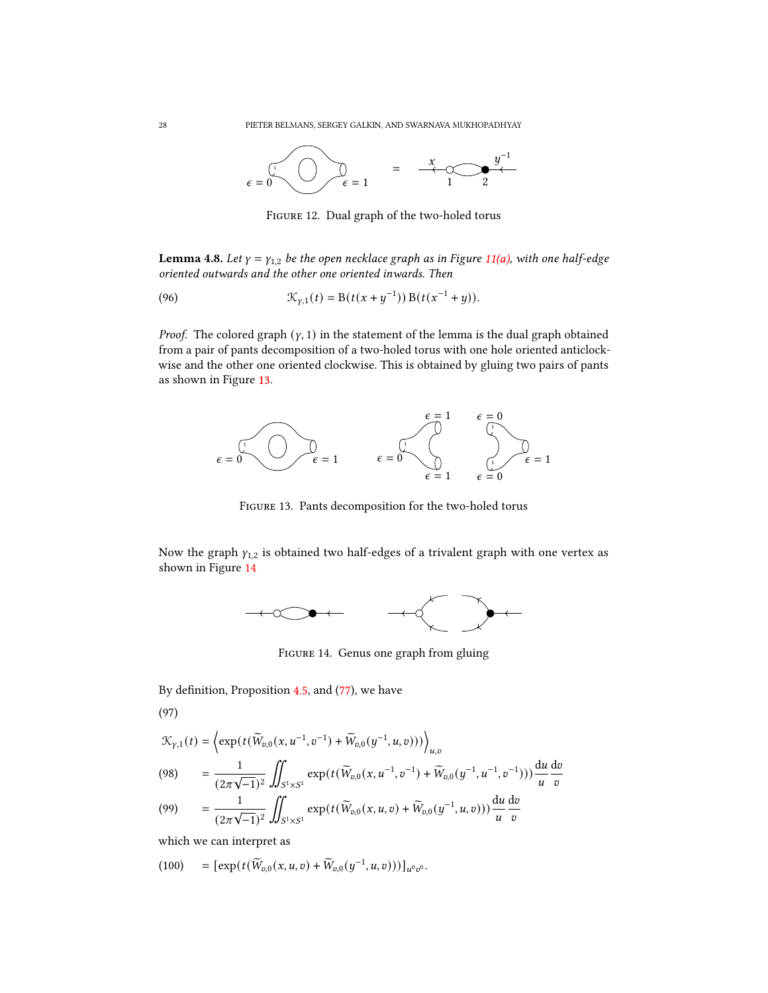<span id="page-27-0"></span>

Figure 12. Dual graph of the two-holed torus

**Lemma 4.8.** Let  $\gamma = \gamma_{1,2}$  be the open necklace graph as in Figure [11\(a\),](#page-26-1) with one half-edge oriented outwards and the other one oriented inwards. Then

(96) 
$$
\mathcal{K}_{\gamma,1}(t) = B(t(x+y^{-1})) B(t(x^{-1}+y)).
$$

*Proof.* The colored graph  $(y, 1)$  in the statement of the lemma is the dual graph obtained from a pair of pants decomposition of a two-holed torus with one hole oriented anticlockwise and the other one oriented clockwise. This is obtained by gluing two pairs of pants as shown in Figure [13.](#page-27-1)

<span id="page-27-1"></span>

Figure 13. Pants decomposition for the two-holed torus

<span id="page-27-2"></span>Now the graph  $y_{1,2}$  is obtained two half-edges of a trivalent graph with one vertex as shown in Figure [14](#page-27-2)



Figure 14. Genus one graph from gluing

By definition, Proposition  $4.5$ , and  $(77)$ , we have

(97)

$$
\mathcal{K}_{\gamma,1}(t) = \left\langle \exp\left(t(\widetilde{W}_{v,0}(x, u^{-1}, v^{-1}) + \widetilde{W}_{v,0}(y^{-1}, u, v))\right) \right\rangle_{u,v}
$$
\n
$$
(98) \qquad = \frac{1}{(2\pi\sqrt{-1})^2} \iint_{S^1 \times S^1} \exp\left(t(\widetilde{W}_{v,0}(x, u^{-1}, v^{-1}) + \widetilde{W}_{v,0}(y^{-1}, u^{-1}, v^{-1}))\right) \frac{du}{u} \frac{dv}{v}
$$
\n
$$
(99) \qquad \qquad \frac{1}{u} \qquad \qquad \int_{S^1} \exp\left(t(\widetilde{W}_{v,0}(x, u^{-1}, v^{-1}) + \widetilde{W}_{v,0}(y^{-1}, u^{-1}, v^{-1}))\right) \frac{du}{u} \frac{dv}{v}
$$

$$
(99) \qquad = \frac{1}{(2\pi\sqrt{-1})^2} \iint_{S^1 \times S^1} \exp(t(\widetilde{W}_{v,0}(x,u,v) + \widetilde{W}_{v,0}(y^{-1},u,v))) \frac{du}{u} \frac{dv}{v}
$$

which we can interpret as

(100) = 
$$
[\exp(t(\widetilde{W}_{v,0}(x,u,v) + \widetilde{W}_{v,0}(y^{-1},u,v)))]_{u^0v^0}.
$$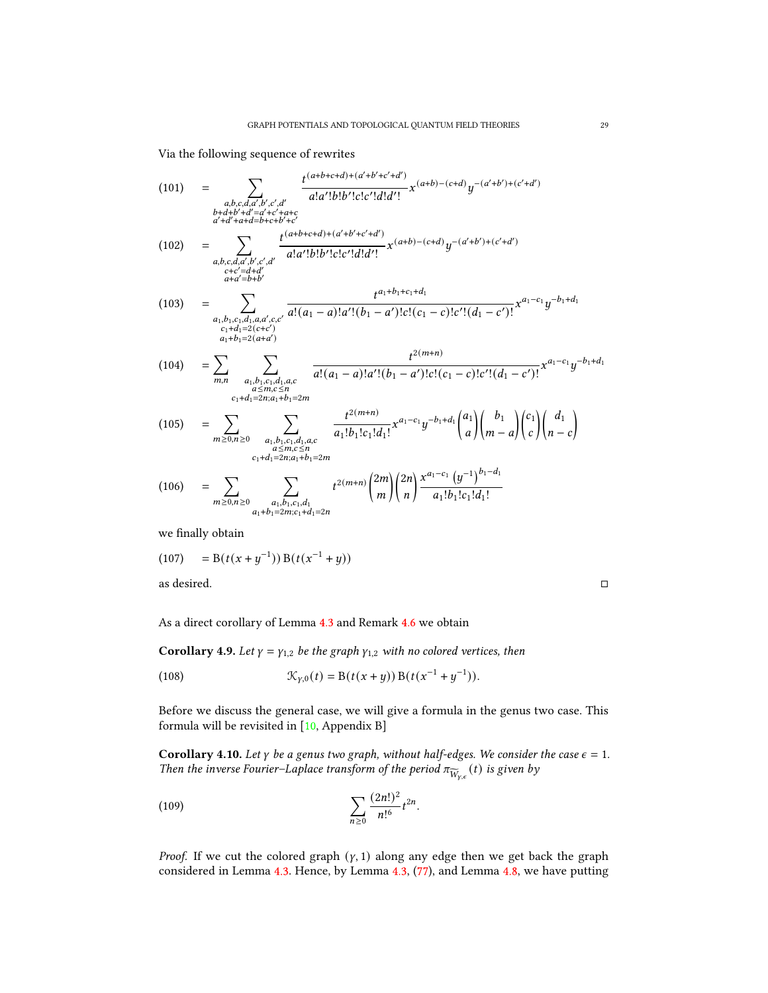Via the following sequence of rewrites

(101) = 
$$
\sum_{\substack{a,b,c,d,d',b',c',d' \\ b+d+b'+d' = d'+c'+a+c \\ a'+d'+a+d=b+c+b'+c' \\ a'+d'+a+d=b+c+b'+c' \\ a'+d'+a+d=b+c+b'+c' \\ a'+d'+a+d=b+c+b'+c' \\ a'+d'=d'+d' \\ a+a'+b' \\ a'+d' \text{ odd}}}} \frac{t^{(a+b+c+d)+(a'+b'+c'+d')}}{a!a'!b!b'!c!c'!d!d'!} x^{(a+b)-(c+d)} y^{-(a'+b')+(c'+d')}
$$
\n(102) = 
$$
\sum_{\substack{c,c,d,a',b',c',d' \\ c+c'=d+d' \\ c_1+d_1=2(c+c') \\ a_1+b_1=2(a+d')}} \frac{t^{a_1+b_1+c_1+d_1}}{a!(a_1-a)!a'! (b_1-a')!c! (c_1-c)!c'! (d_1-c')!} x^{a_1-c_1} y^{-b_1+d_1}
$$
\n(103) = 
$$
\sum_{\substack{c_1+d_1=2(c+c') \\ c_1+d_1=2(a+d') \\ a\leq m, c\leq n \\ c_1+d_1=2m; a_1+b_1=2m}} \frac{t^{2(m+n)}}{a!(a_1-a)!a'! (b_1-a')!c! (c_1-c)!c'! (d_1-c')!} x^{a_1-c_1} y^{-b_1+d_1}
$$
\n(105) = 
$$
\sum_{\substack{a',b_1,c_1,d_1,a,c \\ a'\leq m, c\leq n \\ c_1+d_1=2m; a_1+b_1=2m}} \frac{t^{2(m+n)}}{a_1!b_1!c_1!d_1!} x^{a_1-c_1} y^{-b_1+d_1} \binom{a_1}{a} \binom{b_1}{m-a} \binom{c_1}{c} \binom{d_1}{n-c}
$$
\n(106) = 
$$
\sum_{m\geq 0, n\geq 0} \sum_{\substack{a_1,b_1,c_1,d_1 \\ a_1+b_1=2m; c_1+d_1=2n} } t^{2(m+n)} \binom{2m}{m} \binom{2m}{n} \frac{x^{a_1-c_1} (y^{-1})^{b_1-d_1}}{a_1!b_1!c_1!d_1!}
$$

we finally obtain

= B(( + −1 )) B(( −1 (107) + )) as desired.

As a direct corollary of Lemma [4.3](#page-25-3) and Remark [4.6](#page-26-2) we obtain

**Corollary 4.9.** Let  $\gamma = \gamma_{1,2}$  be the graph  $\gamma_{1,2}$  with no colored vertices, then

(108) 
$$
\mathcal{K}_{\gamma,0}(t) = B(t(x+y)) B(t(x^{-1} + y^{-1})).
$$

Before we discuss the general case, we will give a formula in the genus two case. This formula will be revisited in [\[10,](#page-35-1) Appendix B]

<span id="page-28-0"></span>Corollary 4.10. Let  $\gamma$  be a genus two graph, without half-edges. We consider the case  $\epsilon = 1$ . Then the inverse Fourier–Laplace transform of the period  $\pi_{\widetilde{W}_{Y,\epsilon}}(t)$  is given by

(109) 
$$
\sum_{n\geq 0} \frac{(2n!)^2}{n!^6} t^{2n}.
$$

*Proof.* If we cut the colored graph  $(y, 1)$  along any edge then we get back the graph considered in Lemma [4.3.](#page-25-3) Hence, by Lemma [4.3,](#page-25-3) [\(77\)](#page-21-2), and Lemma [4.8,](#page-26-3) we have putting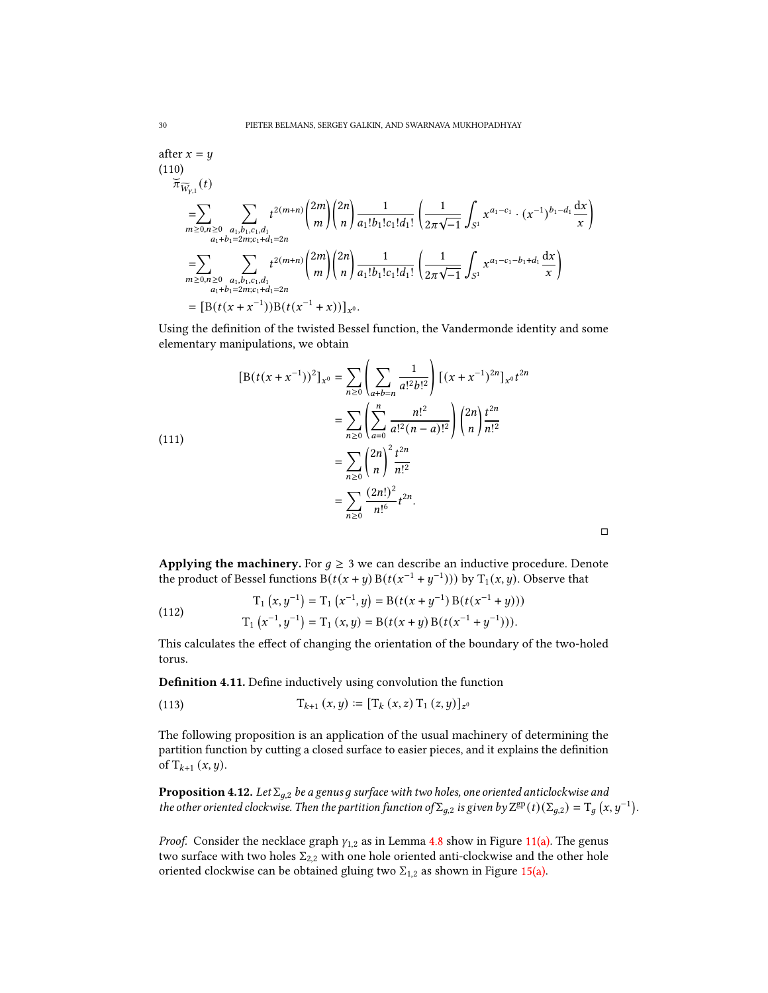after 
$$
x = y
$$
  
\n(110)  
\n
$$
\overline{\pi}_{\widetilde{W}_{y,1}}(t)
$$
\n
$$
= \sum_{m \ge 0, n \ge 0} \sum_{\substack{a_1, b_1, c_1, d_1 \\ a_1 + b_1 = 2m; c_1 + d_1 = 2n}} t^{2(m+n)} {2m \choose m} {2n \choose n} \frac{1}{a_1! b_1! c_1! d_1!} \left( \frac{1}{2\pi \sqrt{-1}} \int_{S^1} x^{a_1 - c_1} \cdot (x^{-1})^{b_1 - d_1} \frac{dx}{x} \right)
$$
\n
$$
= \sum_{m \ge 0, n \ge 0} \sum_{\substack{a_1, b_1, c_1, d_1 \\ a_1 + b_1 = 2m; c_1 + d_1 = 2n}} t^{2(m+n)} {2m \choose m} {2n \choose n} \frac{1}{a_1! b_1! c_1! d_1!} \left( \frac{1}{2\pi \sqrt{-1}} \int_{S^1} x^{a_1 - c_1 - b_1 + d_1} \frac{dx}{x} \right)
$$
\n
$$
= [B(t(x + x^{-1}))B(t(x^{-1} + x))]_{x^0}.
$$

Using the definition of the twisted Bessel function, the Vandermonde identity and some elementary manipulations, we obtain

$$
[B(t(x+x^{-1}))^{2}]_{x^{0}} = \sum_{n\geq 0} \left(\sum_{a+b=n} \frac{1}{a!^{2}b!^{2}}\right) [(x+x^{-1})^{2n}]_{x^{0}} t^{2n}
$$
  

$$
= \sum_{n\geq 0} \left(\sum_{a=0}^{n} \frac{n!^{2}}{a!^{2}(n-a)!^{2}}\right) {2n \choose n} \frac{t^{2n}}{n!^{2}}
$$
  

$$
= \sum_{n\geq 0} {2n \choose n}^{2} \frac{t^{2n}}{n!^{2}}
$$
  

$$
= \sum_{n\geq 0} \frac{(2n!)^{2}}{n!^{6}} t^{2n}.
$$

Applying the machinery. For  $g \geq 3$  we can describe an inductive procedure. Denote the product of Bessel functions  $B(t(x+y)B(t(x^{-1}+y^{-1})))$  by  $T_1(x, y)$ . Observe that

 $\Box$ 

(112) 
$$
T_1 (x, y^{-1}) = T_1 (x^{-1}, y) = B(t(x + y^{-1}) B(t(x^{-1} + y)))
$$

$$
T_1 (x^{-1}, y^{-1}) = T_1 (x, y) = B(t(x + y) B(t(x^{-1} + y^{-1}))).
$$

This calculates the effect of changing the orientation of the boundary of the two-holed torus.

Definition 4.11. Define inductively using convolution the function

(113) 
$$
T_{k+1}(x,y) \coloneqq [T_k(x,z) T_1(z,y)]_{z^0}
$$

The following proposition is an application of the usual machinery of determining the partition function by cutting a closed surface to easier pieces, and it explains the definition of  $T_{k+1} (x, y)$ .

<span id="page-29-0"></span>**Proposition 4.12.** Let  $\Sigma_{q,2}$  be a genus g surface with two holes, one oriented anticlockwise and the other oriented clockwise. Then the partition function of  $\Sigma_{g,2}$  is given by  $Z^{gp}(t)(\Sigma_{g,2}) = T_g(x,y^{-1})$ .

*Proof.* Consider the necklace graph  $\gamma_{1,2}$  as in Lemma [4.8](#page-26-3) show in Figure [11\(a\).](#page-26-1) The genus two surface with two holes  $\Sigma_{2,2}$  with one hole oriented anti-clockwise and the other hole oriented clockwise can be obtained gluing two  $\Sigma_{1,2}$  as shown in Figure [15\(a\).](#page-30-0)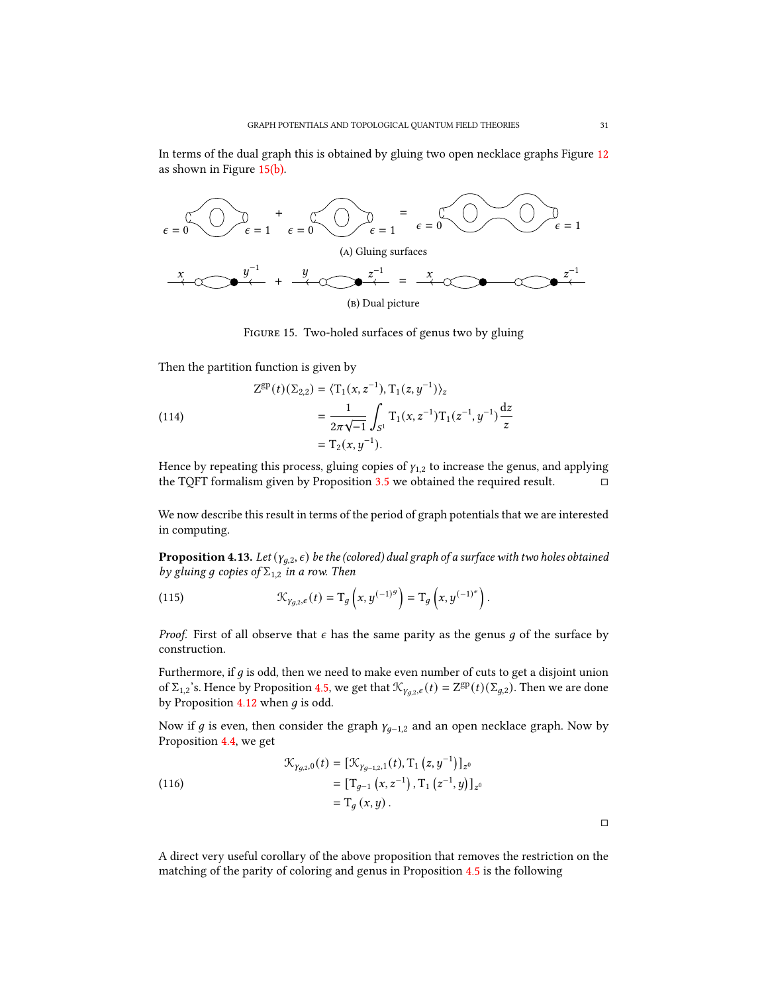In terms of the dual graph this is obtained by gluing two open necklace graphs Figure [12](#page-27-0) as shown in Figure [15\(b\).](#page-30-0)

<span id="page-30-0"></span>

Figure 15. Two-holed surfaces of genus two by gluing

Then the partition function is given by

(114)  
\n
$$
Z^{gp}(t)(\Sigma_{2,2}) = \langle T_1(x, z^{-1}), T_1(z, y^{-1}) \rangle_z
$$
\n
$$
= \frac{1}{2\pi\sqrt{-1}} \int_{S^1} T_1(x, z^{-1}) T_1(z^{-1}, y^{-1}) \frac{dz}{z}
$$
\n
$$
= T_2(x, y^{-1}).
$$

Hence by repeating this process, gluing copies of  $\gamma_{1,2}$  to increase the genus, and applying the TQFT formalism given by Proposition [3.5](#page-21-3) we obtained the required result.

We now describe this result in terms of the period of graph potentials that we are interested in computing.

<span id="page-30-1"></span>**Proposition 4.13.** Let  $(y_{q,2}, \epsilon)$  be the (colored) dual graph of a surface with two holes obtained by gluing g copies of  $\Sigma_{1,2}$  in a row. Then

(115) 
$$
\mathcal{K}_{\gamma_{g,2},\epsilon}(t) = \mathrm{T}_g\left(x,y^{(-1)^g}\right) = \mathrm{T}_g\left(x,y^{(-1)^e}\right).
$$

*Proof.* First of all observe that  $\epsilon$  has the same parity as the genus g of the surface by construction.

Furthermore, if  $g$  is odd, then we need to make even number of cuts to get a disjoint union of  $\Sigma_{1,2}$ 's. Hence by Proposition [4.5,](#page-26-0) we get that  $\mathcal{K}_{\gamma_{g,2},\epsilon}(t) = Z^{\text{gp}}(t)(\Sigma_{g,2})$ . Then we are done by Proposition [4.12](#page-29-0) when  $q$  is odd.

Now if g is even, then consider the graph  $\gamma_{q-1,2}$  and an open necklace graph. Now by Proposition [4.4,](#page-25-2) we get

(116)  
\n
$$
\mathcal{K}_{\gamma_{g,2,0}}(t) = [\mathcal{K}_{\gamma_{g-1,2,1}}(t), T_1 (z, y^{-1})]_{z^0}
$$
\n
$$
= [T_{g-1} (x, z^{-1}), T_1 (z^{-1}, y)]_{z^0}
$$
\n
$$
= T_g (x, y).
$$

<span id="page-30-2"></span>A direct very useful corollary of the above proposition that removes the restriction on the matching of the parity of coloring and genus in Proposition [4.5](#page-26-0) is the following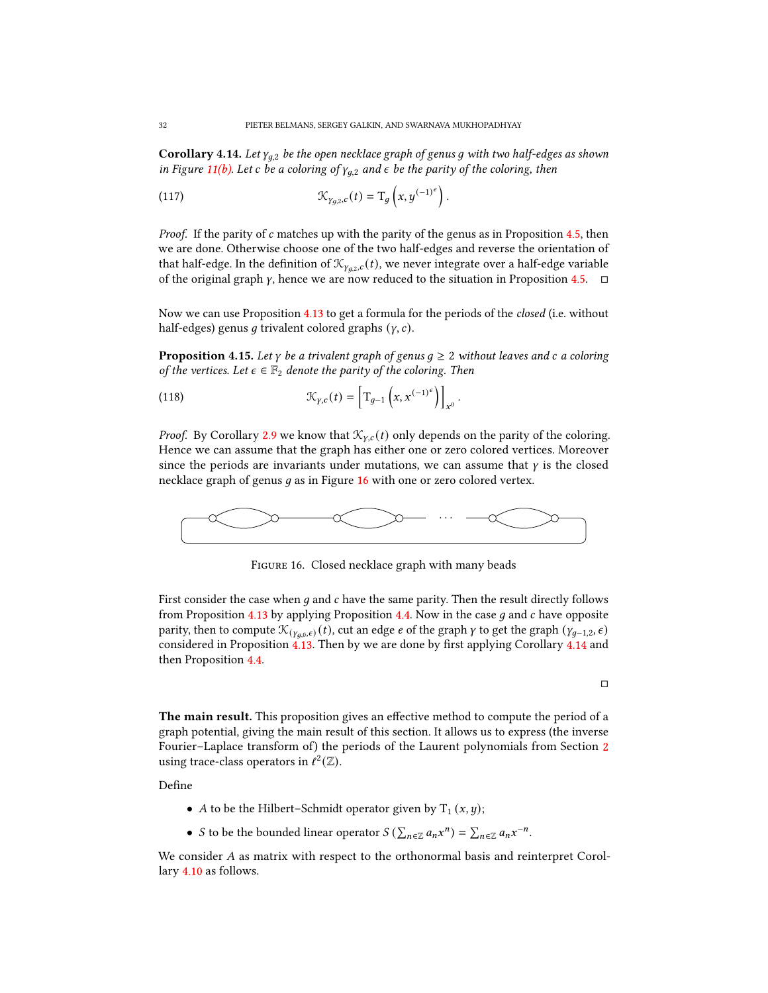**Corollary 4.14.** Let  $\gamma_{a,2}$  be the open necklace graph of genus q with two half-edges as shown in Figure [11\(b\).](#page-26-1) Let c be a coloring of  $\gamma_{g,2}$  and  $\epsilon$  be the parity of the coloring, then

(117) 
$$
\mathcal{K}_{\gamma_{g,2},c}(t) = \mathrm{T}_g\left(x, y^{(-1)^{\epsilon}}\right).
$$

*Proof.* If the parity of  $c$  matches up with the parity of the genus as in Proposition [4.5,](#page-26-0) then we are done. Otherwise choose one of the two half-edges and reverse the orientation of that half-edge. In the definition of  $\mathcal{K}_{\gamma_{q,2},c}(t)$ , we never integrate over a half-edge variable of the original graph  $\gamma$ , hence we are now reduced to the situation in Proposition [4.5.](#page-26-0)  $\Box$ 

Now we can use Proposition [4.13](#page-30-1) to get a formula for the periods of the closed (i.e. without half-edges) genus q trivalent colored graphs  $(y, c)$ .

<span id="page-31-1"></span>**Proposition 4.15.** Let  $\gamma$  be a trivalent graph of genus  $q \geq 2$  without leaves and c a coloring of the vertices. Let  $\epsilon \in \mathbb{F}_2$  denote the parity of the coloring. Then

(118) 
$$
\mathcal{K}_{\gamma,c}(t) = \left[ T_{g-1} \left( x, x^{(-1)^{\epsilon}} \right) \right]_{x^0}.
$$

*Proof.* By Corollary [2.9](#page-11-0) we know that  $\mathcal{K}_{v,c}(t)$  only depends on the parity of the coloring. Hence we can assume that the graph has either one or zero colored vertices. Moreover since the periods are invariants under mutations, we can assume that  $\gamma$  is the closed necklace graph of genus  $q$  as in Figure [16](#page-31-0) with one or zero colored vertex.

<span id="page-31-0"></span>

Figure 16. Closed necklace graph with many beads

First consider the case when  $g$  and  $c$  have the same parity. Then the result directly follows from Proposition [4.13](#page-30-1) by applying Proposition [4.4.](#page-25-2) Now in the case  $q$  and  $c$  have opposite parity, then to compute  $\mathcal{K}_{(\gamma_a,0,\epsilon)}(t)$ , cut an edge  $e$  of the graph  $\gamma$  to get the graph  $(\gamma_{g-1,2}, \epsilon)$ considered in Proposition  $4.13$ . Then by we are done by first applying Corollary  $4.14$  and then Proposition [4.4.](#page-25-2)

 $\Box$ 

The main result. This proposition gives an effective method to compute the period of a graph potential, giving the main result of this section. It allows us to express (the inverse Fourier–Laplace transform of) the periods of the Laurent polynomials from Section [2](#page-7-0) using trace-class operators in  $\ell^2(\mathbb{Z})$ .

Define

- A to be the Hilbert–Schmidt operator given by  $T_1 (x, y)$ ;
- *S* to be the bounded linear operator  $S(\sum_{n\in\mathbb{Z}}a_nx^n)=\sum_{n\in\mathbb{Z}}a_nx^{-n}$ .

We consider  $A$  as matrix with respect to the orthonormal basis and reinterpret Corollary [4.10](#page-28-0) as follows.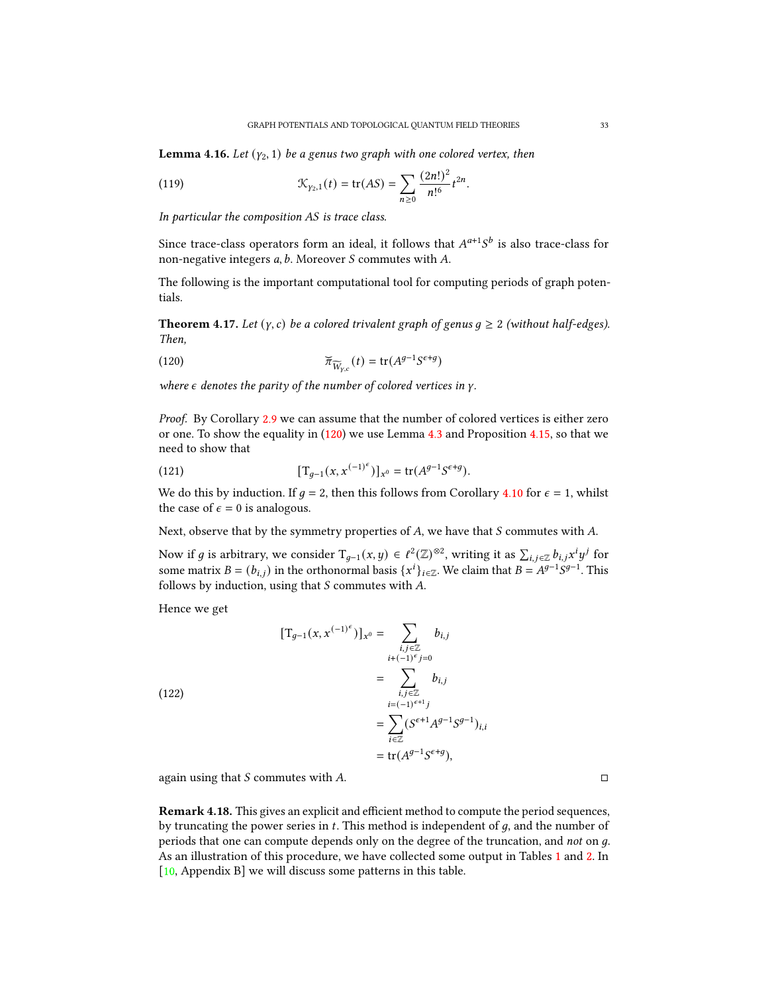**Lemma 4.16.** Let  $(y_2, 1)$  be a genus two graph with one colored vertex, then

(119) 
$$
\mathcal{K}_{\gamma_2,1}(t) = \text{tr}(AS) = \sum_{n\geq 0} \frac{(2n!)^2}{n!^6} t^{2n}.
$$

In particular the composition  $AS$  is trace class.

Since trace-class operators form an ideal, it follows that  $A^{a+1}S^b$  is also trace-class for non-negative integers  $a$ ,  $b$ . Moreover  $S$  commutes with  $A$ .

The following is the important computational tool for computing periods of graph potentials.

**Theorem 4.17.** Let  $(y, c)$  be a colored trivalent graph of genus  $q \ge 2$  (without half-edges). Then,

<span id="page-32-0"></span>(120) 
$$
\widetilde{\pi}_{\widetilde{W}_{y,c}}(t) = \text{tr}(A^{g-1}S^{\epsilon+g})
$$

where  $\epsilon$  denotes the parity of the number of colored vertices in  $\gamma$ .

Proof. By Corollary [2.9](#page-11-0) we can assume that the number of colored vertices is either zero or one. To show the equality in [\(120\)](#page-32-0) we use Lemma [4.3](#page-25-3) and Proposition [4.15,](#page-31-1) so that we need to show that

(121) 
$$
[\mathrm{T}_{g-1}(x, x^{(-1)^{\epsilon}})]_{x^0} = \mathrm{tr}(A^{g-1}S^{\epsilon+g}).
$$

We do this by induction. If  $q = 2$ , then this follows from Corollary [4.10](#page-28-0) for  $\epsilon = 1$ , whilst the case of  $\epsilon = 0$  is analogous.

Next, observe that by the symmetry properties of  $A$ , we have that  $S$  commutes with  $A$ .

Now if g is arbitrary, we consider  $T_{g-1}(x, y) \in \ell^2(\mathbb{Z})^{\otimes 2}$ , writing it as  $\sum_{i,j \in \mathbb{Z}} b_{i,j} x^i y^j$  for some matrix  $B = (b_{i,j})$  in the orthonormal basis  $\{x^i\}_{i \in \mathbb{Z}}$ . We claim that  $B = A^{g-1}S^{g-1}$ . This follows by induction, using that  $S$  commutes with  $A$ .

Hence we get

(122)

$$
[\mathbf{T}_{g-1}(x, x^{(-1)^{\epsilon}})]_{x^{0}} = \sum_{\substack{i,j \in \mathbb{Z} \\ i+(1)^{\epsilon}j=0}} b_{i,j}
$$
  
= 
$$
\sum_{\substack{i,j \in \mathbb{Z} \\ i=(-1)^{\epsilon+1}j}} b_{i,j}
$$
  
= 
$$
\sum_{i \in \mathbb{Z}} (S^{\epsilon+1}A^{g-1}S^{g-1})_{i,i}
$$
  
= tr $(A^{g-1}S^{\epsilon+g}),$ 

again using that  $S$  commutes with  $A$ .

**Remark 4.18.** This gives an explicit and efficient method to compute the period sequences, by truncating the power series in  $t$ . This method is independent of  $g$ , and the number of periods that one can compute depends only on the degree of the truncation, and not on g. As an illustration of this procedure, we have collected some output in Tables [1](#page-34-0) and [2.](#page-34-0) In [\[10,](#page-35-1) Appendix B] we will discuss some patterns in this table.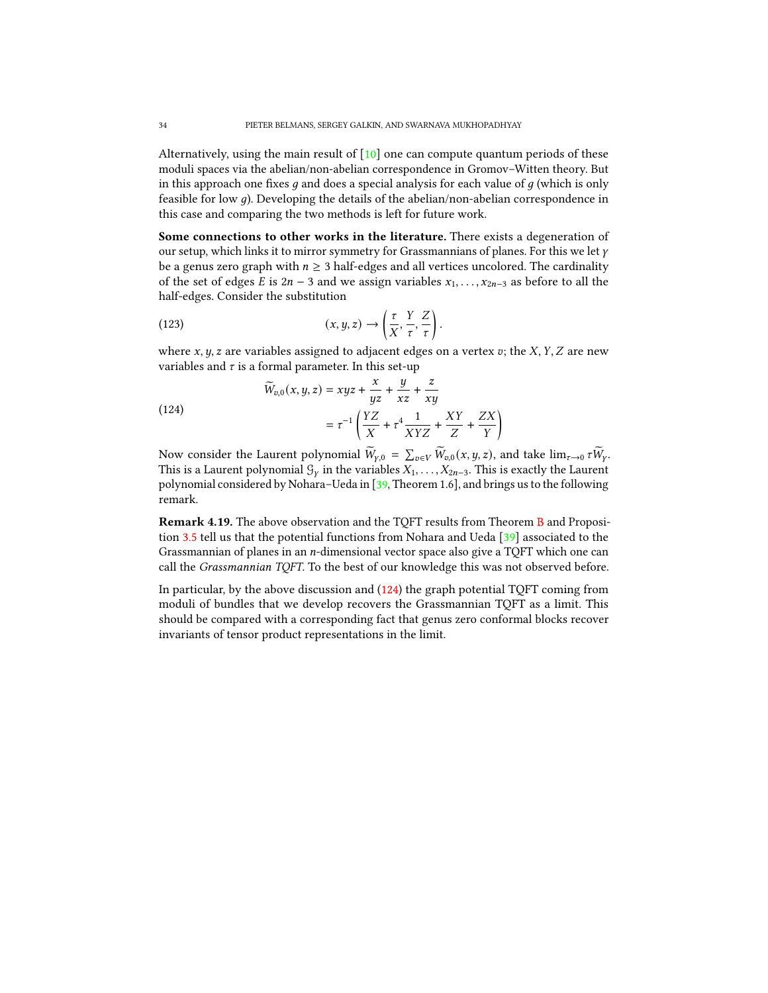Alternatively, using the main result of  $[10]$  one can compute quantum periods of these moduli spaces via the abelian/non-abelian correspondence in Gromov–Witten theory. But in this approach one fixes  $q$  and does a special analysis for each value of  $q$  (which is only feasible for low q). Developing the details of the abelian/non-abelian correspondence in this case and comparing the two methods is left for future work.

Some connections to other works in the literature. There exists a degeneration of our setup, which links it to mirror symmetry for Grassmannians of planes. For this we let  $\gamma$ be a genus zero graph with  $n \geq 3$  half-edges and all vertices uncolored. The cardinality of the set of edges *E* is  $2n - 3$  and we assign variables  $x_1, \ldots, x_{2n-3}$  as before to all the half-edges. Consider the substitution

(123) 
$$
(x, y, z) \rightarrow \left(\frac{\tau}{X}, \frac{Y}{\tau}, \frac{Z}{\tau}\right).
$$

where  $x, y, z$  are variables assigned to adjacent edges on a vertex  $v$ ; the  $X, Y, Z$  are new variables and  $\tau$  is a formal parameter. In this set-up

<span id="page-33-0"></span>(124)  

$$
\widetilde{W}_{v,0}(x,y,z) = xyz + \frac{x}{yz} + \frac{y}{xz} + \frac{z}{xy}
$$

$$
= \tau^{-1} \left( \frac{YZ}{X} + \tau^4 \frac{1}{XYZ} + \frac{XY}{Z} + \frac{ZX}{Y} \right)
$$

Now consider the Laurent polynomial  $\widetilde{W}_{\gamma,0} = \sum_{v \in V} \widetilde{W}_{v,0}(x, y, z)$ , and take  $\lim_{\tau \to 0} \tau \widetilde{W}_{\gamma}$ . This is a Laurent polynomial  $\mathcal{G}_\gamma$  in the variables  $X_1, \ldots, X_{2n-3}$ . This is exactly the Laurent polynomial considered by Nohara–Ueda in [\[39,](#page-36-21) Theorem 1.6], and brings us to the following remark.

Remark 4.19. The above observation and the TQFT results from Theorem [B](#page-4-1) and Proposition [3.5](#page-21-3) tell us that the potential functions from Nohara and Ueda [\[39\]](#page-36-21) associated to the Grassmannian of planes in an  $n$ -dimensional vector space also give a TQFT which one can call the Grassmannian TQFT. To the best of our knowledge this was not observed before.

In particular, by the above discussion and [\(124\)](#page-33-0) the graph potential TQFT coming from moduli of bundles that we develop recovers the Grassmannian TQFT as a limit. This should be compared with a corresponding fact that genus zero conformal blocks recover invariants of tensor product representations in the limit.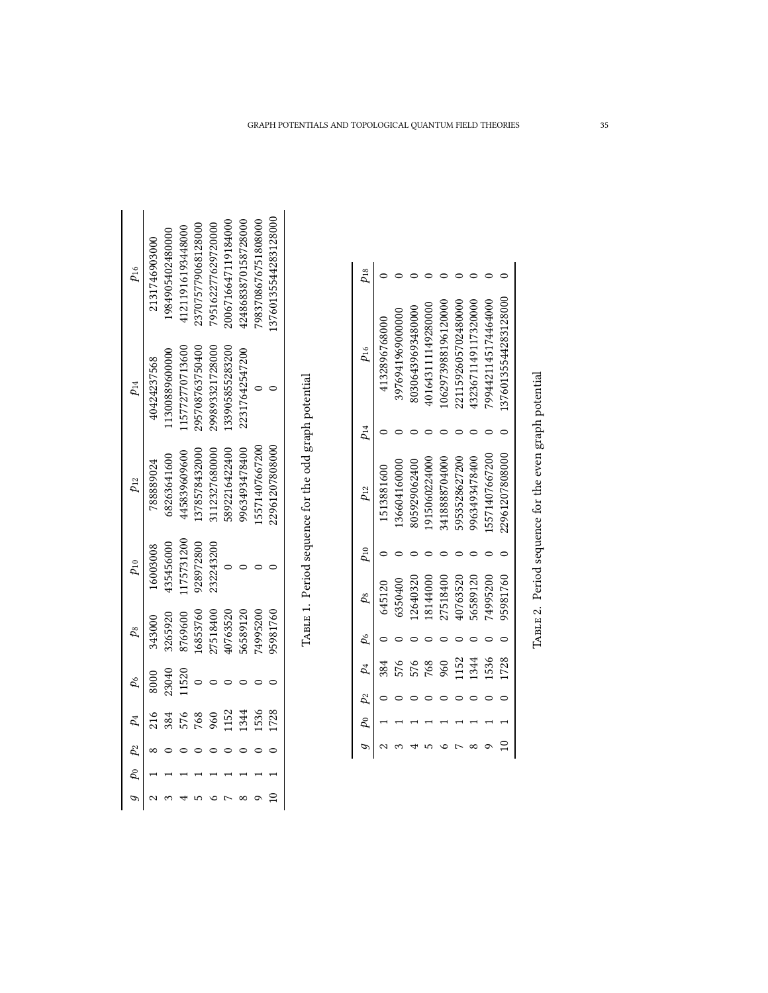<span id="page-34-0"></span>

| $p_{16}$                       | 2131746903000 | 984905402480000 | 121191619344800 | 23707577906812800 | 795162277629720000 | 1006716647119184000 | 1248683870158728000 | 7983708676751808000 | 3760135544283128000 |  |
|--------------------------------|---------------|-----------------|-----------------|-------------------|--------------------|---------------------|---------------------|---------------------|---------------------|--|
| $p_{14}$                       | 10424237568   | 1300889600000   | 15772770713600  | 295708763750400   | 99893321728000     | 33905855283200      | 22317642547200      |                     |                     |  |
| $p_{12}$                       | '88889024     | 68263641600     | 145839609600    | 1378578432000     | 112327680000       | 6892216422400       | 963493478400        | 5571407667200       | 2961207808000       |  |
| $p_{10}$                       | 16003008      | 135456000       | 175731200       | 928972800         | 232243200          |                     |                     |                     |                     |  |
| $p_8$                          | 343000        | 3265920         | 1769600         | 6853760           | 27518400           | 0763520             | 6589120             | 4995200             | 5981760             |  |
|                                | 8000          | 23040           | 1520            |                   |                    |                     |                     |                     |                     |  |
| $9\quad p_0$ $p_2$ $p_4$ $p_6$ |               |                 |                 | 168               | 99                 | 152                 | 344                 | 536                 | 1728                |  |
|                                |               |                 |                 |                   |                    |                     |                     |                     |                     |  |
|                                |               |                 |                 |                   |                    |                     |                     |                     |                     |  |
|                                |               |                 |                 |                   |                    |                     |                     |                     |                     |  |

TABLE 1. Period sequence for the odd graph potential TABLE 1. Period sequence for the odd graph potential

| $p_{18}$                        |               |                  |                  |                    |                    |                     |                     |                     |                      |
|---------------------------------|---------------|------------------|------------------|--------------------|--------------------|---------------------|---------------------|---------------------|----------------------|
| $p_{16}$                        | 4132896768000 | 3976941969000000 | 0306439693480000 | 101643111149280000 | 062973988196120000 | 2211592605702480000 | 1323671149117320000 | 7994421145174464000 | 13760135544283128000 |
| $\mu_{14}$                      |               |                  |                  |                    |                    |                     |                     |                     |                      |
| $p_{12}$                        | 1513881600    | 36604160000      | 305929062400     | 915060224000       | 3418888704000      | 5953528627200       | 963493478400        | 5571407667200       | 22961207808000       |
| $p_{10}$                        |               |                  |                  |                    |                    |                     |                     |                     |                      |
| $p_8$                           | 645120        | 5350400          | 2640320          | 8144000            | 7518400            | I0763520            | 6589120             | 4995200             | 95981760             |
|                                 |               |                  |                  |                    |                    |                     |                     |                     |                      |
| $9 \t P_0 \t P_2 \t P_4 \t P_6$ |               |                  | 576              | 768                | 960                | 152                 | 1344                | 1536                | 1728                 |
|                                 |               |                  |                  |                    |                    |                     |                     |                     |                      |
|                                 |               |                  |                  |                    |                    |                     |                     |                     |                      |
|                                 |               |                  |                  |                    |                    |                     |                     |                     |                      |

TABLE 2. Period sequence for the even graph potential TABLE 2. Period sequence for the even graph potential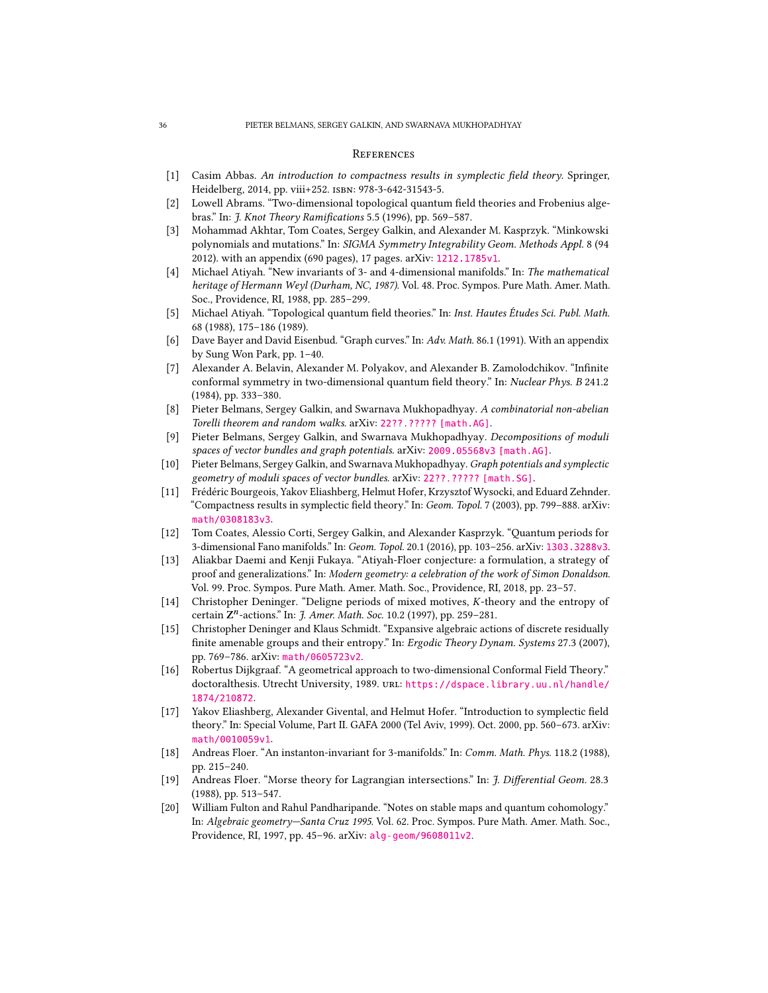#### <span id="page-35-0"></span>**REFERENCES**

- <span id="page-35-6"></span>[1] Casim Abbas. An introduction to compactness results in symplectic field theory. Springer, Heidelberg, 2014, pp. viii+252. isbn: 978-3-642-31543-5.
- <span id="page-35-17"></span>[2] Lowell Abrams. "Two-dimensional topological quantum field theories and Frobenius algebras." In: J. Knot Theory Ramifications 5.5 (1996), pp. 569-587.
- <span id="page-35-14"></span>[3] Mohammad Akhtar, Tom Coates, Sergey Galkin, and Alexander M. Kasprzyk. "Minkowski polynomials and mutations." In: SIGMA Symmetry Integrability Geom. Methods Appl. 8 (94 2012). with an appendix (690 pages), 17 pages. arXiv: [1212.1785v1](https://arxiv.org/abs/1212.1785v1).
- <span id="page-35-10"></span>[4] Michael Atiyah. "New invariants of 3- and 4-dimensional manifolds." In: The mathematical heritage of Hermann Weyl (Durham, NC, 1987). Vol. 48. Proc. Sympos. Pure Math. Amer. Math. Soc., Providence, RI, 1988, pp. 285–299.
- <span id="page-35-15"></span>[5] Michael Atiyah. "Topological quantum field theories." In: Inst. Hautes Etudes Sci. Publ. Math. 68 (1988), 175–186 (1989).
- <span id="page-35-4"></span>[6] Dave Bayer and David Eisenbud. "Graph curves." In: Adv. Math. 86.1 (1991). With an appendix by Sung Won Park, pp. 1–40.
- <span id="page-35-5"></span>[7] Alexander A. Belavin, Alexander M. Polyakov, and Alexander B. Zamolodchikov. "Infinite conformal symmetry in two-dimensional quantum field theory." In: Nuclear Phys. B 241.2 (1984), pp. 333–380.
- <span id="page-35-9"></span>[8] Pieter Belmans, Sergey Galkin, and Swarnava Mukhopadhyay. A combinatorial non-abelian Torelli theorem and random walks. arXiv: [22??.????? \[math.AG\]](https://arxiv.org/abs/22??.?????).
- <span id="page-35-2"></span>[9] Pieter Belmans, Sergey Galkin, and Swarnava Mukhopadhyay. Decompositions of moduli spaces of vector bundles and graph potentials. arXiv: [2009.05568v3 \[math.AG\]](https://arxiv.org/abs/2009.05568v3).
- <span id="page-35-1"></span>[10] Pieter Belmans, Sergey Galkin, and Swarnava Mukhopadhyay. Graph potentials and symplectic geometry of moduli spaces of vector bundles. arXiv: [22??.????? \[math.SG\]](https://arxiv.org/abs/22??.?????).
- <span id="page-35-7"></span>[11] Frédéric Bourgeois, Yakov Eliashberg, Helmut Hofer, Krzysztof Wysocki, and Eduard Zehnder. "Compactness results in symplectic field theory." In: Geom. Topol. 7 (2003), pp. 799–888. arXiv: [math/0308183v3](https://arxiv.org/abs/math/0308183v3).
- <span id="page-35-3"></span>[12] Tom Coates, Alessio Corti, Sergey Galkin, and Alexander Kasprzyk. "Quantum periods for 3-dimensional Fano manifolds." In: Geom. Topol. 20.1 (2016), pp. 103–256. arXiv: [1303.3288v3](https://arxiv.org/abs/1303.3288v3).
- <span id="page-35-13"></span>[13] Aliakbar Daemi and Kenji Fukaya. "Atiyah-Floer conjecture: a formulation, a strategy of proof and generalizations." In: Modern geometry: a celebration of the work of Simon Donaldson. Vol. 99. Proc. Sympos. Pure Math. Amer. Math. Soc., Providence, RI, 2018, pp. 23–57.
- <span id="page-35-19"></span>[14] Christopher Deninger. "Deligne periods of mixed motives, K-theory and the entropy of certain Z<sup>n</sup>-actions." In: J. Amer. Math. Soc. 10.2 (1997), pp. 259–281.
- <span id="page-35-20"></span>[15] Christopher Deninger and Klaus Schmidt. "Expansive algebraic actions of discrete residually finite amenable groups and their entropy." In: Ergodic Theory Dynam. Systems 27.3 (2007), pp. 769–786. arXiv: [math/0605723v2](https://arxiv.org/abs/math/0605723v2).
- <span id="page-35-16"></span>[16] Robertus Dijkgraaf. "A geometrical approach to two-dimensional Conformal Field Theory." doctoralthesis. Utrecht University, 1989. unl: [https://dspace.library.uu.nl/handle/](https://dspace.library.uu.nl/handle/1874/210872) [1874/210872](https://dspace.library.uu.nl/handle/1874/210872).
- <span id="page-35-8"></span>[17] Yakov Eliashberg, Alexander Givental, and Helmut Hofer. "Introduction to symplectic field theory." In: Special Volume, Part II. GAFA 2000 (Tel Aviv, 1999). Oct. 2000, pp. 560–673. arXiv: [math/0010059v1](https://arxiv.org/abs/math/0010059v1).
- <span id="page-35-11"></span>[18] Andreas Floer. "An instanton-invariant for 3-manifolds." In: Comm. Math. Phys. 118.2 (1988), pp. 215–240.
- <span id="page-35-12"></span>[19] Andreas Floer. "Morse theory for Lagrangian intersections." In: J. Differential Geom. 28.3 (1988), pp. 513–547.
- <span id="page-35-18"></span>[20] William Fulton and Rahul Pandharipande. "Notes on stable maps and quantum cohomology." In: Algebraic geometry—Santa Cruz 1995. Vol. 62. Proc. Sympos. Pure Math. Amer. Math. Soc., Providence, RI, 1997, pp. 45–96. arXiv: [alg-geom/9608011v2](https://arxiv.org/abs/alg-geom/9608011v2).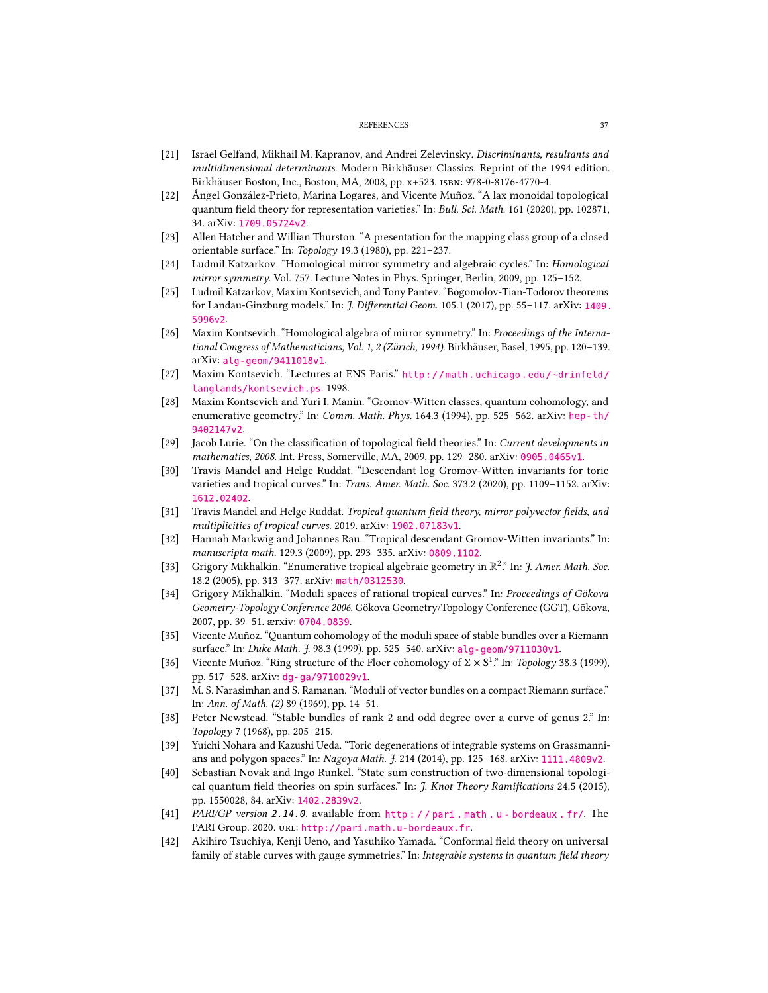#### REFERENCES 37

- <span id="page-36-18"></span>[21] Israel Gelfand, Mikhail M. Kapranov, and Andrei Zelevinsky. Discriminants, resultants and multidimensional determinants. Modern Birkhäuser Classics. Reprint of the 1994 edition. Birkhäuser Boston, Inc., Boston, MA, 2008, pp. x+523. isbn: 978-0-8176-4770-4.
- <span id="page-36-2"></span>[22] Ángel González-Prieto, Marina Logares, and Vicente Muñoz. "A lax monoidal topological quantum field theory for representation varieties." In: Bull. Sci. Math. 161 (2020), pp. 102871, 34. arXiv: [1709.05724v2](https://arxiv.org/abs/1709.05724v2).
- <span id="page-36-17"></span>[23] Allen Hatcher and Willian Thurston. "A presentation for the mapping class group of a closed orientable surface." In: Topology 19.3 (1980), pp. 221–237.
- <span id="page-36-13"></span>[24] Ludmil Katzarkov. "Homological mirror symmetry and algebraic cycles." In: Homological mirror symmetry. Vol. 757. Lecture Notes in Phys. Springer, Berlin, 2009, pp. 125–152.
- <span id="page-36-12"></span>[25] Ludmil Katzarkov, Maxim Kontsevich, and Tony Pantev. "Bogomolov-Tian-Todorov theorems for Landau-Ginzburg models." In:  $\mathcal{J}$ . Differential Geom. 105.1 (2017), pp. 55–117. arXiv: [1409.](https://arxiv.org/abs/1409.5996v2) [5996v2](https://arxiv.org/abs/1409.5996v2).
- <span id="page-36-10"></span>[26] Maxim Kontsevich. "Homological algebra of mirror symmetry." In: Proceedings of the International Congress of Mathematicians, Vol. 1, 2 (Zürich, 1994). Birkhäuser, Basel, 1995, pp. 120–139. arXiv: [alg-geom/9411018v1](https://arxiv.org/abs/alg-geom/9411018v1).
- <span id="page-36-11"></span>[27] Maxim Kontsevich. "Lectures at ENS Paris." [http://math.uchicago.edu/~drinfeld/](http://math.uchicago.edu/~drinfeld/langlands/kontsevich.ps) [langlands/kontsevich.ps](http://math.uchicago.edu/~drinfeld/langlands/kontsevich.ps). 1998.
- <span id="page-36-4"></span>[28] Maxim Kontsevich and Yuri I. Manin. "Gromov-Witten classes, quantum cohomology, and enumerative geometry." In: Comm. Math. Phys. 164.3 (1994), pp. 525–562. arXiv: [hep-th/](https://arxiv.org/abs/hep-th/9402147v2) [9402147v2](https://arxiv.org/abs/hep-th/9402147v2).
- <span id="page-36-19"></span>[29] Jacob Lurie. "On the classification of topological field theories." In: Current developments in mathematics, 2008. Int. Press, Somerville, MA, 2009, pp. 129–280. arXiv: [0905.0465v1](https://arxiv.org/abs/0905.0465v1).
- <span id="page-36-8"></span>[30] Travis Mandel and Helge Ruddat. "Descendant log Gromov-Witten invariants for toric varieties and tropical curves." In: Trans. Amer. Math. Soc. 373.2 (2020), pp. 1109-1152. arXiv: [1612.02402](https://arxiv.org/abs/1612.02402).
- <span id="page-36-9"></span>[31] Travis Mandel and Helge Ruddat. Tropical quantum field theory, mirror polyvector fields, and multiplicities of tropical curves. 2019. arXiv: [1902.07183v1](https://arxiv.org/abs/1902.07183v1).
- <span id="page-36-7"></span>[32] Hannah Markwig and Johannes Rau. "Tropical descendant Gromov-Witten invariants." In: manuscripta math. 129.3 (2009), pp. 293–335. arXiv: [0809.1102](https://arxiv.org/abs/0809.1102).
- <span id="page-36-5"></span>[33] Grigory Mikhalkin. "Enumerative tropical algebraic geometry in  $\mathbb{R}^2$ ." In: J. Amer. Math. Soc. 18.2 (2005), pp. 313–377. arXiv: [math/0312530](https://arxiv.org/abs/math/0312530).
- <span id="page-36-6"></span>[34] Grigory Mikhalkin. "Moduli spaces of rational tropical curves." In: Proceedings of Gökova Geometry-Topology Conference 2006. Gökova Geometry/Topology Conference (GGT), Gökova, 2007, pp. 39–51. ærxiv: <0704.0839>.
- <span id="page-36-14"></span>[35] Vicente Muñoz. "Quantum cohomology of the moduli space of stable bundles over a Riemann surface." In: Duke Math. J. 98.3 (1999), pp. 525–540. arXiv: [alg-geom/9711030v1](https://arxiv.org/abs/alg-geom/9711030v1).
- <span id="page-36-15"></span>[36] Vicente Muñoz. "Ring structure of the Floer cohomology of  $\Sigma \times S^1$ ." In: Topology 38.3 (1999), pp. 517–528. arXiv: [dg-ga/9710029v1](https://arxiv.org/abs/dg-ga/9710029v1).
- <span id="page-36-1"></span>[37] M. S. Narasimhan and S. Ramanan. "Moduli of vector bundles on a compact Riemann surface." In: Ann. of Math. (2) 89 (1969), pp. 14–51.
- <span id="page-36-0"></span>[38] Peter Newstead. "Stable bundles of rank 2 and odd degree over a curve of genus 2." In: Topology 7 (1968), pp. 205–215.
- <span id="page-36-21"></span>[39] Yuichi Nohara and Kazushi Ueda. "Toric degenerations of integrable systems on Grassmannians and polygon spaces." In: Nagoya Math. J. 214 (2014), pp. 125-168. arXiv: 1111. 4809v2.
- <span id="page-36-20"></span>[40] Sebastian Novak and Ingo Runkel. "State sum construction of two-dimensional topological quantum field theories on spin surfaces." In: J. Knot Theory Ramifications 24.5 (2015), pp. 1550028, 84. arXiv: [1402.2839v2](https://arxiv.org/abs/1402.2839v2).
- <span id="page-36-16"></span>[41] PARI/GP version 2.14.0. available from [http : / / pari . math . u - bordeaux . fr/](http://pari.math.u-bordeaux.fr/). The PARI Group. 2020. url: <http://pari.math.u-bordeaux.fr>.
- <span id="page-36-3"></span>[42] Akihiro Tsuchiya, Kenji Ueno, and Yasuhiko Yamada. "Conformal field theory on universal family of stable curves with gauge symmetries." In: Integrable systems in quantum field theory